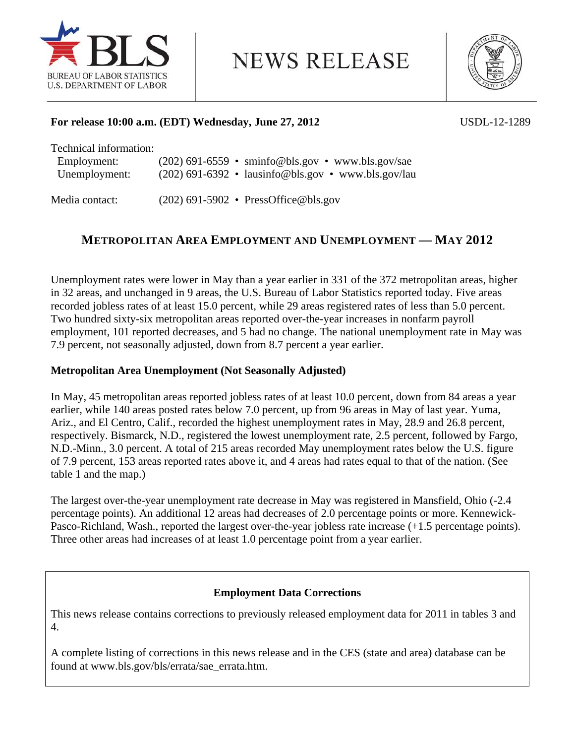

**NEWS RELEASE** 



## **For release 10:00 a.m. (EDT) Wednesday, June 27, 2012** USDL-12-1289

| Employment:   | $(202)$ 691-6559 • sminfo@bls.gov • www.bls.gov/sae   |
|---------------|-------------------------------------------------------|
| Unemployment: | $(202)$ 691-6392 • lausinfo@bls.gov • www.bls.gov/lau |
|               |                                                       |

Media contact: (202) 691-5902 • PressOffice@bls.gov

## **METROPOLITAN AREA EMPLOYMENT AND UNEMPLOYMENT — MAY 2012**

Unemployment rates were lower in May than a year earlier in 331 of the 372 metropolitan areas, higher in 32 areas, and unchanged in 9 areas, the U.S. Bureau of Labor Statistics reported today. Five areas recorded jobless rates of at least 15.0 percent, while 29 areas registered rates of less than 5.0 percent. Two hundred sixty-six metropolitan areas reported over-the-year increases in nonfarm payroll employment, 101 reported decreases, and 5 had no change. The national unemployment rate in May was 7.9 percent, not seasonally adjusted, down from 8.7 percent a year earlier.

### **Metropolitan Area Unemployment (Not Seasonally Adjusted)**

In May, 45 metropolitan areas reported jobless rates of at least 10.0 percent, down from 84 areas a year earlier, while 140 areas posted rates below 7.0 percent, up from 96 areas in May of last year. Yuma, Ariz., and El Centro, Calif., recorded the highest unemployment rates in May, 28.9 and 26.8 percent, respectively. Bismarck, N.D., registered the lowest unemployment rate, 2.5 percent, followed by Fargo, N.D.-Minn., 3.0 percent. A total of 215 areas recorded May unemployment rates below the U.S. figure of 7.9 percent, 153 areas reported rates above it, and 4 areas had rates equal to that of the nation. (See table 1 and the map.)

The largest over-the-year unemployment rate decrease in May was registered in Mansfield, Ohio (-2.4 percentage points). An additional 12 areas had decreases of 2.0 percentage points or more. Kennewick-Pasco-Richland, Wash., reported the largest over-the-year jobless rate increase (+1.5 percentage points). Three other areas had increases of at least 1.0 percentage point from a year earlier.

## **Employment Data Corrections**

This news release contains corrections to previously released employment data for 2011 in tables 3 and 4.

A complete listing of corrections in this news release and in the CES (state and area) database can be found at www.bls.gov/bls/errata/sae\_errata.htm.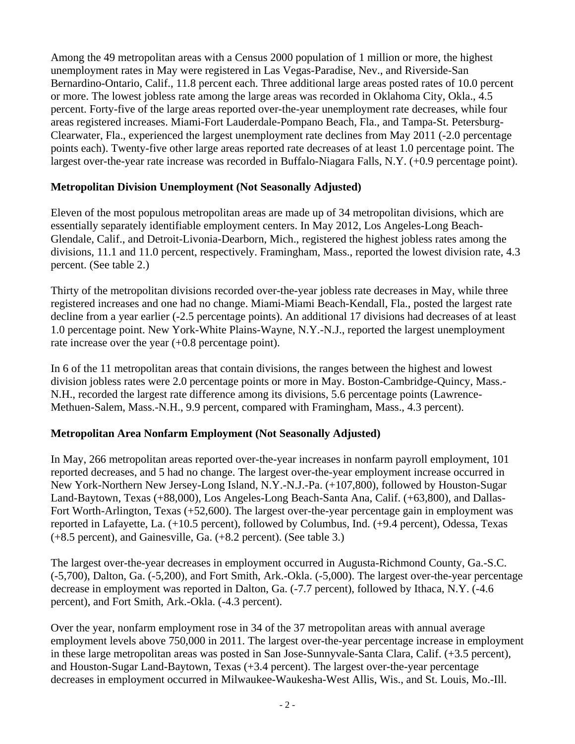Among the 49 metropolitan areas with a Census 2000 population of 1 million or more, the highest unemployment rates in May were registered in Las Vegas-Paradise, Nev., and Riverside-San Bernardino-Ontario, Calif., 11.8 percent each. Three additional large areas posted rates of 10.0 percent or more. The lowest jobless rate among the large areas was recorded in Oklahoma City, Okla., 4.5 percent. Forty-five of the large areas reported over-the-year unemployment rate decreases, while four areas registered increases. Miami-Fort Lauderdale-Pompano Beach, Fla., and Tampa-St. Petersburg-Clearwater, Fla., experienced the largest unemployment rate declines from May 2011 (-2.0 percentage points each). Twenty-five other large areas reported rate decreases of at least 1.0 percentage point. The largest over-the-year rate increase was recorded in Buffalo-Niagara Falls, N.Y. (+0.9 percentage point).

## **Metropolitan Division Unemployment (Not Seasonally Adjusted)**

Eleven of the most populous metropolitan areas are made up of 34 metropolitan divisions, which are essentially separately identifiable employment centers. In May 2012, Los Angeles-Long Beach-Glendale, Calif., and Detroit-Livonia-Dearborn, Mich., registered the highest jobless rates among the divisions, 11.1 and 11.0 percent, respectively. Framingham, Mass., reported the lowest division rate, 4.3 percent. (See table 2.)

Thirty of the metropolitan divisions recorded over-the-year jobless rate decreases in May, while three registered increases and one had no change. Miami-Miami Beach-Kendall, Fla., posted the largest rate decline from a year earlier (-2.5 percentage points). An additional 17 divisions had decreases of at least 1.0 percentage point. New York-White Plains-Wayne, N.Y.-N.J., reported the largest unemployment rate increase over the year (+0.8 percentage point).

In 6 of the 11 metropolitan areas that contain divisions, the ranges between the highest and lowest division jobless rates were 2.0 percentage points or more in May. Boston-Cambridge-Quincy, Mass.- N.H., recorded the largest rate difference among its divisions, 5.6 percentage points (Lawrence-Methuen-Salem, Mass.-N.H., 9.9 percent, compared with Framingham, Mass., 4.3 percent).

## **Metropolitan Area Nonfarm Employment (Not Seasonally Adjusted)**

In May, 266 metropolitan areas reported over-the-year increases in nonfarm payroll employment, 101 reported decreases, and 5 had no change. The largest over-the-year employment increase occurred in New York-Northern New Jersey-Long Island, N.Y.-N.J.-Pa. (+107,800), followed by Houston-Sugar Land-Baytown, Texas (+88,000), Los Angeles-Long Beach-Santa Ana, Calif. (+63,800), and Dallas-Fort Worth-Arlington, Texas (+52,600). The largest over-the-year percentage gain in employment was reported in Lafayette, La. (+10.5 percent), followed by Columbus, Ind. (+9.4 percent), Odessa, Texas (+8.5 percent), and Gainesville, Ga. (+8.2 percent). (See table 3.)

The largest over-the-year decreases in employment occurred in Augusta-Richmond County, Ga.-S.C. (-5,700), Dalton, Ga. (-5,200), and Fort Smith, Ark.-Okla. (-5,000). The largest over-the-year percentage decrease in employment was reported in Dalton, Ga. (-7.7 percent), followed by Ithaca, N.Y. (-4.6 percent), and Fort Smith, Ark.-Okla. (-4.3 percent).

Over the year, nonfarm employment rose in 34 of the 37 metropolitan areas with annual average employment levels above 750,000 in 2011. The largest over-the-year percentage increase in employment in these large metropolitan areas was posted in San Jose-Sunnyvale-Santa Clara, Calif. (+3.5 percent), and Houston-Sugar Land-Baytown, Texas (+3.4 percent). The largest over-the-year percentage decreases in employment occurred in Milwaukee-Waukesha-West Allis, Wis., and St. Louis, Mo.-Ill.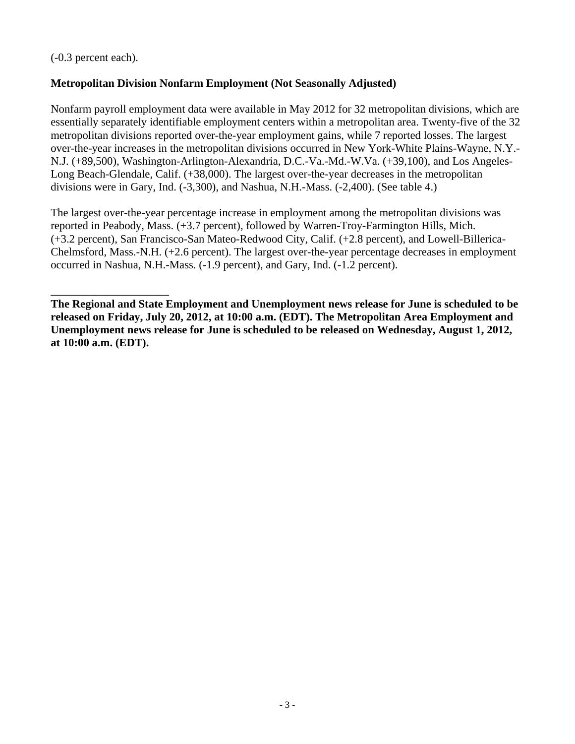(-0.3 percent each).

## **Metropolitan Division Nonfarm Employment (Not Seasonally Adjusted)**

Nonfarm payroll employment data were available in May 2012 for 32 metropolitan divisions, which are essentially separately identifiable employment centers within a metropolitan area. Twenty-five of the 32 metropolitan divisions reported over-the-year employment gains, while 7 reported losses. The largest over-the-year increases in the metropolitan divisions occurred in New York-White Plains-Wayne, N.Y.- N.J. (+89,500), Washington-Arlington-Alexandria, D.C.-Va.-Md.-W.Va. (+39,100), and Los Angeles-Long Beach-Glendale, Calif. (+38,000). The largest over-the-year decreases in the metropolitan divisions were in Gary, Ind. (-3,300), and Nashua, N.H.-Mass. (-2,400). (See table 4.)

The largest over-the-year percentage increase in employment among the metropolitan divisions was reported in Peabody, Mass. (+3.7 percent), followed by Warren-Troy-Farmington Hills, Mich. (+3.2 percent), San Francisco-San Mateo-Redwood City, Calif. (+2.8 percent), and Lowell-Billerica-Chelmsford, Mass.-N.H. (+2.6 percent). The largest over-the-year percentage decreases in employment occurred in Nashua, N.H.-Mass. (-1.9 percent), and Gary, Ind. (-1.2 percent).

\_\_\_\_\_\_\_\_\_\_\_\_\_\_\_\_\_\_\_\_\_ **The Regional and State Employment and Unemployment news release for June is scheduled to be released on Friday, July 20, 2012, at 10:00 a.m. (EDT). The Metropolitan Area Employment and Unemployment news release for June is scheduled to be released on Wednesday, August 1, 2012, at 10:00 a.m. (EDT).**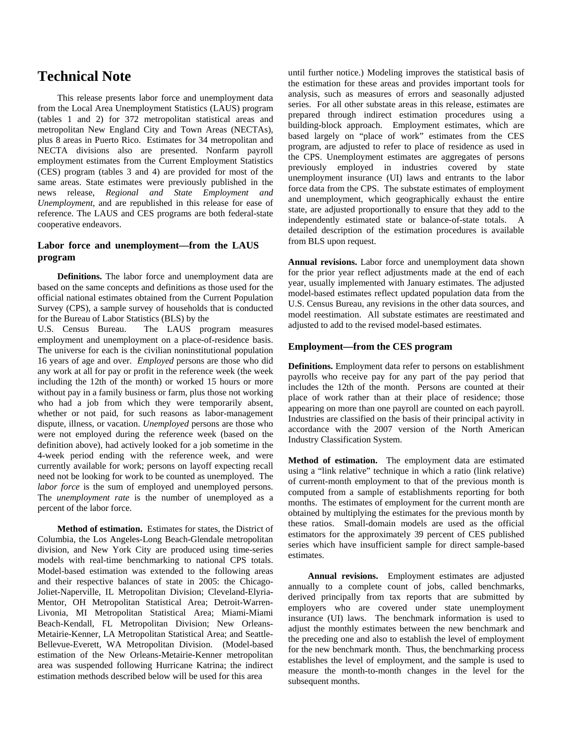## **Technical Note**

This release presents labor force and unemployment data from the Local Area Unemployment Statistics (LAUS) program (tables 1 and 2) for 372 metropolitan statistical areas and metropolitan New England City and Town Areas (NECTAs), plus 8 areas in Puerto Rico. Estimates for 34 metropolitan and NECTA divisions also are presented. Nonfarm payroll employment estimates from the Current Employment Statistics (CES) program (tables 3 and 4) are provided for most of the same areas. State estimates were previously published in the news release, *Regional and State Employment and Unemployment,* and are republished in this release for ease of reference. The LAUS and CES programs are both federal-state cooperative endeavors.

### **Labor force and unemployment—from the LAUS program**

**Definitions.** The labor force and unemployment data are based on the same concepts and definitions as those used for the official national estimates obtained from the Current Population Survey (CPS), a sample survey of households that is conducted for the Bureau of Labor Statistics (BLS) by the

U.S. Census Bureau. The LAUS program measures employment and unemployment on a place-of-residence basis. The universe for each is the civilian noninstitutional population 16 years of age and over. *Employed* persons are those who did any work at all for pay or profit in the reference week (the week including the 12th of the month) or worked 15 hours or more without pay in a family business or farm, plus those not working who had a job from which they were temporarily absent, whether or not paid, for such reasons as labor-management dispute, illness, or vacation. *Unemployed* persons are those who were not employed during the reference week (based on the definition above), had actively looked for a job sometime in the 4-week period ending with the reference week, and were currently available for work; persons on layoff expecting recall need not be looking for work to be counted as unemployed. The *labor force* is the sum of employed and unemployed persons. The *unemployment rate* is the number of unemployed as a percent of the labor force.

**Method of estimation.** Estimates for states, the District of Columbia, the Los Angeles-Long Beach-Glendale metropolitan division, and New York City are produced using time-series models with real-time benchmarking to national CPS totals. Model-based estimation was extended to the following areas and their respective balances of state in 2005: the Chicago-Joliet-Naperville, IL Metropolitan Division; Cleveland-Elyria-Mentor, OH Metropolitan Statistical Area; Detroit-Warren-Livonia, MI Metropolitan Statistical Area; Miami-Miami Beach-Kendall, FL Metropolitan Division; New Orleans-Metairie-Kenner, LA Metropolitan Statistical Area; and Seattle-Bellevue-Everett, WA Metropolitan Division. (Model-based estimation of the New Orleans-Metairie-Kenner metropolitan area was suspended following Hurricane Katrina; the indirect estimation methods described below will be used for this area

until further notice.) Modeling improves the statistical basis of the estimation for these areas and provides important tools for analysis, such as measures of errors and seasonally adjusted series. For all other substate areas in this release, estimates are prepared through indirect estimation procedures using a building-block approach. Employment estimates, which are based largely on "place of work" estimates from the CES program, are adjusted to refer to place of residence as used in the CPS. Unemployment estimates are aggregates of persons previously employed in industries covered by state unemployment insurance (UI) laws and entrants to the labor force data from the CPS. The substate estimates of employment and unemployment, which geographically exhaust the entire state, are adjusted proportionally to ensure that they add to the independently estimated state or balance-of-state totals. A detailed description of the estimation procedures is available from BLS upon request.

**Annual revisions.** Labor force and unemployment data shown for the prior year reflect adjustments made at the end of each year, usually implemented with January estimates. The adjusted model-based estimates reflect updated population data from the U.S. Census Bureau, any revisions in the other data sources, and model reestimation. All substate estimates are reestimated and adjusted to add to the revised model-based estimates.

#### **Employment—from the CES program**

**Definitions.** Employment data refer to persons on establishment payrolls who receive pay for any part of the pay period that includes the 12th of the month. Persons are counted at their place of work rather than at their place of residence; those appearing on more than one payroll are counted on each payroll. Industries are classified on the basis of their principal activity in accordance with the 2007 version of the North American Industry Classification System.

**Method of estimation.** The employment data are estimated using a "link relative" technique in which a ratio (link relative) of current-month employment to that of the previous month is computed from a sample of establishments reporting for both months. The estimates of employment for the current month are obtained by multiplying the estimates for the previous month by these ratios. Small-domain models are used as the official estimators for the approximately 39 percent of CES published series which have insufficient sample for direct sample-based estimates.

**Annual revisions.** Employment estimates are adjusted annually to a complete count of jobs, called benchmarks, derived principally from tax reports that are submitted by employers who are covered under state unemployment insurance (UI) laws. The benchmark information is used to adjust the monthly estimates between the new benchmark and the preceding one and also to establish the level of employment for the new benchmark month. Thus, the benchmarking process establishes the level of employment, and the sample is used to measure the month-to-month changes in the level for the subsequent months.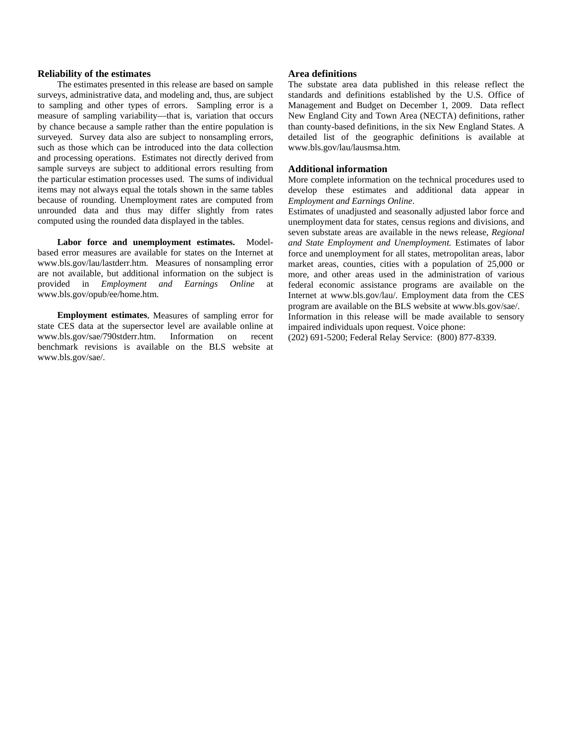#### **Reliability of the estimates**

The estimates presented in this release are based on sample surveys, administrative data, and modeling and, thus, are subject to sampling and other types of errors. Sampling error is a measure of sampling variability—that is, variation that occurs by chance because a sample rather than the entire population is surveyed. Survey data also are subject to nonsampling errors, such as those which can be introduced into the data collection and processing operations. Estimates not directly derived from sample surveys are subject to additional errors resulting from the particular estimation processes used. The sums of individual items may not always equal the totals shown in the same tables because of rounding. Unemployment rates are computed from unrounded data and thus may differ slightly from rates computed using the rounded data displayed in the tables.

**Labor force and unemployment estimates.** Modelbased error measures are available for states on the Internet at www.bls.gov/lau/lastderr.htm. Measures of nonsampling error are not available, but additional information on the subject is<br>provided in *Employment and Earnings Online* at provided in *Employment and Earnings Online* at www.bls.gov/opub/ee/home.htm.

**Employment estimates.** Measures of sampling error for state CES data at the supersector level are available online at www.bls.gov/sae/790stderr.htm. Information on recent benchmark revisions is available on the BLS website at www.bls.gov/sae/.

#### **Area definitions**

The substate area data published in this release reflect the standards and definitions established by the U.S. Office of Management and Budget on December 1, 2009. Data reflect New England City and Town Area (NECTA) definitions, rather than county-based definitions, in the six New England States. A detailed list of the geographic definitions is available at www.bls.gov/lau/lausmsa.htm*.* 

#### **Additional information**

More complete information on the technical procedures used to develop these estimates and additional data appear in *Employment and Earnings Online*.

Estimates of unadjusted and seasonally adjusted labor force and unemployment data for states, census regions and divisions, and seven substate areas are available in the news release, *Regional and State Employment and Unemployment.* Estimates of labor force and unemployment for all states, metropolitan areas, labor market areas, counties, cities with a population of 25,000 or more, and other areas used in the administration of various federal economic assistance programs are available on the Internet at www.bls.gov/lau/. Employment data from the CES program are available on the BLS website at www.bls.gov/sae/.

Information in this release will be made available to sensory impaired individuals upon request. Voice phone:

(202) 691-5200; Federal Relay Service: (800) 877-8339.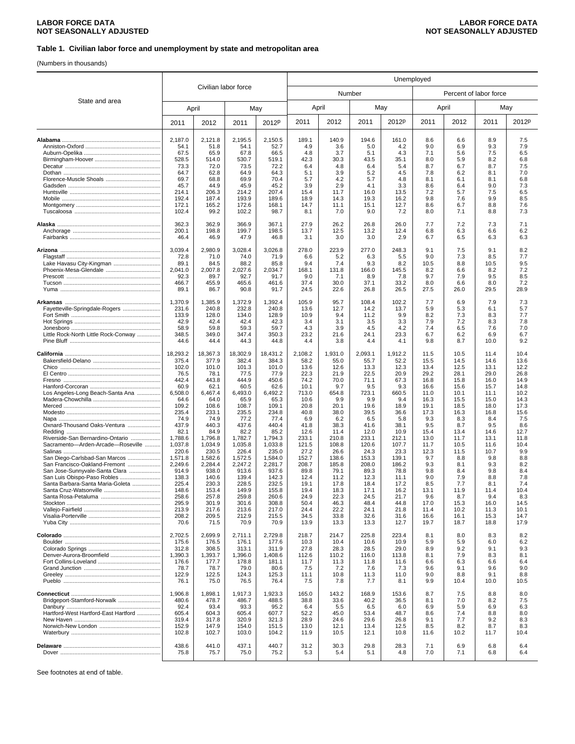#### **Table 1. Civilian labor force and unemployment by state and metropolitan area**

(Numbers in thousands)

|                                                                       |                    |                    |                      |                    |                |                |                |                | Unemployed   |              |                        |              |  |
|-----------------------------------------------------------------------|--------------------|--------------------|----------------------|--------------------|----------------|----------------|----------------|----------------|--------------|--------------|------------------------|--------------|--|
|                                                                       |                    |                    | Civilian labor force |                    |                |                | Number         |                |              |              | Percent of labor force |              |  |
| State and area                                                        |                    | April              | May                  |                    |                | April          |                | May            |              | April        |                        | May          |  |
|                                                                       | 2011               | 2012               | 2011                 | 2012P              | 2011           | 2012           | 2011           | 2012P          | 2011         | 2012         | 2011                   | 2012P        |  |
|                                                                       |                    |                    |                      |                    |                |                |                |                |              |              |                        |              |  |
|                                                                       | 2,187.0<br>54.1    | 2,121.8<br>51.8    | 2,195.5<br>54.1      | 2,150.5<br>52.7    | 189.1<br>4.9   | 140.9<br>3.6   | 194.6<br>5.0   | 161.0<br>4.2   | 8.6<br>9.0   | 6.6<br>6.9   | 8.9<br>9.3             | 7.5<br>7.9   |  |
|                                                                       | 67.5               | 65.9               | 67.8                 | 66.5               | 4.8            | 3.7            | 5.1            | 4.3            | 7.1          | 5.6          | 7.5                    | 6.5          |  |
|                                                                       | 528.5              | 514.0              | 530.7                | 519.1              | 42.3           | 30.3           | 43.5           | 35.1           | 8.0          | 5.9          | 8.2                    | 6.8          |  |
|                                                                       | 73.3               | 72.0               | 73.5                 | 72.2               | 6.4            | 4.8            | 6.4            | 5.4            | 8.7          | 6.7          | 8.7                    | 7.5          |  |
|                                                                       | 64.7               | 62.8               | 64.9                 | 64.3               | 5.1            | 3.9            | 5.2            | 4.5            | 7.8          | 6.2          | 8.1                    | 7.0          |  |
|                                                                       | 69.7<br>45.7       | 68.8<br>44.9       | 69.9<br>45.9         | 70.4<br>45.2       | 5.7<br>3.9     | 4.2<br>2.9     | 5.7<br>4.1     | 4.8<br>3.3     | 8.1<br>8.6   | 6.1<br>6.4   | 8.1<br>9.0             | 6.8<br>7.3   |  |
|                                                                       | 214.1              | 206.3              | 214.2                | 207.4              | 15.4           | 11.7           | 16.0           | 13.5           | 7.2          | 5.7          | 7.5                    | 6.5          |  |
|                                                                       | 192.4              | 187.4              | 193.9                | 189.6              | 18.9           | 14.3           | 19.3           | 16.2           | 9.8          | 7.6          | 9.9                    | 8.5          |  |
|                                                                       | 172.1              | 165.2              | 172.6                | 168.1              | 14.7           | 11.1           | 15.1           | 12.7           | 8.6          | 6.7          | 8.8                    | 7.6          |  |
|                                                                       | 102.4              | 99.2               | 102.2                | 98.7               | 8.1            | 7.0            | 9.0            | 7.2            | 8.0          | 7.1          | 8.8                    | 7.3          |  |
|                                                                       | 362.3              | 362.9              | 366.9                | 367.1              | 27.9           | 26.2           | 26.8           | 26.0           | 7.7          | 7.2          | 7.3                    | 7.1          |  |
|                                                                       | 200.1              | 198.8              | 199.7                | 198.5              | 13.7           | 12.5           | 13.2           | 12.4           | 6.8          | 6.3          | 6.6                    | 6.2          |  |
|                                                                       | 46.4               | 46.9               | 47.9                 | 46.8               | 3.1            | 3.0            | 3.0            | 2.9            | 6.7          | 6.5          | 6.3                    | 6.3          |  |
|                                                                       | 3,039.4            | 2,980.9            | 3,028.4              | 3,026.8            | 278.0          | 223.9          | 277.0          | 248.3          | 9.1          | 7.5          | 9.1                    | 8.2          |  |
| Lake Havasu City-Kingman                                              | 72.8<br>89.1       | 71.0<br>84.5       | 74.0<br>88.2         | 71.9<br>85.8       | 6.6<br>9.4     | 5.2<br>7.4     | 6.3<br>9.3     | 5.5<br>8.2     | 9.0<br>10.5  | 7.3<br>8.8   | 8.5<br>10.5            | 7.7<br>9.5   |  |
|                                                                       | 2,041.0            | 2,007.8            | 2,027.6              | 2,034.7            | 168.1          | 131.8          | 166.0          | 145.5          | 8.2          | 6.6          | 8.2                    | 7.2          |  |
|                                                                       | 92.3               | 89.7               | 92.7                 | 91.7               | 9.0            | 7.1            | 8.9            | 7.8            | 9.7          | 7.9          | 9.5                    | 8.5          |  |
|                                                                       | 466.7              | 455.9              | 465.6                | 461.6              | 37.4           | 30.0           | 37.1           | 33.2           | 8.0          | 6.6          | 8.0                    | 7.2          |  |
|                                                                       | 89.1               | 86.7               | 90.8                 | 91.7               | 24.5           | 22.6           | 26.8           | 26.5           | 27.5         | 26.0         | 29.5                   | 28.9         |  |
|                                                                       | 1,370.9            | 1,385.9            | 1,372.9              | 1,392.4            | 105.9          | 95.7           | 108.4          | 102.2          | 7.7          | 6.9          | 7.9                    | 7.3          |  |
| Fayetteville-Springdale-Rogers                                        | 231.6              | 240.8              | 232.8                | 240.8              | 13.6           | 12.7           | 14.2           | 13.7           | 5.9          | 5.3          | 6.1                    | 5.7          |  |
|                                                                       | 133.9<br>42.9      | 128.0<br>42.4      | 134.0<br>42.4        | 128.9<br>42.3      | 10.9<br>3.4    | 9.4<br>3.1     | 11.2<br>3.5    | 9.9<br>3.3     | 8.2<br>7.9   | 7.3<br>7.2   | 8.3<br>8.3             | 7.7<br>7.8   |  |
|                                                                       | 58.9               | 59.8               | 59.3                 | 59.7               | 4.3            | 3.9            | 4.5            | 4.2            | 7.4          | 6.5          | 7.6                    | 7.0          |  |
| Little Rock-North Little Rock-Conway                                  | 348.5<br>44.6      | 349.0<br>44.4      | 347.4<br>44.3        | 350.3<br>44.8      | 23.2<br>4.4    | 21.6<br>3.8    | 24.1<br>4.4    | 23.3<br>4.1    | 6.7<br>9.8   | 6.2<br>8.7   | 6.9<br>10.0            | 6.7<br>9.2   |  |
|                                                                       | 18,293.2           | 18,367.3           | 18,302.9             | 18,431.2           | 2,108.2        | 1,931.0        | 2,093.1        | 1,912.2        | 11.5         | 10.5         | 11.4                   | 10.4         |  |
|                                                                       | 375.4              | 377.9              | 382.4                | 384.3              | 58.2           | 55.0           | 55.7           | 52.2           | 15.5         | 14.5         | 14.6                   | 13.6         |  |
|                                                                       | 102.0              | 101.0              | 101.3                | 101.0              | 13.6           | 12.6           | 13.3           | 12.3           | 13.4         | 12.5         | 13.1                   | 12.2         |  |
|                                                                       | 76.5<br>442.4      | 78.1<br>443.8      | 77.5<br>444.9        | 77.9<br>450.6      | 22.3<br>74.2   | 21.9<br>70.0   | 22.5<br>71.1   | 20.9<br>67.3   | 29.2<br>16.8 | 28.1<br>15.8 | 29.0<br>16.0           | 26.8<br>14.9 |  |
|                                                                       | 60.9               | 62.1               | 60.5                 | 62.6               | 10.1           | 9.7            | 9.5            | 9.3            | 16.6         | 15.6         | 15.7                   | 14.8         |  |
| Los Angeles-Long Beach-Santa Ana                                      | 6,508.0            | 6,467.4            | 6,493.0              | 6,492.2            | 713.0          | 654.8          | 723.1          | 660.5          | 11.0         | 10.1         | 11.1                   | 10.2         |  |
|                                                                       | 64.6               | 64.0               | 65.9                 | 65.3               | 10.6           | 9.9            | 9.9            | 9.4            | 16.3         | 15.5         | 15.0                   | 14.3         |  |
|                                                                       | 109.2<br>235.4     | 108.6<br>233.1     | 108.7<br>235.5       | 109.1<br>234.8     | 20.8<br>40.8   | 20.1<br>38.0   | 19.6<br>39.5   | 18.9<br>36.6   | 19.1<br>17.3 | 18.5<br>16.3 | 18.0<br>16.8           | 17.3<br>15.6 |  |
|                                                                       | 74.9               | 74.9               | 77.2                 | 77.4               | 6.9            | 6.2            | 6.5            | 5.8            | 9.3          | 8.3          | 8.4                    | 7.5          |  |
| Oxnard-Thousand Oaks-Ventura                                          | 437.9              | 440.3              | 437.6                | 440.4              | 41.8           | 38.3           | 41.6           | 38.1           | 9.5          | 8.7          | 9.5                    | 8.6          |  |
|                                                                       | 82.1               | 84.9               | 82.2                 | 85.2               | 12.6           | 11.4           | 12.0           | 10.9           | 15.4         | 13.4         | 14.6                   | 12.7         |  |
| Riverside-San Bernardino-Ontario<br>Sacramento-Arden-Arcade-Roseville | 1,788.6<br>1,037.8 | 1,796.8<br>1,034.9 | 1,782.7<br>1,035.8   | 1,794.3<br>1,033.8 | 233.1<br>121.5 | 210.8<br>108.8 | 233.1<br>120.6 | 212.1<br>107.7 | 13.0<br>11.7 | 11.7<br>10.5 | 13.1<br>11.6           | 11.8<br>10.4 |  |
|                                                                       | 220.6              | 230.5              | 226.4                | 235.0              | 27.2           | 26.6           | 24.3           | 23.3           | 12.3         | 11.5         | 10.7                   | 9.9          |  |
| San Diego-Carlsbad-San Marcos                                         | 1,571.8            | 1,582.6            | 1,572.5              | 1,584.0            | 152.7          | 138.6          | 153.3          | 139.1          | 9.7          | 8.8          | 9.8                    | 8.8          |  |
| San Francisco-Oakland-Fremont<br>San Jose-Sunnyvale-Santa Clara       | 2,249.6<br>914.9   | 2,284.4<br>938.0   | 2,247.2<br>913.6     | 2,281.7<br>937.6   | 208.7<br>89.8  | 185.8<br>79.1  | 208.0<br>89.3  | 186.2<br>78.8  | 9.3<br>9.8   | 8.1<br>8.4   | 9.3<br>9.8             | 8.2<br>8.4   |  |
| San Luis Obispo-Paso Robles                                           | 138.3              | 140.6              | 139.4                | 142.3              | 12.4           | 11.2           | 12.3           | 11.1           | 9.0          | 7.9          | 8.8                    | 7.8          |  |
| Santa Barbara-Santa Maria-Goleta                                      | 225.4              | 230.3              | 228.5                | 232.5              | 19.1           | 17.8           | 18.4           | 17.2           | 8.5          | 7.7          | 8.1                    | 7.4          |  |
|                                                                       | 148.6              | 153.4              | 149.9                | 155.8              | 19.4           | 18.3           | 17.1           | 16.2           | 13.1         | 11.9         | 11.4                   | 10.4         |  |
|                                                                       | 258.6<br>295.9     | 257.8<br>301.9     | 259.8<br>301.6       | 260.6<br>308.8     | 24.9<br>50.4   | 22.3<br>46.3   | 24.5<br>48.4   | 21.7<br>44.8   | 9.6<br>17.0  | 8.7<br>15.3  | 9.4<br>16.0            | 8.3<br>14.5  |  |
|                                                                       | 213.9              | 217.6              | 213.6                | 217.0              | 24.4           | 22.2           | 24.1           | 21.8           | 11.4         | 10.2         | 11.3                   | 10.1         |  |
|                                                                       | 208.2              | 209.5              | 212.9                | 215.5              | 34.5           | 33.8           | 32.6           | 31.6           | 16.6         | 16.1         | 15.3                   | 14.7         |  |
|                                                                       | 70.6               | 71.5               | 70.9                 | 70.9               | 13.9           | 13.3           | 13.3           | 12.7           | 19.7         | 18.7         | 18.8                   | 17.9         |  |
|                                                                       | 2,702.5            | 2,699.9            | 2,711.1              | 2,729.8            | 218.7          | 214.7          | 225.8          | 223.4          | 8.1          | 8.0          | 8.3                    | 8.2          |  |
|                                                                       | 175.6              | 176.5              | 176.1                | 177.6              | 10.3           | 10.4           | 10.6           | 10.9           | 5.9          | 5.9          | 6.0                    | 6.2          |  |
| Denver-Aurora-Broomfield                                              | 312.8<br>1,390.3   | 308.5<br>1,393.7   | 313.1<br>1,396.0     | 311.9<br>1,408.6   | 27.8<br>112.6  | 28.3<br>110.2  | 28.5<br>116.0  | 29.0<br>113.8  | 8.9<br>8.1   | 9.2<br>7.9   | 9.1<br>8.3             | 9.3<br>8.1   |  |
|                                                                       | 176.6              | 177.7              | 178.8                | 181.1              | 11.7           | 11.3           | 11.8           | 11.6           | 6.6          | 6.3          | 6.6                    | 6.4          |  |
|                                                                       | 78.7               | 78.7               | 79.0                 | 80.6               | 7.5            | 7.2            | 7.6            | 7.3            | 9.6          | 9.1          | 9.6                    | 9.0          |  |
|                                                                       | 122.9<br>76.1      | 122.5<br>75.0      | 124.3<br>76.5        | 125.3<br>76.4      | 11.1<br>7.5    | 10.8<br>7.8    | 11.3<br>7.7    | 11.0<br>8.1    | 9.0<br>9.9   | 8.8<br>10.4  | 9.1<br>10.0            | 8.8<br>10.5  |  |
|                                                                       |                    |                    |                      |                    |                |                |                |                |              |              |                        |              |  |
| Bridgeport-Stamford-Norwalk                                           | 1,906.8<br>480.6   | 1,898.1<br>478.7   | 1,917.3<br>486.7     | 1,923.3<br>488.5   | 165.0<br>38.8  | 143.2<br>33.6  | 168.9<br>40.2  | 153.6<br>36.5  | 8.7<br>8.1   | 7.5<br>7.0   | 8.8<br>8.2             | 8.0<br>7.5   |  |
|                                                                       | 92.4               | 93.4               | 93.3                 | 95.2               | 6.4            | 5.5            | 6.5            | 6.0            | 6.9          | 5.9          | 6.9                    | 6.3          |  |
| Hartford-West Hartford-East Hartford                                  | 605.4              | 604.3              | 605.4                | 607.7              | 52.2           | 45.0           | 53.4           | 48.7           | 8.6          | 7.4          | 8.8                    | 8.0          |  |
|                                                                       | 319.4<br>152.9     | 317.8              | 320.9                | 321.3              | 28.9           | 24.6           | 29.6           | 26.8           | 9.1<br>8.5   | 7.7<br>8.2   | 9.2<br>8.7             | 8.3<br>8.3   |  |
|                                                                       | 102.8              | 147.9<br>102.7     | 154.0<br>103.0       | 151.5<br>104.2     | 13.0<br>11.9   | 12.1<br>10.5   | 13.4<br>12.1   | 12.5<br>10.8   | 11.6         | 10.2         | 11.7                   | 10.4         |  |
|                                                                       | 438.6              | 441.0              | 437.1                | 440.7              | 31.2           | 30.3           | 29.8           | 28.3           | 7.1          | 6.9          | 6.8                    | 6.4          |  |
|                                                                       | 75.8               | 75.7               | 75.0                 | 75.2               | 5.3            | 5.4            | 5.1            | 4.8            | 7.0          | 7.1          | 6.8                    | 6.4          |  |
|                                                                       |                    |                    |                      |                    |                |                |                |                |              |              |                        |              |  |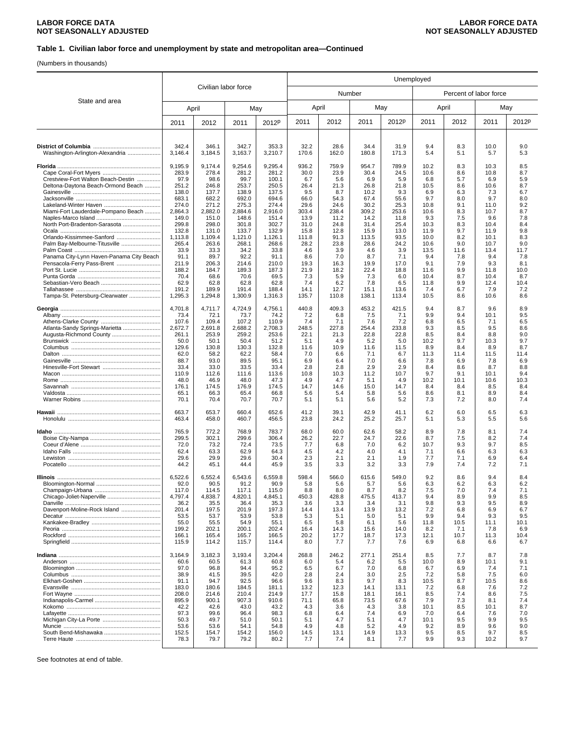#### **Table 1. Civilian labor force and unemployment by state and metropolitan area—Continued**

(Numbers in thousands)

|                                                                        |                  |                      |                  |                  | Unemployed   |              |              |              |              |             |                        |             |
|------------------------------------------------------------------------|------------------|----------------------|------------------|------------------|--------------|--------------|--------------|--------------|--------------|-------------|------------------------|-------------|
| State and area                                                         |                  | Civilian labor force |                  |                  |              |              | Number       |              |              |             | Percent of labor force |             |
|                                                                        |                  | April                |                  | May              |              | April        |              | May          |              | April       |                        | May         |
|                                                                        | 2011             | 2012                 | 2011             | 2012P            | 2011         | 2012         | 2011         | 2012P        | 2011         | 2012        | 2011                   | 2012P       |
|                                                                        | 342.4            | 346.1                | 342.7            | 353.3            | 32.2         | 28.6         | 34.4         | 31.9         | 9.4          | 8.3         | 10.0                   | 9.0         |
| Washington-Arlington-Alexandria                                        | 3,146.4          | 3,184.5              | 3,163.7          | 3,210.7          | 170.6        | 162.0        | 180.8        | 171.3        | 5.4          | 5.1         | 5.7                    | 5.3         |
|                                                                        | 9,195.9          | 9,174.4              | 9,254.6          | 9,295.4          | 936.2        | 759.9        | 954.7        | 789.9        | 10.2         | 8.3         | 10.3                   | 8.5         |
| Crestview-Fort Walton Beach-Destin                                     | 283.9<br>97.9    | 278.4<br>98.6        | 281.2<br>99.7    | 281.2<br>100.1   | 30.0<br>6.7  | 23.9<br>5.6  | 30.4<br>6.9  | 24.5<br>5.9  | 10.6<br>6.8  | 8.6<br>5.7  | 10.8<br>6.9            | 8.7<br>5.9  |
| Deltona-Daytona Beach-Ormond Beach                                     | 251.2            | 246.8                | 253.7            | 250.5            | 26.4         | 21.3         | 26.8         | 21.8         | 10.5         | 8.6         | 10.6                   | 8.7         |
|                                                                        | 138.0            | 137.7                | 138.9            | 137.5            | 9.5          | 8.7          | 10.2         | 9.3          | 6.9          | 6.3         | 7.3                    | 6.7         |
|                                                                        | 683.1<br>274.0   | 682.2<br>271.2       | 692.0<br>275.3   | 694.6<br>274.4   | 66.0<br>29.6 | 54.3<br>24.6 | 67.4<br>30.2 | 55.6<br>25.3 | 9.7<br>10.8  | 8.0<br>9.1  | 9.7<br>11.0            | 8.0<br>9.2  |
| Miami-Fort Lauderdale-Pompano Beach                                    | 2,864.3          | 2,882.0              | 2,884.6          | 2,916.0          | 303.4        | 238.4        | 309.2        | 253.6        | 10.6         | 8.3         | 10.7                   | 8.7         |
|                                                                        | 149.0            | 151.0                | 148.6            | 151.4            | 13.9         | 11.2         | 14.2         | 11.8         | 9.3          | 7.5         | 9.6                    | 7.8         |
| North Port-Bradenton-Sarasota                                          | 299.8<br>132.8   | 298.0<br>131.0       | 301.8<br>133.7   | 302.7<br>132.9   | 31.0<br>15.8 | 24.8<br>12.8 | 31.4<br>15.9 | 25.4<br>13.0 | 10.3<br>11.9 | 8.3<br>9.7  | 10.4<br>11.9           | 8.4<br>9.8  |
| Orlando-Kissimmee-Sanford                                              | 1,113.8          | 1,109.4              | 1,121.0          | 1,126.1          | 111.8        | 91.3         | 113.5        | 93.5         | 10.0         | 8.2         | 10.1                   | 8.3         |
| Palm Bay-Melbourne-Titusville                                          | 265.4            | 263.6                | 268.1            | 268.6            | 28.2         | 23.8         | 28.6         | 24.2         | 10.6         | 9.0         | 10.7                   | 9.0         |
|                                                                        | 33.9             | 33.3                 | 34.2             | 33.8             | 4.6          | 3.9          | 4.6          | 3.9          | 13.5         | 11.6        | 13.4                   | 11.7        |
| Panama City-Lynn Haven-Panama City Beach<br>Pensacola-Ferry Pass-Brent | 91.1<br>211.9    | 89.7<br>206.3        | 92.2<br>214.6    | 91.1<br>210.0    | 8.6<br>19.3  | 7.0<br>16.3  | 8.7<br>19.9  | 7.1<br>17.0  | 9.4<br>9.1   | 7.8<br>7.9  | 9.4<br>9.3             | 7.8<br>8.1  |
|                                                                        | 188.2            | 184.7                | 189.3            | 187.3            | 21.9         | 18.2         | 22.4         | 18.8         | 11.6         | 9.9         | 11.8                   | 10.0        |
|                                                                        | 70.4             | 68.6                 | 70.6             | 69.5             | 7.3          | 5.9          | 7.3          | 6.0          | 10.4         | 8.7         | 10.4                   | 8.7         |
|                                                                        | 62.9<br>191.2    | 62.8<br>189.9        | 62.8<br>191.4    | 62.8<br>188.4    | 7.4<br>14.1  | 6.2<br>12.7  | 7.8<br>15.1  | 6.5<br>13.6  | 11.8<br>7.4  | 9.9<br>6.7  | 12.4<br>7.9            | 10.4<br>7.2 |
| Tampa-St. Petersburg-Clearwater                                        | 1,295.3          | 1,294.8              | 1,300.9          | 1,316.3          | 135.7        | 110.8        | 138.1        | 113.4        | 10.5         | 8.6         | 10.6                   | 8.6         |
|                                                                        | 4,701.8          | 4,711.7              | 4,724.9          | 4,756.1          | 440.8        | 409.3        | 453.2        | 421.5        | 9.4          | 8.7         | 9.6                    | 8.9         |
|                                                                        | 73.4             | 72.1                 | 73.7             | 74.2             | 7.2          | 6.8          | 7.5          | 7.1          | 9.9          | 9.4         | 10.1                   | 9.5         |
| Atlanta-Sandy Springs-Marietta                                         | 107.6<br>2,672.7 | 109.4<br>2,691.8     | 107.2<br>2,688.2 | 110.9<br>2,708.3 | 7.4<br>248.5 | 7.1<br>227.8 | 7.6<br>254.4 | 7.2<br>233.8 | 6.8<br>9.3   | 6.5<br>8.5  | 7.1<br>9.5             | 6.5<br>8.6  |
| Augusta-Richmond County                                                | 261.1            | 253.9                | 259.2            | 253.6            | 22.1         | 21.3         | 22.8         | 22.8         | 8.5          | 8.4         | 8.8                    | 9.0         |
|                                                                        | 50.0             | 50.1                 | 50.4             | 51.2             | 5.1          | 4.9          | 5.2          | 5.0          | 10.2         | 9.7         | 10.3                   | 9.7         |
|                                                                        | 129.6<br>62.0    | 130.8<br>58.2        | 130.3<br>62.2    | 132.8<br>58.4    | 11.6<br>7.0  | 10.9<br>6.6  | 11.6<br>7.1  | 11.5<br>6.7  | 8.9<br>11.3  | 8.4<br>11.4 | 8.9<br>11.5            | 8.7<br>11.4 |
|                                                                        | 88.7             | 93.0                 | 89.5             | 95.1             | 6.9          | 6.4          | 7.0          | 6.6          | 7.8          | 6.9         | 7.8                    | 6.9         |
|                                                                        | 33.4             | 33.0                 | 33.5             | 33.4             | 2.8          | 2.8          | 2.9          | 2.9          | 8.4          | 8.6         | 8.7                    | 8.8         |
|                                                                        | 110.9            | 112.6                | 111.6            | 113.6            | 10.8         | 10.3         | 11.2         | 10.7         | 9.7          | 9.1         | 10.1                   | 9.4         |
|                                                                        | 48.0<br>176.1    | 46.9<br>174.5        | 48.0<br>176.9    | 47.3<br>174.5    | 4.9<br>14.7  | 4.7<br>14.6  | 5.1<br>15.0  | 4.9<br>14.7  | 10.2<br>8.4  | 10.1<br>8.4 | 10.6<br>8.5            | 10.3<br>8.4 |
|                                                                        | 65.1             | 66.3                 | 65.4             | 66.8             | 5.6          | 5.4          | 5.8          | 5.6          | 8.6          | 8.1         | 8.9                    | 8.4         |
|                                                                        | 70.1             | 70.4                 | 70.7             | 70.7             | 5.1          | 5.1          | 5.6          | 5.2          | 7.3          | 7.2         | 8.0                    | 7.4         |
|                                                                        | 663.7<br>463.4   | 653.7<br>458.0       | 660.4<br>460.7   | 652.6<br>456.5   | 41.2<br>23.8 | 39.1<br>24.2 | 42.9<br>25.2 | 41.1<br>25.7 | 6.2<br>5.1   | 6.0<br>5.3  | 6.5<br>5.5             | 6.3<br>5.6  |
|                                                                        | 765.9            | 772.2                | 768.9            | 783.7            | 68.0         | 60.0         | 62.6         | 58.2         | 8.9          | 7.8         | 8.1                    | 7.4         |
|                                                                        | 299.5            | 302.1                | 299.6            | 306.4            | 26.2         | 22.7         | 24.7         | 22.6         | 8.7          | 7.5         | 8.2                    | 7.4         |
|                                                                        | 72.0<br>62.4     | 73.2<br>63.3         | 72.4<br>62.9     | 73.5<br>64.3     | 7.7<br>4.5   | 6.8<br>4.2   | 7.0<br>4.0   | 6.2<br>4.1   | 10.7<br>7.1  | 9.3<br>6.6  | 9.7<br>6.3             | 8.5<br>6.3  |
|                                                                        | 29.6             | 29.9                 | 29.6             | 30.4             | 2.3          | 2.1          | 2.1          | 1.9          | 7.7          | 7.1         | 6.9                    | 6.4         |
|                                                                        | 44.2             | 45.1                 | 44.4             | 45.9             | 3.5          | 3.3          | 3.2          | 3.3          | 7.9          | 7.4         | 7.2                    | 7.1         |
|                                                                        | 6,522.6          | 6,552.4              | 6.543.6          | 6,559.8          | 598.4        | 566.0        | 615.6        | 549.0        | 9.2          | 8.6         | 9.4                    | 8.4         |
|                                                                        | 92.0<br>117.0    | 90.5<br>114.5        | 91.2<br>117.1    | 90.9<br>115.0    | 5.8<br>8.8   | 5.6<br>8.0   | 5.7<br>8.7   | 5.6<br>8.2   | 6.3<br>7.5   | 6.2<br>7.0  | 6.3<br>7.4             | 6.2<br>7.1  |
|                                                                        | 4,797.4          | 4,838.7              | 4,820.1          | 4,845.1          | 450.3        | 428.8        | 475.5        | 413.7        | 9.4          | 8.9         | 9.9                    | 8.5         |
|                                                                        | 36.2             | 35.5                 | 36.4             | 35.3             | 3.6          | 3.3          | 3.4          | 3.1          | 9.8          | 9.3         | 9.5                    | 8.9         |
| Davenport-Moline-Rock Island                                           | 201.4<br>53.5    | 197.5<br>53.7        | 201.9<br>53.9    | 197.3<br>53.8    | 14.4<br>5.3  | 13.4<br>5.1  | 13.9<br>5.0  | 13.2<br>5.1  | 7.2<br>9.9   | 6.8<br>9.4  | 6.9<br>9.3             | 6.7<br>9.5  |
|                                                                        | 55.0             | 55.5                 | 54.9             | 55.1             | 6.5          | 5.8          | 6.1          | 5.6          | 11.8         | 10.5        | 11.1                   | 10.1        |
|                                                                        | 199.2            | 202.1                | 200.1            | 202.4            | 16.4         | 14.3         | 15.6         | 14.0         | 8.2          | 7.1         | 7.8                    | 6.9         |
|                                                                        | 166.1<br>115.9   | 165.4<br>114.2       | 165.7<br>115.7   | 166.5<br>114.4   | 20.2<br>8.0  | 17.7<br>7.7  | 18.7<br>7.7  | 17.3<br>7.6  | 12.1<br>6.9  | 10.7<br>6.8 | 11.3<br>6.6            | 10.4<br>6.7 |
|                                                                        | 3,164.9          | 3,182.3              | 3,193.4          | 3,204.4          | 268.8        | 246.2        | 277.1        | 251.4        | 8.5          | 7.7         | 8.7                    | 7.8         |
|                                                                        | 60.6             | 60.5                 | 61.3             | 60.8             | 6.0          | 5.4          | 6.2          | 5.5          | 10.0         | 8.9         | 10.1                   | 9.1         |
|                                                                        | 97.0<br>38.9     | 96.8<br>41.5         | 94.4<br>39.5     | 95.2<br>42.0     | 6.5<br>2.8   | 6.7<br>2.4   | 7.0<br>3.0   | 6.8<br>2.5   | 6.7<br>7.2   | 6.9<br>5.8  | 7.4<br>7.5             | 7.1<br>6.0  |
|                                                                        | 91.1             | 94.7                 | 92.5             | 96.6             | 9.6          | 8.3          | 9.7          | 8.3          | 10.5         | 8.7         | 10.5                   | 8.6         |
|                                                                        | 183.0            | 180.6                | 184.5            | 181.1            | 13.2         | 12.3         | 14.1         | 13.1         | 7.2          | 6.8         | 7.6                    | 7.2         |
|                                                                        | 208.0<br>895.9   | 214.6<br>900.1       | 210.4<br>907.3   | 214.9<br>910.6   | 17.7<br>71.1 | 15.8<br>65.8 | 18.1<br>73.5 | 16.1<br>67.6 | 8.5<br>7.9   | 7.4<br>7.3  | 8.6<br>8.1             | 7.5<br>7.4  |
|                                                                        | 42.2             | 42.6                 | 43.0             | 43.2             | 4.3          | 3.6          | 4.3          | 3.8          | 10.1         | 8.5         | 10.1                   | 8.7         |
|                                                                        | 97.3             | 99.6                 | 96.4             | 98.3             | 6.8          | 6.4          | 7.4          | 6.9          | 7.0          | 6.4         | 7.6                    | 7.0         |
|                                                                        | 50.3<br>53.6     | 49.7                 | 51.0<br>54.1     | 50.1             | 5.1<br>4.9   | 4.7          | 5.1          | 4.7<br>4.9   | 10.1<br>9.2  | 9.5         | 9.9                    | 9.5<br>9.0  |
|                                                                        | 152.5            | 53.6<br>154.7        | 154.2            | 54.8<br>156.0    | 14.5         | 4.8<br>13.1  | 5.2<br>14.9  | 13.3         | 9.5          | 8.9<br>8.5  | 9.6<br>9.7             | 8.5         |
|                                                                        | 78.3             | 79.7                 | 79.2             | 80.2             | 7.7          | 7.4          | 8.1          | 7.7          | 9.9          | 9.3         | 10.2                   | 9.7         |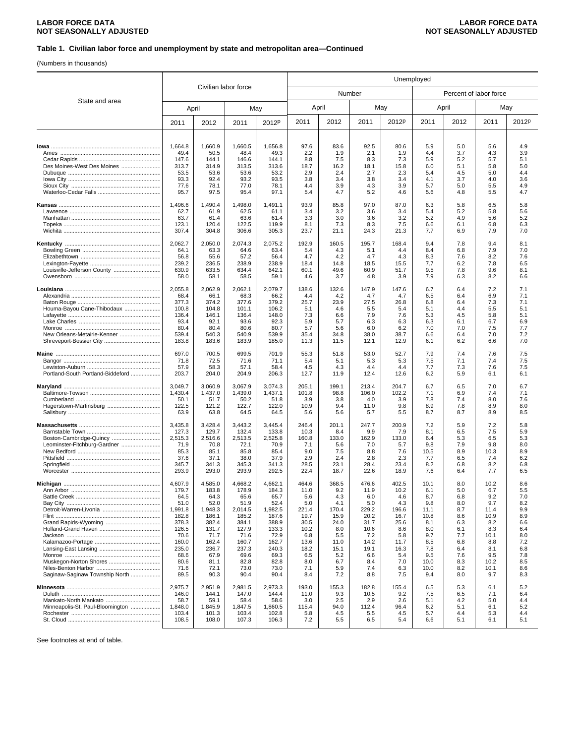#### **Table 1. Civilian labor force and unemployment by state and metropolitan area—Continued**

(Numbers in thousands)

|                                   |                  |                      |                  | Unemployed       |               |              |              |              |              |                        |              |            |
|-----------------------------------|------------------|----------------------|------------------|------------------|---------------|--------------|--------------|--------------|--------------|------------------------|--------------|------------|
| State and area                    |                  | Civilian labor force |                  |                  |               |              | Number       |              |              | Percent of labor force |              |            |
|                                   |                  | April                | May              |                  | April         |              | May          |              |              | April                  |              | May        |
|                                   | 2011             | 2012                 | 2011             | 2012P            | 2011          | 2012         | 2011         | 2012P        | 2011         | 2012                   | 2011         | 2012P      |
|                                   |                  |                      |                  |                  |               |              |              |              |              |                        |              |            |
|                                   | 1,664.8<br>49.4  | 1,660.9<br>50.5      | 1,660.5<br>48.4  | 1,656.8<br>49.3  | 97.6<br>2.2   | 83.6<br>1.9  | 92.5<br>2.1  | 80.6<br>1.9  | 5.9<br>4.4   | 5.0<br>3.7             | 5.6<br>4.3   | 4.9<br>3.9 |
|                                   | 147.6            | 144.1                | 146.6            | 144.1            | 8.8           | 7.5          | 8.3          | 7.3          | 5.9          | 5.2                    | 5.7          | 5.1        |
| Des Moines-West Des Moines        | 313.7<br>53.5    | 314.9<br>53.6        | 313.5            | 313.6            | 18.7<br>2.9   | 16.2<br>2.4  | 18.1<br>2.7  | 15.8<br>2.3  | 6.0<br>5.4   | 5.1<br>4.5             | 5.8<br>5.0   | 5.0<br>4.4 |
|                                   | 93.3             | 92.4                 | 53.6<br>93.2     | 53.2<br>93.5     | 3.8           | 3.4          | 3.8          | 3.4          | 4.1          | 3.7                    | 4.0          | 3.6        |
|                                   | 77.6             | 78.1                 | 77.0             | 78.1             | 4.4           | 3.9          | 4.3          | 3.9          | 5.7          | 5.0                    | 5.5          | 4.9        |
|                                   | 95.7             | 97.5                 | 95.4             | 97.1             | 5.4           | 4.7          | 5.2          | 4.6          | 5.6          | 4.8                    | 5.5          | 4.7        |
|                                   | 1,496.6<br>62.7  | 1,490.4<br>61.9      | 1,498.0<br>62.5  | 1,491.1<br>61.1  | 93.9<br>3.4   | 85.8<br>3.2  | 97.0<br>3.6  | 87.0<br>3.4  | 6.3<br>5.4   | 5.8<br>5.2             | 6.5<br>5.8   | 5.8<br>5.6 |
|                                   | 63.7             | 61.4                 | 63.6             | 61.4             | 3.3           | 3.0          | 3.6          | 3.2          | 5.2          | 4.9                    | 5.6          | 5.2        |
|                                   | 123.1            | 120.4                | 122.5            | 119.9            | 8.1           | 7.3          | 8.3          | 7.5          | 6.6          | 6.1                    | 6.8          | 6.3        |
|                                   | 307.4            | 304.8                | 306.6            | 305.3            | 23.7          | 21.1         | 24.3         | 21.3         | 7.7          | 6.9                    | 7.9          | 7.0        |
|                                   | 2,062.7<br>64.1  | 2,050.0<br>63.3      | 2,074.3<br>64.6  | 2,075.2<br>63.4  | 192.9<br>5.4  | 160.5<br>4.3 | 195.7<br>5.1 | 168.4<br>4.4 | 9.4<br>8.4   | 7.8<br>6.8             | 9.4<br>7.9   | 8.1<br>7.0 |
|                                   | 56.8             | 55.6                 | 57.2             | 56.4             | 4.7           | 4.2          | 4.7          | 4.3          | 8.3          | 7.6                    | 8.2          | 7.6        |
|                                   | 239.2            | 236.5                | 238.9            | 238.9            | 18.4          | 14.8         | 18.5         | 15.5         | 7.7          | 6.2                    | 7.8          | 6.5        |
| Louisville-Jefferson County       | 630.9<br>58.0    | 633.5<br>58.1        | 634.4<br>58.5    | 642.1<br>59.1    | 60.1<br>4.6   | 49.6<br>3.7  | 60.9<br>4.8  | 51.7<br>3.9  | 9.5<br>7.9   | 7.8<br>6.3             | 9.6<br>8.2   | 8.1<br>6.6 |
|                                   | 2,055.8          | 2,062.9              | 2,062.1          | 2,079.7          | 138.6         | 132.6        | 147.9        | 147.6        | 6.7          | 6.4                    | 7.2          | 7.1        |
|                                   | 68.4             | 66.1                 | 68.3             | 66.2             | 4.4           | 4.2          | 4.7          | 4.7          | 6.5          | 6.4                    | 6.9          | 7.1        |
|                                   | 377.3            | 374.2                | 377.6            | 379.2            | 25.7          | 23.9         | 27.5         | 26.8         | 6.8          | 6.4                    | 7.3          | 7.1        |
| Houma-Bayou Cane-Thibodaux        | 100.8<br>136.4   | 104.8<br>146.1       | 101.1<br>136.4   | 106.2<br>148.0   | 5.1<br>7.3    | 4.6<br>6.6   | 5.5<br>7.9   | 5.4<br>7.6   | 5.1<br>5.3   | 4.4<br>4.5             | 5.5<br>5.8   | 5.1<br>5.1 |
|                                   | 93.4             | 92.1                 | 93.6             | 92.3             | 5.9           | 5.7          | 6.3          | 6.3          | 6.3          | 6.1                    | 6.7          | 6.9        |
|                                   | 80.4             | 80.4                 | 80.6             | 80.7             | 5.7           | 5.6          | 6.0          | 6.2          | 7.0          | 7.0                    | 7.5          | 7.7        |
| New Orleans-Metairie-Kenner       | 539.4<br>183.8   | 540.3<br>183.6       | 540.9<br>183.9   | 539.9<br>185.0   | 35.4<br>11.3  | 34.8<br>11.5 | 38.0<br>12.1 | 38.7<br>12.9 | 6.6<br>6.1   | 6.4<br>6.2             | 7.0<br>6.6   | 7.2<br>7.0 |
|                                   | 697.0            | 700.5                | 699.5            | 701.9            | 55.3          | 51.8         | 53.0         | 52.7         | 7.9          | 7.4                    | 7.6          | 7.5        |
|                                   | 71.8<br>57.9     | 72.5<br>58.3         | 71.6<br>57.1     | 71.1<br>58.4     | 5.4<br>4.5    | 5.1<br>4.3   | 5.3<br>4.4   | 5.3<br>4.4   | 7.5<br>7.7   | 7.1<br>7.3             | 7.4<br>7.6   | 7.5<br>7.5 |
| Portland-South Portland-Biddeford | 203.7            | 204.0                | 204.9            | 206.3            | 12.7          | 11.9         | 12.4         | 12.6         | 6.2          | 5.9                    | 6.1          | 6.1        |
|                                   | 3,049.7          | 3,060.9              | 3,067.9          | 3,074.3          | 205.1         | 199.1        | 213.4        | 204.7        | 6.7          | 6.5                    | 7.0          | 6.7        |
|                                   | 1,430.4<br>50.1  | 1,437.0<br>51.7      | 1,439.0<br>50.2  | 1,437.1<br>51.8  | 101.8<br>3.9  | 98.8<br>3.8  | 106.0<br>4.0 | 102.2<br>3.9 | 7.1<br>7.8   | 6.9<br>7.4             | 7.4<br>8.0   | 7.1<br>7.6 |
|                                   | 122.5            | 121.2                | 122.7            | 122.0            | 10.9          | 9.4          | 11.0         | 9.8          | 8.9          | 7.8                    | 8.9          | 8.0        |
|                                   | 63.9             | 63.8                 | 64.5             | 64.5             | 5.6           | 5.6          | 5.7          | 5.5          | 8.7          | 8.7                    | 8.9          | 8.5        |
|                                   | 3,435.8          | 3,428.4              | 3,443.2          | 3,445.4          | 246.4         | 201.1        | 247.7        | 200.9        | 7.2          | 5.9                    | 7.2          | 5.8        |
|                                   | 127.3<br>2,515.3 | 129.7<br>2,516.6     | 132.4<br>2,513.5 | 133.8<br>2,525.8 | 10.3<br>160.8 | 8.4<br>133.0 | 9.9<br>162.9 | 7.9<br>133.0 | 8.1<br>6.4   | 6.5<br>5.3             | 7.5<br>6.5   | 5.9<br>5.3 |
| Leominster-Fitchburg-Gardner      | 71.9             | 70.8                 | 72.1             | 70.9             | 7.1           | 5.6          | 7.0          | 5.7          | 9.8          | 7.9                    | 9.8          | 8.0        |
|                                   | 85.3<br>37.6     | 85.1<br>37.1         | 85.8<br>38.0     | 85.4<br>37.9     | 9.0<br>2.9    | 7.5<br>2.4   | 8.8<br>2.8   | 7.6<br>2.3   | 10.5<br>7.7  | 8.9<br>6.5             | 10.3<br>7.4  | 8.9<br>6.2 |
|                                   | 345.7            | 341.3                | 345.3            | 341.3            | 28.5          | 23.1         | 28.4         | 23.4         | 8.2          | 6.8                    | 8.2          | 6.8        |
|                                   | 293.9            | 293.0                | 293.9            | 292.5            | 22.4          | 18.7         | 22.6         | 18.9         | 7.6          | 6.4                    | 7.7          | 6.5        |
|                                   | 4,607.9          | 4,585.0              | 4,668.2          | 4,662.1          | 464.6         | 368.5        | 476.6        | 402.5        | 10.1         | 8.0                    | 10.2         | 8.6        |
|                                   | 179.7            | 183.8                | 178.9            | 184.3            | 11.0          | 9.2          | 11.9<br>6.0  | 10.2         | 6.1<br>8.7   | 5.0                    | 6.7          | 5.5        |
|                                   | 64.5<br>51.0     | 64.3<br>52.0         | 65.6<br>51.9     | 65.7<br>52.4     | 5.6<br>5.0    | 4.3<br>4.1   | 5.0          | 4.6<br>4.3   | 9.8          | 6.8<br>8.0             | 9.2<br>9.7   | 7.0<br>8.2 |
|                                   | 1,991.8          | 1,948.3              | 2,014.5          | 1,982.5          | 221.4         | 170.4        | 229.2        | 196.6        | 11.1         | 8.7                    | 11.4         | 9.9        |
|                                   | 182.8<br>378.3   | 186.1<br>382.4       | 185.2<br>384.1   | 187.6<br>388.9   | 19.7<br>30.5  | 15.9<br>24.0 | 20.2<br>31.7 | 16.7<br>25.6 | 10.8<br>8.1  | 8.6<br>6.3             | 10.9<br>8.2  | 8.9<br>6.6 |
|                                   | 126.5            | 131.7                | 127.9            | 133.3            | 10.2          | 8.0          | 10.6         | 8.6          | 8.0          | 6.1                    | 8.3          | 6.4        |
|                                   | 70.6             | 71.7                 | 71.6             | 72.9             | 6.8           | 5.5          | 7.2          | 5.8          | 9.7          | 7.7                    | 10.1         | 8.0        |
|                                   | 160.0<br>235.0   | 162.4<br>236.7       | 160.7<br>237.3   | 162.7<br>240.3   | 13.6<br>18.2  | 11.0<br>15.1 | 14.2<br>19.1 | 11.7<br>16.3 | 8.5<br>7.8   | 6.8<br>6.4             | 8.8<br>8.1   | 7.2<br>6.8 |
|                                   | 68.6             | 67.9                 | 69.6             | 69.3             | 6.5           | 5.2          | 6.6          | 5.4          | 9.5          | 7.6                    | 9.5          | 7.8        |
|                                   | 80.6<br>71.6     | 81.1                 | 82.8             | 82.8<br>73.0     | 8.0<br>7.1    | 6.7<br>5.9   | 8.4<br>7.4   | 7.0<br>6.3   | 10.0<br>10.0 | 8.3<br>8.2             | 10.2<br>10.1 | 8.5<br>8.6 |
| Saginaw-Saginaw Township North    | 89.5             | 72.1<br>90.3         | 73.0<br>90.4     | 90.4             | 8.4           | 7.2          | 8.8          | 7.5          | 9.4          | 8.0                    | 9.7          | 8.3        |
|                                   | 2,975.7          | 2.951.9              | 2,981.5          | 2,973.3          | 193.0         | 155.3        | 182.8        | 155.4        | 6.5          | 5.3                    | 6.1          | 5.2        |
|                                   | 146.0<br>58.7    | 144.1<br>59.1        | 147.0<br>58.4    | 144.4<br>58.6    | 11.0<br>3.0   | 9.3<br>2.5   | 10.5<br>2.9  | 9.2<br>2.6   | 7.5<br>5.1   | 6.5<br>4.2             | 7.1<br>5.0   | 6.4<br>4.4 |
| Minneapolis-St. Paul-Bloomington  | 1,848.0          | 1.845.9              | 1,847.5          | 1,860.5          | 115.4         | 94.0         | 112.4        | 96.4         | 6.2          | 5.1                    | 6.1          | 5.2        |
|                                   | 103.4            | 101.3                | 103.4            | 102.8            | 5.8           | 4.5          | 5.5          | 4.5          | 5.7          | 4.4                    | 5.3          | 4.4        |
|                                   | 108.5            | 108.0                | 107.3            | 106.3            | 7.2           | 5.5          | 6.5          | 5.4          | 6.6          | 5.1                    | 6.1          | 5.1        |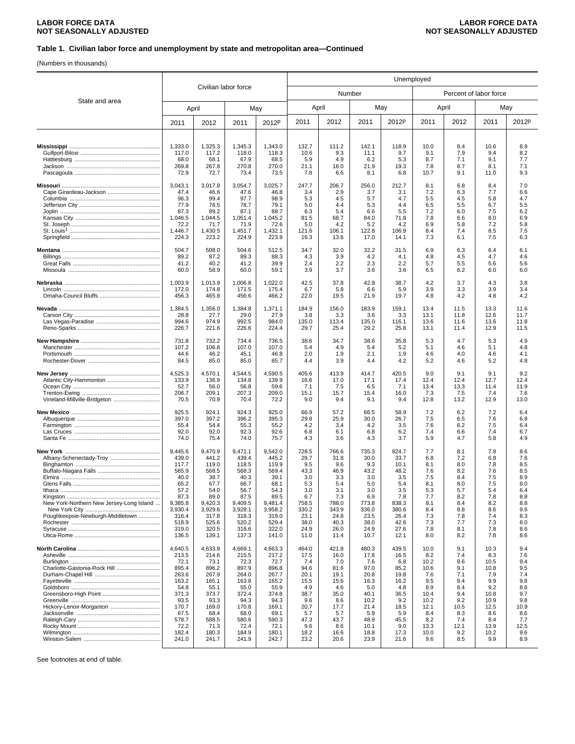#### **Table 1. Civilian labor force and unemployment by state and metropolitan area—Continued**

(Numbers in thousands)

|                                          |         |         |                      |         | Unemployed |       |               |       |      |       |                        |       |
|------------------------------------------|---------|---------|----------------------|---------|------------|-------|---------------|-------|------|-------|------------------------|-------|
|                                          |         |         | Civilian labor force |         |            |       | Number        |       |      |       | Percent of labor force |       |
| State and area                           |         | April   |                      | May     |            | April |               | May   |      | April |                        | May   |
|                                          | 2011    | 2012    | 2011                 | 2012P   | 2011       | 2012  | 2011          | 2012P | 2011 | 2012  | 2011                   | 2012P |
|                                          | 1,333.0 | 1,325.3 | 1,345.3              | 1,343.0 | 132.7      | 111.2 | 142.1         | 118.9 | 10.0 | 8.4   | 10.6                   | 8.9   |
|                                          | 117.0   | 117.2   | 118.0                | 118.3   | 10.6       | 9.3   | 11.1          | 9.7   | 9.1  | 7.9   | 9.4                    | 8.2   |
|                                          | 68.0    | 68.1    | 67.9                 | 68.5    | 5.9        | 4.9   | 6.2           | 5.3   | 8.7  | 7.1   | 9.1                    | 7.7   |
|                                          | 269.8   | 267.8   | 270.8                | 270.0   | 21.1       | 18.0  | 21.9          | 19.3  | 7.8  | 6.7   | 8.1                    | 7.1   |
|                                          | 72.9    | 72.7    | 73.4                 | 73.5    | 7.8        | 6.6   | 8.1           | 6.8   | 10.7 | 9.1   | 11.0                   | 9.3   |
|                                          | 3,043.1 | 3,017.8 | 3,054.7              | 3,025.7 | 247.7      | 206.7 | 256.0         | 212.7 | 8.1  | 6.8   | 8.4                    | 7.0   |
| Cape Girardeau-Jackson                   | 47.4    | 46.6    | 47.6                 | 46.8    | 3.4        | 2.9   | 3.7           | 3.1   | 7.2  | 6.3   | 7.7                    | 6.6   |
|                                          | 96.3    | 99.4    | 97.7                 | 98.9    | 5.3        | 4.5   | 5.7           | 4.7   | 5.5  | 4.5   | 5.8                    | 4.7   |
|                                          | 77.9    | 78.5    | 78.7                 | 79.1    | 5.0        | 4.4   | 5.3           | 4.4   | 6.5  | 5.5   | 6.7                    | 5.5   |
|                                          | 87.3    | 89.2    | 87.1                 | 88.7    | 6.3        | 5.4   | 6.6           | 5.5   | 7.2  | 6.0   | 7.5                    | 6.2   |
|                                          | 1,046.5 | 1,044.5 | 1,051.4              | 1,045.2 | 81.5       | 68.7  | 84.0          | 71.8  | 7.8  | 6.6   | 8.0                    | 6.9   |
|                                          | 72.2    | 71.7    | 71.9                 | 72.6    | 5.0        | 4.2   | 5.2           | 4.2   | 6.9  | 5.8   | 7.2                    | 5.8   |
|                                          | 1,446.7 | 1,430.5 | 1,451.7              | 1,432.1 | 121.6      | 106.1 | 122.8         | 106.9 | 8.4  | 7.4   | 8.5                    | 7.5   |
|                                          | 224.3   | 223.2   | 224.9                | 223.9   | 16.3       | 13.6  | 17.0          | 14.1  | 7.3  | 6.1   | 7.5                    | 6.3   |
|                                          | 504.7   | 508.0   | 504.6                | 512.5   | 34.7       | 32.0  | 32.2          | 31.5  | 6.9  | 6.3   | 6.4                    | 6.1   |
|                                          | 89.2    | 87.2    | 89.3                 | 88.3    | 4.3        | 3.9   | 4.2           | 4.1   | 4.8  | 4.5   | 4.7                    | 4.6   |
|                                          | 41.2    | 40.2    | 41.2                 | 39.9    | 2.4        | 2.2   | 2.3           | 2.2   | 5.7  | 5.5   | 5.6                    | 5.6   |
|                                          | 60.0    | 58.9    | 60.0                 | 59.1    | 3.9        | 3.7   | 3.6           | 3.6   | 6.5  | 6.2   | 6.0                    | 6.0   |
|                                          | 1,003.9 | 1,013.9 | 1,006.8              | 1,022.0 | 42.5       | 37.8  | 42.8          | 38.7  | 4.2  | 3.7   | 4.3                    | 3.8   |
|                                          | 172.0   | 174.8   | 171.5                | 175.4   | 6.7        | 5.8   | 6.6           | 5.9   | 3.9  | 3.3   | 3.9                    | 3.4   |
|                                          | 456.3   | 465.8   | 456.6                | 466.2   | 22.0       | 19.5  | 21.9          | 19.7  | 4.8  | 4.2   | 4.8                    | 4.2   |
|                                          | 1,384.5 | 1,356.0 | 1,384.8              | 1,371.1 | 184.9      | 156.0 | 183.9         | 159.1 | 13.4 | 11.5  | 13.3                   | 11.6  |
|                                          | 28.8    | 27.7    | 29.0                 | 27.9    | 3.8        | 3.3   | 3.6           | 3.3   | 13.1 | 11.8  | 12.6                   | 11.7  |
|                                          | 994.6   | 974.9   | 992.5                | 984.0   | 135.0      | 113.4 | 135.0         | 116.1 | 13.6 | 11.6  | 13.6                   | 11.8  |
|                                          | 226.7   | 221.6   | 226.6                | 224.4   | 29.7       | 25.4  | 29.2          | 25.8  | 13.1 | 11.4  | 12.9                   | 11.5  |
|                                          | 731.8   | 732.2   | 734.4                | 736.5   | 38.6       | 34.7  | 38.6          | 35.8  | 5.3  | 4.7   | 5.3                    | 4.9   |
|                                          | 107.2   | 106.8   | 107.0                | 107.0   | 5.4        | 4.9   | 5.4           | 5.2   | 5.1  | 4.6   | 5.1                    | 4.8   |
|                                          | 44.6    | 46.2    | 45.1                 | 46.8    | 2.0        | 1.9   | 2.1           | 1.9   | 4.6  | 4.0   | 4.6                    | 4.1   |
|                                          | 84.5    | 85.0    | 85.0                 | 85.7    | 4.4        | 3.9   | 4.4           | 4.2   | 5.2  | 4.6   | 5.2                    | 4.8   |
|                                          | 4,525.3 | 4,570.1 | 4,544.5              | 4,590.5 | 405.6      | 413.9 | 414.7         | 420.5 | 9.0  | 9.1   | 9.1                    | 9.2   |
|                                          | 133.9   | 136.9   | 134.8                | 139.9   | 16.6       | 17.0  | 17.1          | 17.4  | 12.4 | 12.4  | 12.7                   | 12.4  |
|                                          | 52.7    | 56.0    | 56.8                 | 59.6    | 7.1        | 7.5   | 6.5           | 7.1   | 13.4 | 13.3  | 11.4                   | 11.9  |
|                                          | 206.7   | 209.1   | 207.3                | 209.0   | 15.1       | 15.7  | 15.4          | 16.0  | 7.3  | 7.5   | 7.4                    | 7.6   |
| Vineland-Millville-Bridgeton             | 70.5    | 70.9    | 70.4                 | 72.2    | 9.0        | 9.4   | 9.1           | 9.4   | 12.8 | 13.2  | 12.9                   | 13.0  |
|                                          | 925.5   | 924.1   | 924.3                | 925.0   | 66.9       | 57.2  | 66.5          | 58.9  | 7.2  | 6.2   | 7.2                    | 6.4   |
|                                          | 397.0   | 397.2   | 396.2                | 395.3   | 29.8       | 25.9  | 30.0          | 26.7  | 7.5  | 6.5   | 7.6                    | 6.8   |
|                                          | 55.4    | 54.4    | 55.3                 | 55.2    | 4.2        | 3.4   | 4.2           | 3.5   | 7.6  | 6.2   | 7.5                    | 6.4   |
|                                          | 92.0    | 92.0    | 92.3                 | 92.6    | 6.8        | 6.1   | 6.8           | 6.2   | 7.4  | 6.6   | 7.4                    | 6.7   |
|                                          | 74.0    | 75.4    | 74.0                 | 75.7    | 4.3        | 3.6   | 4.3           | 3.7   | 5.9  | 4.7   | 5.8                    | 4.9   |
|                                          | 9,445.6 | 9.470.9 | 9,471.1              | 9,542.0 | 728.5      | 766.6 | 735.3         | 824.7 | 7.7  | 8.1   | 7.8                    | 8.6   |
| Albany-Schenectady-Troy                  | 439.0   | 441.2   | 439.4                | 445.2   | 29.7       | 31.8  | 30.0          | 33.7  | 6.8  | 7.2   | 6.8                    | 7.6   |
|                                          | 117.7   | 119.0   | 118.5                | 119.9   | 9.5        | 9.6   | 9.3           | 10.1  | 8.1  | 8.0   | 7.8                    | 8.5   |
|                                          | 565.9   | 568.5   | 568.3                | 569.4   | 43.3       | 46.9  | 43.2          | 48.2  | 7.6  | 8.2   | 7.6                    | 8.5   |
|                                          | 40.0    | 38.7    | 40.3                 | 39.1    | 3.0        | 3.3   | 3.0           | 3.5   | 7.5  | 8.4   | 7.5                    | 8.9   |
|                                          | 65.2    | 67.7    | 66.7                 | 68.1    | 5.3        | 5.4   | 5.0           | 5.4   | 8.1  | 8.0   | 7.5                    | 8.0   |
| Ithaca                                   | 57.2    | 54.0    | 56.7                 | 54.3    | 3.0        | 3.1   | $3.0^{\circ}$ | 3.5   | 5.3  | 5.7   | 5.4                    | 6.4   |
|                                          | 87.3    | 89.0    | 87.5                 | 89.5    | 6.7        | 7.3   | 6.9           | 7.8   | 7.7  | 8.2   | 7.8                    | 8.8   |
| New York-Northern New Jersey-Long Island | 9,385.8 | 9,420.3 | 9,409.5              | 9,481.4 | 758.5      | 788.0 | 773.8         | 838.3 | 8.1  | 8.4   | 8.2                    | 8.8   |
|                                          | 3,930.4 | 3,929.6 | 3,928.1              | 3,958.2 | 330.2      | 343.9 | 336.0         | 380.6 | 8.4  | 8.8   | 8.6                    | 9.6   |
| Poughkeepsie-Newburgh-Middletown         | 316.4   | 317.8   | 318.3                | 319.0   | 23.1       | 24.8  | 23.5          | 26.4  | 7.3  | 7.8   | 7.4                    | 8.3   |
|                                          | 518.9   | 525.6   | 520.2                | 529.4   | 38.0       | 40.3  | 38.0          | 42.6  | 7.3  | 7.7   | 7.3                    | 8.0   |
|                                          | 319.0   | 320.5   | 318.6                | 322.0   | 24.9       | 26.0  | 24.9          | 27.6  | 7.8  | 8.1   | 7.8                    | 8.6   |
|                                          | 136.5   | 139.1   | 137.3                | 141.0   | 11.0       | 11.4  | 10.7          | 12.1  | 8.0  | 8.2   | 7.8                    | 8.6   |
|                                          | 4,640.5 | 4,633.9 | 4.669.1              | 4,663.3 | 464.0      | 421.8 | 480.3         | 439.5 | 10.0 | 9.1   | 10.3                   | 9.4   |
|                                          | 213.5   | 214.6   | 215.5                | 217.2   | 17.5       | 16.0  | 17.8          | 16.5  | 8.2  | 7.4   | 8.3                    | 7.6   |
|                                          | 72.1    | 73.1    | 72.3                 | 72.7    | 7.4        | 7.0   | 7.6           | 6.8   | 10.2 | 9.6   | 10.5                   | 9.4   |
| Charlotte-Gastonia-Rock Hill             | 895.4   | 896.2   | 897.9                | 896.8   | 94.6       | 81.6  | 97.0          | 85.2  | 10.6 | 9.1   | 10.8                   | 9.5   |
|                                          | 263.6   | 267.9   | 264.0                | 267.7   | 20.1       | 19.1  | 20.8          | 19.8  | 7.6  | 7.1   | 7.9                    | 7.4   |
|                                          | 163.2   | 165.1   | 163.8                | 165.2   | 15.5       | 15.6  | 16.3          | 16.2  | 9.5  | 9.4   | 9.9                    | 9.8   |
|                                          | 54.8    | 55.1    | 55.0                 | 55.9    | 4.9        | 4.6   | 5.0           | 4.8   | 8.9  | 8.4   | 9.2                    | 8.6   |
|                                          | 371.3   | 373.7   | 372.4                | 374.8   | 38.7       | 35.0  | 40.1          | 36.5  | 10.4 | 9.4   | 10.8                   | 9.7   |
|                                          | 93.5    | 93.3    | 94.3                 | 94.3    | 9.6        | 8.6   | 10.2          | 9.2   | 10.2 | 9.2   | 10.9                   | 9.8   |
| Hickory-Lenoir-Morganton                 | 170.7   | 169.0   | 170.8                | 169.1   | 20.7       | 17.7  | 21.4          | 18.5  | 12.1 | 10.5  | 12.5                   | 10.9  |
|                                          | 67.5    | 68.4    | 68.0                 | 69.1    | 5.7        | 5.7   | 5.9           | 5.9   | 8.4  | 8.3   | 8.6                    | 8.6   |
|                                          | 578.7   | 588.5   | 580.6                | 590.3   | 47.3       | 43.7  | 48.9          | 45.5  | 8.2  | 7.4   | 8.4                    | 7.7   |
|                                          | 72.2    | 71.3    | 72.4                 | 72.1    | 9.6        | 8.6   | 10.1          | 9.0   | 13.3 | 12.1  | 13.9                   | 12.5  |
|                                          | 182.4   | 180.3   | 184.9                | 180.1   | 18.2       | 16.6  | 18.8          | 17.3  | 10.0 | 9.2   | 10.2                   | 9.6   |
|                                          | 241.0   | 241.7   | 241.9                | 242.7   | 23.2       | 20.6  | 23.9          | 21.6  | 9.6  | 8.5   | 9.9                    | 8.9   |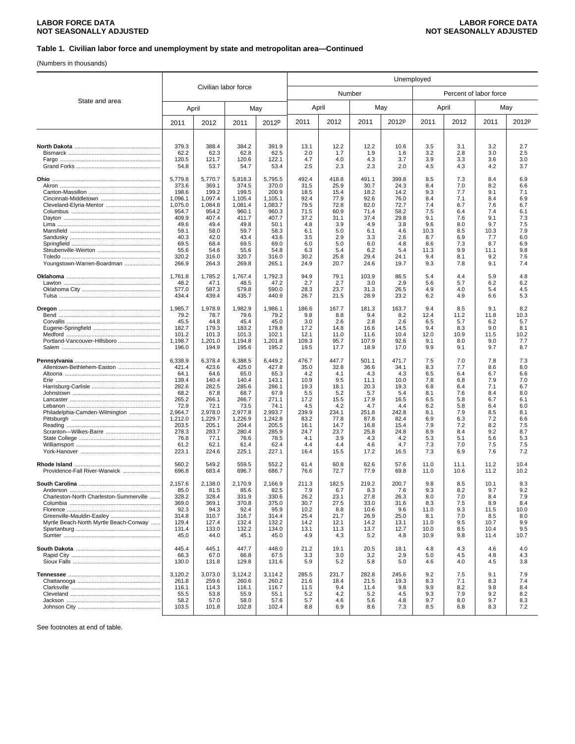#### **Table 1. Civilian labor force and unemployment by state and metropolitan area—Continued**

(Numbers in thousands)

|                                         |                  |                      |                  | Unemployed       |              |              |              |              |              |              |                        |              |
|-----------------------------------------|------------------|----------------------|------------------|------------------|--------------|--------------|--------------|--------------|--------------|--------------|------------------------|--------------|
|                                         |                  | Civilian labor force |                  |                  |              |              | Number       |              |              |              | Percent of labor force |              |
| State and area                          |                  | April                |                  | May              | April        |              |              | May          |              | April        |                        | May          |
|                                         | 2011             | 2012                 | 2011             | 2012P            | 2011         | 2012         | 2011         | 2012P        | 2011         | 2012         | 2011                   | 2012P        |
|                                         |                  |                      |                  |                  |              |              |              |              |              |              |                        |              |
|                                         | 379.3<br>62.2    | 388.4<br>62.3        | 384.2<br>62.8    | 391.9<br>62.5    | 13.1<br>2.0  | 12.2<br>1.7  | 12.2<br>1.9  | 10.6<br>1.6  | 3.5<br>3.2   | 3.1<br>2.8   | 3.2<br>3.0             | 2.7<br>2.5   |
|                                         | 120.5            | 121.7                | 120.6            | 122.1            | 4.7          | 4.0          | 4.3          | 3.7          | 3.9          | 3.3          | 3.6                    | 3.0          |
|                                         | 54.8             | 53.7                 | 54.7             | 53.4             | 2.5          | 2.3          | 2.3          | 2.0          | 4.5          | 4.3          | 4.2                    | 3.7          |
|                                         | 5,779.8          | 5,770.7              | 5,818.3          | 5,795.5          | 492.4        | 418.8        | 491.1        | 399.8        | 8.5          | 7.3          | 8.4                    | 6.9          |
|                                         | 373.6            | 369.1                | 374.5            | 370.0            | 31.5         | 25.9         | 30.7         | 24.3         | 8.4          | 7.0          | 8.2                    | 6.6          |
|                                         | 198.6            | 199.2                | 199.5            | 200.9            | 18.5         | 15.4         | 18.2         | 14.2         | 9.3          | 7.7          | 9.1                    | 7.1          |
|                                         | 1,096.1          | 1,097.4              | 1,105.4          | 1,105.1          | 92.4         | 77.9         | 92.6<br>82.0 | 76.0         | 8.4          | 7.1          | 8.4                    | 6.9          |
|                                         | 1,075.0<br>954.7 | 1,084.8<br>954.2     | 1,081.4<br>960.1 | 1,083.7<br>960.3 | 79.5<br>71.5 | 72.8<br>60.9 | 71.4         | 72.7<br>58.2 | 7.4<br>7.5   | 6.7<br>6.4   | 7.6<br>7.4             | 6.7<br>6.1   |
|                                         | 409.9            | 407.4                | 411.7            | 407.7            | 37.2         | 31.1         | 37.4         | 29.8         | 9.1          | 7.6          | 9.1                    | 7.3          |
|                                         | 49.6             | 49.4                 | 49.8             | 50.1             | 4.8          | 3.9          | 4.9          | 3.8          | 9.6          | 8.0          | 9.7                    | 7.5          |
|                                         | 59.1             | 58.0                 | 59.7             | 58.3             | 6.1          | 5.0          | 6.1          | 4.6          | 10.3         | 8.5          | 10.3                   | 7.9          |
|                                         | 40.3<br>69.5     | 42.0<br>68.4         | 43.4<br>69.5     | 43.6<br>69.0     | 3.5<br>6.0   | 2.9<br>5.0   | 3.3<br>6.0   | 2.6<br>4.8   | 8.7<br>8.6   | 6.9<br>7.3   | 7.7<br>8.7             | 6.0<br>6.9   |
|                                         | 55.6             | 54.6                 | 55.6             | 54.8             | 6.3          | 5.4          | 6.2          | 5.4          | 11.3         | 9.9          | 11.1                   | 9.8          |
|                                         | 320.2            | 316.0                | 320.7            | 316.0            | 30.2         | 25.8         | 29.4         | 24.1         | 9.4          | 8.1          | 9.2                    | 7.6          |
| Youngstown-Warren-Boardman              | 266.9            | 264.3                | 269.8            | 265.1            | 24.9         | 20.7         | 24.6         | 19.7         | 9.3          | 7.8          | 9.1                    | 7.4          |
|                                         | 1,761.8          | 1,785.2              | 1.767.4          | 1,792.3          | 94.9         | 79.1         | 103.9        | 86.5         | 5.4          | 4.4          | 5.9                    | 4.8          |
|                                         | 48.2<br>577.0    | 47.1<br>587.3        | 48.5<br>579.8    | 47.2<br>590.0    | 2.7<br>28.3  | 2.7<br>23.7  | 3.0<br>31.3  | 2.9<br>26.5  | 5.6<br>4.9   | 5.7<br>4.0   | 6.2<br>5.4             | 6.2<br>4.5   |
|                                         | 434.4            | 439.4                | 435.7            | 440.9            | 26.7         | 21.5         | 28.9         | 23.2         | 6.2          | 4.9          | 6.6                    | 5.3          |
|                                         | 1,985.7          | 1,978.9              | 1,982.9          | 1,986.1          | 186.6        | 167.7        | 181.3        | 163.7        | 9.4          | 8.5          | 9.1                    | 8.2          |
| Bend                                    | 79.2             | 78.7                 | 79.6             | 79.2             | 9.8          | 8.8          | 9.4          | 8.2          | 12.4         | 11.2         | 11.8                   | 10.3         |
|                                         | 45.5<br>182.7    | 44.8<br>179.3        | 45.4<br>183.2    | 45.0<br>178.8    | 3.0<br>17.2  | 2.6<br>14.8  | 2.8<br>16.6  | 2.6<br>14.5  | 6.5<br>9.4   | 5.7<br>8.3   | 6.2<br>9.0             | 5.7<br>8.1   |
|                                         | 101.2            | 101.3                | 101.3            | 102.1            | 12.1         | 11.0         | 11.6         | 10.4         | 12.0         | 10.9         | 11.5                   | 10.2         |
|                                         | 1,198.7          | 1.201.0              | 1,194.8          | 1,201.8          | 109.3        | 95.7         | 107.9        | 92.6         | 9.1          | 8.0          | 9.0                    | 7.7          |
|                                         | 196.0            | 194.9                | 195.6            | 195.2            | 19.5         | 17.7         | 18.9         | 17.0         | 9.9          | 9.1          | 9.7                    | 8.7          |
|                                         | 6,338.9          | 6,378.4              | 6,388.5          | 6,449.2          | 476.7        | 447.7        | 501.1        | 471.7        | 7.5          | 7.0          | 7.8                    | 7.3          |
| Allentown-Bethlehem-Easton              | 421.4<br>64.1    | 423.6<br>64.6        | 425.0<br>65.0    | 427.8<br>65.3    | 35.0<br>4.2  | 32.8<br>4.1  | 36.6<br>4.3  | 34.1<br>4.3  | 8.3<br>6.5   | 7.7<br>6.4   | 8.6<br>6.7             | 8.0<br>6.6   |
|                                         | 139.4            | 140.4                | 140.4            | 143.1            | 10.9         | 9.5          | 11.1         | 10.0         | 7.8          | 6.8          | 7.9                    | 7.0          |
|                                         | 282.6            | 282.5                | 285.6            | 286.1            | 19.3         | 18.1         | 20.3         | 19.3         | 6.8          | 6.4          | 7.1                    | 6.7          |
|                                         | 68.2             | 67.8                 | 68.7             | 67.9             | 5.5          | 5.2          | 5.7          | 5.4          | 8.1          | 7.6          | 8.4                    | 8.0          |
|                                         | 265.2            | 266.1                | 266.7<br>73.5    | 271.1            | 17.2<br>4.5  | 15.5         | 17.9         | 16.5         | 6.5          | 5.8<br>5.8   | 6.7<br>6.4             | 6.1<br>6.0   |
| Philadelphia-Camden-Wilmington          | 72.9<br>2,964.7  | 72.1<br>2,978.0      | 2,977.8          | 74.1<br>2,993.7  | 239.9        | 4.2<br>234.1 | 4.7<br>251.8 | 4.4<br>242.8 | 6.2<br>8.1   | 7.9          | 8.5                    | 8.1          |
|                                         | 1,212.0          | 1,229.7              | 1,226.9          | 1,242.8          | 83.2         | 77.8         | 87.8         | 82.4         | 6.9          | 6.3          | 7.2                    | 6.6          |
|                                         | 203.5            | 205.1                | 204.4            | 205.5            | 16.1         | 14.7         | 16.8         | 15.4         | 7.9          | 7.2          | 8.2                    | 7.5          |
|                                         | 278.3<br>76.8    | 283.7<br>77.1        | 280.4<br>76.6    | 285.9<br>78.5    | 24.7<br>4.1  | 23.7<br>3.9  | 25.8<br>4.3  | 24.8<br>4.2  | 8.9<br>5.3   | 8.4<br>5.1   | 9.2<br>5.6             | 8.7<br>5.3   |
|                                         | 61.2             | 62.1                 | 61.4             | 62.4             | 4.4          | 4.4          | 4.6          | 4.7          | 7.3          | 7.0          | 7.5                    | 7.5          |
|                                         | 223.1            | 224.6                | 225.1            | 227.1            | 16.4         | 15.5         | 17.2         | 16.5         | 7.3          | 6.9          | 7.6                    | 7.2          |
| Providence-Fall River-Warwick           | 560.2<br>696.8   | 549.2<br>683.4       | 559.5<br>696.7   | 552.2<br>686.7   | 61.4<br>76.6 | 60.8<br>72.7 | 62.6<br>77.9 | 57.6<br>69.8 | 11.0<br>11.0 | 11.1<br>10.6 | 11.2<br>11.2           | 10.4<br>10.2 |
|                                         | 2,157.6          | 2,138.0              | 2,170.9          | 2,166.9          | 211.3        | 182.5        | 219.2        | 200.7        | 9.8          | 8.5          | 10.1                   | 9.3          |
|                                         | 85.0             | 81.5                 | 85.6             | 82.5             | 7.9          | 6.7          | 8.3          | 7.6          | 9.3          | 8.2          | 9.7                    | 9.2          |
| Charleston-North Charleston-Summerville | 328.2<br>369.0   | 328.4<br>369.1       | 331.9<br>370.8   | 330.6<br>375.0   | 26.2<br>30.7 | 23.1<br>27.5 | 27.8<br>33.0 | 26.3<br>31.6 | 8.0<br>8.3   | 7.0<br>7.5   | 8.4<br>8.9             | 7.9<br>8.4   |
|                                         | 92.3             | 94.3                 | 92.4             | 95.9             | 10.2         | 8.8          | 10.6         | 9.6          | 11.0         | 9.3          | 11.5                   | 10.0         |
| Greenville-Mauldin-Easley               | 314.8            | 310.7                | 316.7            | 314.4            | 25.4         | 21.7         | 26.9         | 25.0         | 8.1          | 7.0          | 8.5                    | 8.0          |
| Myrtle Beach-North Myrtle Beach-Conway  | 129.4            | 127.4                | 132.4            | 132.2            | 14.2         | 12.1         | 14.2         | 13.1         | 11.0         | 9.5          | 10.7                   | 9.9          |
|                                         | 131.4<br>45.0    | 133.0<br>44.0        | 132.2<br>45.1    | 134.0<br>45.0    | 13.1<br>4.9  | 11.3<br>4.3  | 13.7<br>5.2  | 12.7<br>4.8  | 10.0<br>10.9 | 8.5<br>9.8   | 10.4<br>11.4           | 9.5<br>10.7  |
|                                         | 445.4            | 445.1                | 447.7            | 448.0            | 21.2         | 19.1         | 20.5         | 18.1         | 4.8          | 4.3          | 4.6                    | 4.0          |
|                                         | 66.3             | 67.0                 | 66.8             | 67.5             | 3.3          | 3.0          | 3.2          | 2.9          | 5.0          | 4.5          | 4.8                    | 4.3          |
|                                         | 130.0            | 131.8                | 129.8            | 131.6            | 5.9          | 5.2          | 5.8          | 5.0          | 4.6          | 4.0          | 4.5                    | 3.8          |
|                                         | 3,120.2          | 3,073.0              | 3,124.2          | 3,114.2          | 285.5        | 231.7        | 282.8        | 245.6        | 9.2          | 7.5          | 9.1                    | 7.9          |
|                                         | 261.8<br>116.1   | 259.6<br>114.3       | 260.6<br>116.1   | 260.2<br>116.7   | 21.6<br>11.5 | 18.4<br>9.4  | 21.5<br>11.4 | 19.3<br>9.8  | 8.3<br>9.9   | 7.1<br>8.2   | 8.3<br>9.8             | 7.4<br>8.4   |
|                                         | 55.5             | 53.8                 | 55.9             | 55.1             | 5.2          | 4.2          | 5.2          | 4.5          | 9.3          | 7.9          | 9.2                    | 8.2          |
|                                         | 58.2             | 57.0                 | 58.0             | 57.6             | 5.7          | 4.6          | 5.6          | 4.8          | 9.7          | 8.0          | 9.7                    | 8.3          |
|                                         | 103.5            | 101.8                | 102.8            | 102.4            | 8.8          | 6.9          | 8.6          | 7.3          | 8.5          | 6.8          | 8.3                    | 7.2          |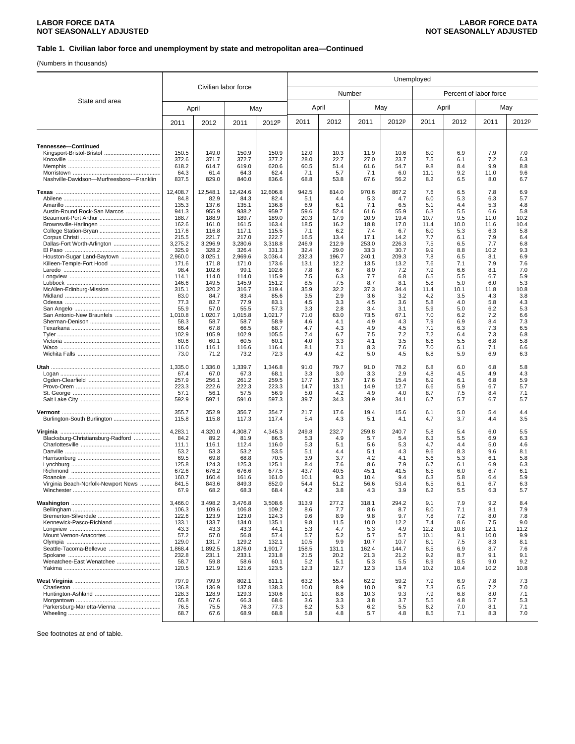#### **Table 1. Civilian labor force and unemployment by state and metropolitan area—Continued**

(Numbers in thousands)

|                                          |                  |                  |                      |                  | Unemployed    |               |               |               |             |                        |             |             |
|------------------------------------------|------------------|------------------|----------------------|------------------|---------------|---------------|---------------|---------------|-------------|------------------------|-------------|-------------|
|                                          |                  |                  | Civilian labor force |                  |               | Number        |               |               |             | Percent of labor force |             |             |
| State and area                           |                  | April            | May                  |                  | April         |               | May           |               |             | April                  |             | May         |
|                                          | 2011             | 2012             | 2011                 | 2012P            | 2011          | 2012          | 2011          | 2012P         | 2011        | 2012                   | 2011        | 2012P       |
|                                          |                  |                  |                      |                  |               |               |               |               |             |                        |             |             |
| Tennessee-Continued                      | 150.5            | 149.0            | 150.9                | 150.9            | 12.0          | 10.3          | 11.9          | 10.6          | 8.0         | 6.9                    | 7.9         | 7.0         |
|                                          | 372.6            | 371.7            | 372.7                | 377.2            | 28.0          | 22.7          | 27.0          | 23.7          | 7.5         | 6.1                    | 7.2         | 6.3         |
|                                          | 618.2            | 614.7            | 619.0                | 620.6            | 60.5          | 51.4          | 61.6          | 54.7          | 9.8         | 8.4                    | 9.9         | 8.8         |
| Nashville-Davidson-Murfreesboro-Franklin | 64.3<br>837.5    | 61.4<br>829.0    | 64.3<br>840.0        | 62.4<br>836.6    | 7.1<br>68.8   | 5.7<br>53.8   | 7.1<br>67.6   | 6.0<br>56.2   | 11.1<br>8.2 | 9.2<br>6.5             | 11.0<br>8.0 | 9.6<br>6.7  |
|                                          | 12,408.7         | 12,548.1         | 12,424.6             | 12,606.8         | 942.5         | 814.0         | 970.6         | 867.2         | 7.6         | 6.5                    | 7.8         | 6.9         |
|                                          | 84.8             | 82.9             | 84.3                 | 82.4             | 5.1           | 4.4           | 5.3           | 4.7           | 6.0         | 5.3                    | 6.3         | 5.7         |
|                                          | 135.3            | 137.6            | 135.1                | 136.8            | 6.9           | 6.1           | 7.1           | 6.5           | 5.1         | 4.4                    | 5.3         | 4.8         |
| Austin-Round Rock-San Marcos             | 941.3<br>188.7   | 955.9<br>188.9   | 938.2<br>189.7       | 959.7<br>189.0   | 59.6<br>20.3  | 52.4<br>17.9  | 61.6<br>20.9  | 55.9<br>19.4  | 6.3<br>10.7 | 5.5<br>9.5             | 6.6<br>11.0 | 5.8<br>10.2 |
|                                          | 162.6            | 161.0            | 161.5                | 163.4            | 18.5          | 16.2          | 18.8          | 17.0          | 11.4        | 10.0                   | 11.6        | 10.4        |
|                                          | 117.6            | 116.8            | 117.1                | 115.5            | 7.1           | 6.2           | 7.4           | 6.7           | 6.0         | 5.3                    | 6.3         | 5.8         |
|                                          | 215.5            | 221.7            | 217.0                | 222.7            | 16.5          | 13.4          | 17.1          | 14.2          | 7.7         | 6.1                    | 7.9         | 6.4         |
| Dallas-Fort Worth-Arlington              | 3,275.2          | 3,296.9<br>328.2 | 3,280.6              | 3,318.8          | 246.9         | 212.9         | 253.0         | 226.3         | 7.5<br>9.9  | 6.5                    | 7.7<br>10.2 | 6.8         |
| Houston-Sugar Land-Baytown               | 325.9<br>2.960.0 | 3.025.1          | 326.4<br>2,969.6     | 331.3<br>3,036.4 | 32.4<br>232.3 | 29.0<br>196.7 | 33.3<br>240.1 | 30.7<br>209.3 | 7.8         | 8.8<br>6.5             | 8.1         | 9.3<br>6.9  |
|                                          | 171.6            | 171.8            | 171.0                | 173.6            | 13.1          | 12.2          | 13.5          | 13.2          | 7.6         | 7.1                    | 7.9         | 7.6         |
|                                          | 98.4             | 102.6            | 99.1                 | 102.6            | 7.8           | 6.7           | 8.0           | 7.2           | 7.9         | 6.6                    | 8.1         | 7.0         |
|                                          | 114.1            | 114.0            | 114.0                | 115.9            | 7.5           | 6.3           | 7.7           | 6.8           | 6.5         | 5.5                    | 6.7         | 5.9         |
|                                          | 146.6<br>315.1   | 149.5<br>320.2   | 145.9<br>316.7       | 151.2<br>319.4   | 8.5<br>35.9   | 7.5<br>32.2   | 8.7<br>37.3   | 8.1<br>34.4   | 5.8<br>11.4 | 5.0<br>10.1            | 6.0<br>11.8 | 5.3<br>10.8 |
|                                          | 83.0             | 84.7             | 83.4                 | 85.6             | 3.5           | 2.9           | 3.6           | 3.2           | 4.2         | 3.5                    | 4.3         | 3.8         |
|                                          | 77.3             | 82.7             | 77.9                 | 83.1             | 4.5           | 3.3           | 4.5           | 3.6           | 5.8         | 4.0                    | 5.8         | 4.3         |
|                                          | 55.9             | 57.0             | 55.5                 | 57.3             | 3.3           | 2.8           | 3.4           | 3.1           | 5.9         | 5.0                    | 6.2         | 5.3         |
| San Antonio-New Braunfels                | 1,010.8<br>58.3  | 1,020.7<br>58.7  | 1,015.8<br>58.7      | 1,021.7<br>58.9  | 71.0<br>4.6   | 63.0<br>4.1   | 73.5<br>4.9   | 67.1<br>4.3   | 7.0<br>7.9  | 6.2<br>6.9             | 7.2<br>8.4  | 6.6<br>7.3  |
|                                          | 66.4             | 67.8             | 66.5                 | 68.7             | 4.7           | 4.3           | 4.9           | 4.5           | 7.1         | 6.3                    | 7.3         | 6.5         |
|                                          | 102.9            | 105.9            | 102.9                | 105.5            | 7.4           | 6.7           | 7.5           | 7.2           | 7.2         | 6.4                    | 7.3         | 6.8         |
|                                          | 60.6             | 60.1             | 60.5                 | 60.1             | 4.0           | 3.3           | 4.1           | 3.5           | 6.6         | 5.5                    | 6.8         | 5.8         |
|                                          | 116.0<br>73.0    | 116.1<br>71.2    | 116.6<br>73.2        | 116.4<br>72.3    | 8.1<br>4.9    | 7.1<br>4.2    | 8.3<br>5.0    | 7.6<br>4.5    | 7.0<br>6.8  | 6.1<br>5.9             | 7.1<br>6.9  | 6.6<br>6.3  |
|                                          |                  |                  |                      |                  |               |               |               |               |             |                        |             |             |
|                                          | 1,335.0          | 1,336.0          | 1,339.7              | 1,346.8          | 91.0          | 79.7          | 91.0          | 78.2          | 6.8         | 6.0                    | 6.8         | 5.8         |
|                                          | 67.4             | 67.0             | 67.3                 | 68.1             | 3.3           | 3.0           | 3.3           | 2.9           | 4.8         | 4.5                    | 4.9         | 4.3<br>5.9  |
|                                          | 257.9<br>223.3   | 256.1<br>222.6   | 261.2<br>222.3       | 259.5<br>223.3   | 17.7<br>14.7  | 15.7<br>13.1  | 17.6<br>14.9  | 15.4<br>12.7  | 6.9<br>6.6  | 6.1<br>5.9             | 6.8<br>6.7  | 5.7         |
|                                          | 57.1             | 56.1             | 57.5                 | 56.9             | 5.0           | 4.2           | 4.9           | 4.0           | 8.7         | 7.5                    | 8.4         | 7.1         |
|                                          | 592.9            | 597.1            | 591.0                | 597.3            | 39.7          | 34.3          | 39.9          | 34.1          | 6.7         | 5.7                    | 6.7         | 5.7         |
| Burlington-South Burlington              | 355.7<br>115.8   | 352.9<br>115.8   | 356.7<br>117.3       | 354.7<br>117.4   | 21.7<br>5.4   | 17.6<br>4.3   | 19.4<br>5.1   | 15.6<br>4.1   | 6.1<br>4.7  | 5.0<br>3.7             | 5.4<br>4.4  | 4.4<br>3.5  |
|                                          |                  |                  |                      |                  |               |               |               |               |             |                        |             |             |
| Blacksburg-Christiansburg-Radford        | 4,283.1<br>84.2  | 4,320.0<br>89.2  | 4,308.7<br>81.9      | 4,345.3<br>86.5  | 249.8<br>5.3  | 232.7<br>4.9  | 259.8<br>5.7  | 240.7<br>5.4  | 5.8<br>6.3  | 5.4<br>5.5             | 6.0<br>6.9  | 5.5<br>6.3  |
|                                          | 111.1            | 116.1            | 112.4                | 116.0            | 5.3           | 5.1           | 5.6           | 5.3           | 4.7         | 4.4                    | 5.0         | 4.6         |
|                                          | 53.2             | 53.3             | 53.2                 | 53.5             | 5.1           | 4.4           | 5.1           | 4.3           | 9.6         | 8.3                    | 9.6         | 8.1         |
|                                          | 69.5             | 69.8             | 68.8                 | 70.5             | 3.9           | 3.7           | 4.2           | 4.1           | 5.6         | 5.3                    | 6.1         | 5.8         |
|                                          | 125.8<br>672.6   | 124.3<br>676.2   | 125.3<br>676.6       | 125.1<br>677.5   | 8.4<br>43.7   | 7.6<br>40.5   | 8.6<br>45.1   | 7.9<br>41.5   | 6.7<br>6.5  | 6.1<br>6.0             | 6.9<br>6.7  | 6.3<br>6.1  |
|                                          | 160.7            | 160.4            | 161.6                | 161.0            | 10.1          | 9.3           | 10.4          | 9.4           | 6.3         | 5.8                    | 6.4         | 5.9         |
| Virginia Beach-Norfolk-Newport News      | 841.5            | 843.6            | 849.3                | 852.0            | 54.4          | 51.2          | 56.6          | 53.4          | 6.5         | 6.1                    | 6.7         | 6.3         |
|                                          | 67.9             | 68.2             | 68.3                 | 68.4             | 4.2           | 3.8           | 4.3           | 3.9           | 6.2         | 5.5                    | 6.3         | 5.7         |
|                                          | 3,466.0          | 3,498.2          | 3,476.8              | 3,508.6          | 313.9         | 277.2         | 318.1         | 294.2         | 9.1         | 7.9                    | 9.2         | 8.4         |
|                                          | 106.3            | 109.6            | 106.8                | 109.2            | 8.6           | 7.7           | 8.6           | 8.7           | 8.0         | 7.1                    | 8.1         | 7.9         |
|                                          | 122.6            | 123.9            | 123.0                | 124.3            | 9.6           | 8.9           | 9.8           | 9.7           | 7.8         | 7.2                    | 8.0         | 7.8         |
| Kennewick-Pasco-Richland                 | 133.1<br>43.3    | 133.7<br>43.3    | 134.0<br>43.3        | 135.1<br>44.1    | 9.8<br>5.3    | 11.5<br>4.7   | 10.0<br>5.3   | 12.2<br>4.9   | 7.4<br>12.2 | 8.6<br>10.8            | 7.5<br>12.1 | 9.0<br>11.2 |
|                                          | 57.2             | 57.0             | 56.8                 | 57.4             | 5.7           | 5.2           | 5.7           | 5.7           | 10.1        | 9.1                    | 10.0        | 9.9         |
|                                          | 129.0            | 131.7            | 129.2                | 132.1            | 10.5          | 9.9           | 10.7          | 10.7          | 8.1         | 7.5                    | 8.3         | 8.1         |
|                                          | 1,868.4          | 1,892.5          | 1,876.0              | 1,901.7          | 158.5         | 131.1         | 162.4         | 144.7         | 8.5         | 6.9                    | 8.7         | 7.6         |
| Wenatchee-East Wenatchee                 | 232.8<br>58.7    | 231.1<br>59.8    | 233.1<br>58.6        | 231.8<br>60.1    | 21.5<br>5.2   | 20.2<br>5.1   | 21.3<br>5.3   | 21.2<br>5.5   | 9.2<br>8.9  | 8.7<br>8.5             | 9.1<br>9.0  | 9.1<br>9.2  |
|                                          | 120.5            | 121.9            | 121.6                | 123.5            | 12.3          | 12.7          | 12.3          | 13.4          | 10.2        | 10.4                   | 10.2        | 10.8        |
|                                          | 797.9            | 799.9            | 802.1                | 811.1            | 63.2          | 55.4          | 62.2          | 59.2          | 7.9         | 6.9                    | 7.8         | 7.3         |
|                                          | 136.8            | 136.9            | 137.8                | 138.3            | 10.0          | 8.9           | 10.0          | 9.7           | 7.3         | 6.5                    | 7.2         | 7.0         |
|                                          | 128.3<br>65.8    | 128.9<br>67.6    | 129.3<br>66.3        | 130.6<br>68.6    | 10.1<br>3.6   | 8.8<br>3.3    | 10.3<br>3.8   | 9.3<br>3.7    | 7.9<br>5.5  | 6.8<br>4.8             | 8.0<br>5.7  | 7.1<br>5.3  |
| Parkersburg-Marietta-Vienna              | 76.5             | 75.5             | 76.3                 | 77.3             | 6.2           | 5.3           | 6.2           | 5.5           | 8.2         | 7.0                    | 8.1         | 7.1         |
|                                          | 68.7             | 67.6             | 68.9                 | 68.8             | 5.8           | 4.8           | 5.7           | 4.8           | 8.5         | 7.1                    | 8.3         | 7.0         |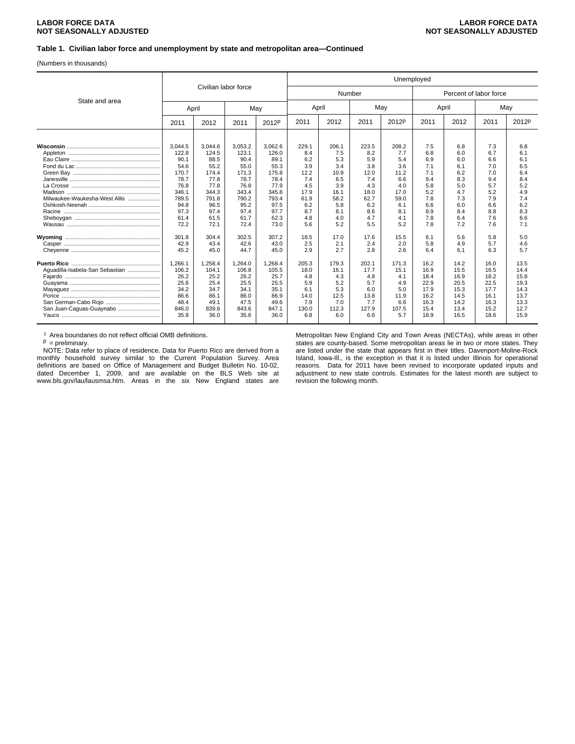#### **Table 1. Civilian labor force and unemployment by state and metropolitan area—Continued**

(Numbers in thousands)

|                                 | Civilian labor force |         |         |         | Unemployed |        |       |       |      |                        |      |       |
|---------------------------------|----------------------|---------|---------|---------|------------|--------|-------|-------|------|------------------------|------|-------|
|                                 |                      |         |         |         |            | Number |       |       |      | Percent of labor force |      |       |
| State and area                  | April                |         | May     |         | April      |        | May   |       |      | April                  |      | May   |
|                                 | 2011                 | 2012    | 2011    | 2012P   | 2011       | 2012   | 2011  | 2012P | 2011 | 2012                   | 2011 | 2012P |
|                                 |                      |         |         |         |            |        |       |       |      |                        |      |       |
|                                 | 3,044.5              | 3.044.6 | 3,053.2 | 3.062.6 | 229.1      | 206.1  | 223.5 | 208.2 | 7.5  | 6.8                    | 7.3  | 6.8   |
|                                 | 122.8                | 124.5   | 123.1   | 126.0   | 8.4        | 7.5    | 8.2   | 7.7   | 6.8  | 6.0                    | 6.7  | 6.1   |
|                                 | 90.1                 | 88.5    | 90.4    | 89.1    | 6.2        | 5.3    | 5.9   | 5.4   | 6.9  | 6.0                    | 6.6  | 6.1   |
|                                 | 54.6                 | 55.2    | 55.0    | 55.3    | 3.9        | 3.4    | 3.8   | 3.6   | 7.1  | 6.1                    | 7.0  | 6.5   |
|                                 | 170.7                | 174.4   | 171.3   | 175.8   | 12.2       | 10.9   | 12.0  | 11.2  | 7.1  | 6.2                    | 7.0  | 6.4   |
|                                 | 78.7                 | 77.8    | 78.7    | 78.4    | 7.4        | 6.5    | 7.4   | 6.6   | 9.4  | 8.3                    | 9.4  | 8.4   |
|                                 | 76.8                 | 77.8    | 76.8    | 77.9    | 4.5        | 3.9    | 4.3   | 4.0   | 5.8  | 5.0                    | 5.7  | 5.2   |
|                                 | 346.1                | 344.3   | 343.4   | 345.8   | 17.9       | 16.1   | 18.0  | 17.0  | 5.2  | 4.7                    | 5.2  | 4.9   |
| Milwaukee-Waukesha-West Allis   | 789.5                | 791.8   | 790.2   | 793.4   | 61.9       | 58.2   | 62.7  | 59.0  | 7.8  | 7.3                    | 7.9  | 7.4   |
|                                 | 94.8                 | 96.5    | 95.2    | 97.5    | 6.2        | 5.8    | 6.2   | 6.1   | 6.6  | 6.0                    | 6.6  | 6.2   |
|                                 | 97.3                 | 97.4    | 97.4    | 97.7    | 8.7        | 8.1    | 8.6   | 8.1   | 8.9  | 8.4                    | 8.8  | 8.3   |
|                                 | 61.4                 | 61.5    | 61.7    | 62.3    | 4.8        | 4.0    | 4.7   | 4.1   | 7.8  | 6.4                    | 7.6  | 6.6   |
|                                 | 72.2                 | 72.1    | 72.4    | 73.0    | 5.6        | 5.2    | 5.5   | 5.2   | 7.8  | 7.2                    | 7.6  | 7.1   |
|                                 | 301.8                | 304.4   | 302.5   | 307.2   | 18.5       | 17.0   | 17.6  | 15.5  | 6.1  | 5.6                    | 5.8  | 5.0   |
|                                 | 42.9                 | 43.4    | 42.6    | 43.0    | 2.5        | 2.1    | 2.4   | 2.0   | 5.8  | 4.9                    | 5.7  | 4.6   |
|                                 | 45.2                 | 45.0    | 44.7    | 45.0    | 2.9        | 2.7    | 2.8   | 2.6   | 6.4  | 6.1                    | 6.3  | 5.7   |
|                                 | 1,266.1              | 1,258.4 | 1.264.0 | 1.268.4 | 205.3      | 179.3  | 202.1 | 171.3 | 16.2 | 14.2                   | 16.0 | 13.5  |
| Aguadilla-Isabela-San Sebastian | 106.2                | 104.1   | 106.8   | 105.5   | 18.0       | 16.1   | 17.7  | 15.1  | 16.9 | 15.5                   | 16.5 | 14.4  |
|                                 | 26.2                 | 25.2    | 26.2    | 25.7    | 4.8        | 4.3    | 4.8   | 4.1   | 18.4 | 16.9                   | 18.2 | 15.8  |
|                                 | 25.6                 | 25.4    | 25.5    | 25.5    | 5.9        | 5.2    | 5.7   | 4.9   | 22.9 | 20.5                   | 22.5 | 19.3  |
|                                 | 34.2                 | 34.7    | 34.1    | 35.1    | 6.1        | 5.3    | 6.0   | 5.0   | 17.9 | 15.3                   | 17.7 | 14.3  |
|                                 | 86.6                 | 86.1    | 86.0    | 86.9    | 14.0       | 12.5   | 13.8  | 11.9  | 16.2 | 14.5                   | 16.1 | 13.7  |
|                                 | 48.4                 | 49.1    | 47.5    | 49.6    | 7.9        | 7.0    | 7.7   | 6.6   | 16.3 | 14.2                   | 16.3 | 13.3  |
| San Juan-Caguas-Guaynabo        | 846.0                | 839.6   | 843.6   | 847.1   | 130.0      | 112.3  | 127.9 | 107.5 | 15.4 | 13.4                   | 15.2 | 12.7  |
|                                 | 35.8                 | 36.0    | 35.6    | 36.0    | 6.8        | 6.0    | 6.6   | 5.7   | 18.9 | 16.5                   | 18.6 | 15.9  |

<sup>1</sup> Area boundaries do not reflect official OMB definitions.<br> $P =$  preliminary.

 NOTE: Data refer to place of residence. Data for Puerto Rico are derived from a monthly household survey similar to the Current Population Survey. Area definitions are based on Office of Management and Budget Bulletin No. 10-02, dated December 1, 2009, and are available on the BLS Web site at www.bls.gov/lau/lausmsa.htm. Areas in the six New England states are Metropolitan New England City and Town Areas (NECTAs), while areas in other states are county-based. Some metropolitan areas lie in two or more states. They are listed under the state that appears first in their titles. Davenport-Moline-Rock Island, Iowa-Ill., is the exception in that it is listed under Illinois for operational reasons. Data for 2011 have been revised to incorporate updated inputs and adjustment to new state controls. Estimates for the latest month are subject to revision the following month.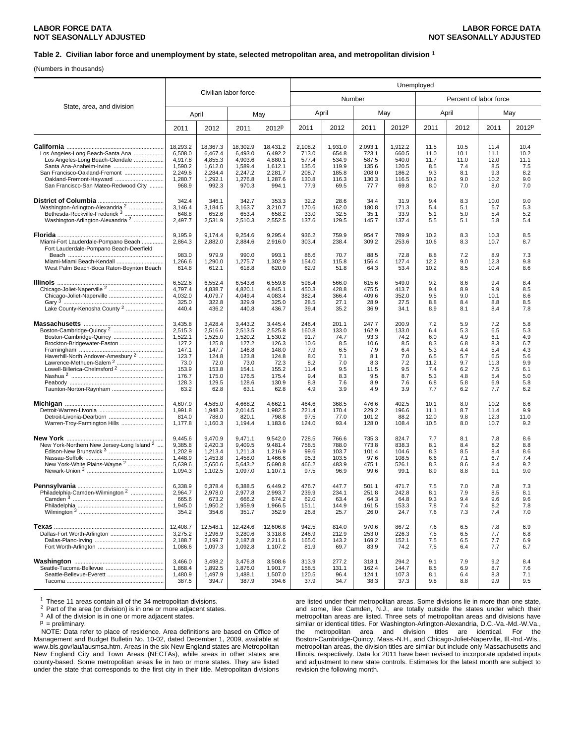#### **Table 2. Civilian labor force and unemployment by state, selected metropolitan area, and metropolitan division** 1

(Numbers in thousands)

|                                                                                                                                                                         |                                                                                                     |                                                                                                     |                                                                                                     | Unemployed                                                                                          |                                                                                  |                                                                                |                                                                                  |                                                                                |                                                                            |                                                                           |                                                                            |                                                                           |
|-------------------------------------------------------------------------------------------------------------------------------------------------------------------------|-----------------------------------------------------------------------------------------------------|-----------------------------------------------------------------------------------------------------|-----------------------------------------------------------------------------------------------------|-----------------------------------------------------------------------------------------------------|----------------------------------------------------------------------------------|--------------------------------------------------------------------------------|----------------------------------------------------------------------------------|--------------------------------------------------------------------------------|----------------------------------------------------------------------------|---------------------------------------------------------------------------|----------------------------------------------------------------------------|---------------------------------------------------------------------------|
|                                                                                                                                                                         |                                                                                                     |                                                                                                     | Civilian labor force                                                                                |                                                                                                     |                                                                                  | Number                                                                         |                                                                                  |                                                                                |                                                                            | Percent of labor force                                                    |                                                                            |                                                                           |
| State, area, and division                                                                                                                                               | April                                                                                               |                                                                                                     |                                                                                                     | May                                                                                                 |                                                                                  | April                                                                          | May                                                                              |                                                                                |                                                                            | April                                                                     |                                                                            | May                                                                       |
|                                                                                                                                                                         | 2011                                                                                                | 2012                                                                                                | 2011                                                                                                | 2012P                                                                                               | 2011                                                                             | 2012                                                                           | 2011                                                                             | 2012P                                                                          | 2011                                                                       | 2012                                                                      | 2011                                                                       | 2012P                                                                     |
| Los Angeles-Long Beach-Santa Ana<br>Los Angeles-Long Beach-Glendale<br>San Francisco-Oakland-Fremont<br>Oakland-Fremont-Hayward<br>San Francisco-San Mateo-Redwood City | 18,293.2<br>6,508.0<br>4,917.8<br>1,590.2<br>2,249.6<br>1,280.7<br>968.9                            | 18,367.3<br>6,467.4<br>4,855.3<br>1,612.0<br>2,284.4<br>1,292.1<br>992.3                            | 18,302.9<br>6,493.0<br>4,903.6<br>1,589.4<br>2,247.2<br>1,276.8<br>970.3                            | 18,431.2<br>6,492.2<br>4,880.1<br>1,612.1<br>2,281.7<br>1,287.6<br>994.1                            | 2,108.2<br>713.0<br>577.4<br>135.6<br>208.7<br>130.8<br>77.9                     | 1,931.0<br>654.8<br>534.9<br>119.9<br>185.8<br>116.3<br>69.5                   | 2,093.1<br>723.1<br>587.5<br>135.6<br>208.0<br>130.3<br>77.7                     | 1,912.2<br>660.5<br>540.0<br>120.5<br>186.2<br>116.5<br>69.8                   | 11.5<br>11.0<br>11.7<br>8.5<br>9.3<br>10.2<br>8.0                          | 10.5<br>10.1<br>11.0<br>7.4<br>8.1<br>9.0<br>7.0                          | 11.4<br>11.1<br>12.0<br>8.5<br>9.3<br>10.2<br>8.0                          | 10.4<br>10.2<br>11.1<br>7.5<br>8.2<br>9.0<br>7.0                          |
| Washington-Arlington-Alexandria <sup>2</sup><br>Bethesda-Rockville-Frederick <sup>3</sup><br>Washington-Arlington-Alexandria <sup>2</sup>                               | 342.4<br>3,146.4<br>648.8<br>2,497.7                                                                | 346.1<br>3,184.5<br>652.6<br>2,531.9                                                                | 342.7<br>3,163.7<br>653.4<br>2,510.3                                                                | 353.3<br>3,210.7<br>658.2<br>2,552.5                                                                | 32.2<br>170.6<br>33.0<br>137.6                                                   | 28.6<br>162.0<br>32.5<br>129.5                                                 | 34.4<br>180.8<br>35.1<br>145.7                                                   | 31.9<br>171.3<br>33.9<br>137.4                                                 | 9.4<br>5.4<br>5.1<br>5.5                                                   | 8.3<br>5.1<br>5.0<br>5.1                                                  | 10.0<br>5.7<br>5.4<br>5.8                                                  | 9.0<br>5.3<br>5.2<br>5.4                                                  |
| Miami-Fort Lauderdale-Pompano Beach<br>Fort Lauderdale-Pompano Beach-Deerfield                                                                                          | 9,195.9<br>2,864.3<br>983.0                                                                         | 9,174.4<br>2,882.0<br>979.9                                                                         | 9,254.6<br>2,884.6<br>990.0                                                                         | 9,295.4<br>2,916.0<br>993.1                                                                         | 936.2<br>303.4<br>86.6                                                           | 759.9<br>238.4<br>70.7                                                         | 954.7<br>309.2<br>88.5                                                           | 789.9<br>253.6<br>72.8                                                         | 10.2<br>10.6<br>8.8                                                        | 8.3<br>8.3<br>7.2                                                         | 10.3<br>10.7<br>8.9                                                        | 8.5<br>8.7<br>7.3                                                         |
| Miami-Miami Beach-Kendall<br>West Palm Beach-Boca Raton-Boynton Beach                                                                                                   | 1,266.6<br>614.8                                                                                    | 1,290.0<br>612.1                                                                                    | 1,275.7<br>618.8                                                                                    | 1,302.9<br>620.0                                                                                    | 154.0<br>62.9                                                                    | 115.8<br>51.8                                                                  | 156.4<br>64.3                                                                    | 127.4<br>53.4                                                                  | 12.2<br>10.2                                                               | 9.0<br>8.5                                                                | 12.3<br>10.4                                                               | 9.8<br>8.6                                                                |
|                                                                                                                                                                         | 6,522.6<br>4,797.4<br>4,032.0<br>325.0<br>440.4                                                     | 6,552.4<br>4,838.7<br>4,079.7<br>322.8<br>436.2                                                     | 6,543.6<br>4,820.1<br>4,049.4<br>329.9<br>440.8                                                     | 6,559.8<br>4,845.1<br>4,083.4<br>325.0<br>436.7                                                     | 598.4<br>450.3<br>382.4<br>28.5<br>39.4                                          | 566.0<br>428.8<br>366.4<br>27.1<br>35.2                                        | 615.6<br>475.5<br>409.6<br>28.9<br>36.9                                          | 549.0<br>413.7<br>352.0<br>27.5<br>34.1                                        | 9.2<br>9.4<br>9.5<br>8.8<br>8.9                                            | 8.6<br>8.9<br>9.0<br>8.4<br>8.1                                           | 9.4<br>9.9<br>10.1<br>8.8<br>8.4                                           | 8.4<br>8.5<br>8.6<br>8.5<br>7.8                                           |
| Boston-Cambridge-Quincy<br>Brockton-Bridgewater-Easton<br>Taunton-Norton-Raynham                                                                                        | 3,435.8<br>2,515.3<br>1,522.1<br>127.2<br>147.1<br>123.7<br>73.0<br>153.9<br>176.7<br>128.3<br>63.2 | 3,428.4<br>2,516.6<br>1,525.0<br>125.8<br>147.7<br>124.8<br>72.0<br>153.8<br>175.0<br>129.5<br>62.8 | 3,443.2<br>2,513.5<br>1,520.2<br>127.2<br>146.8<br>123.8<br>73.0<br>154.1<br>176.5<br>128.6<br>63.1 | 3,445.4<br>2,525.8<br>1,530.2<br>126.3<br>148.0<br>124.8<br>72.3<br>155.2<br>175.4<br>130.9<br>62.8 | 246.4<br>160.8<br>91.7<br>10.6<br>7.9<br>8.0<br>8.2<br>11.4<br>9.4<br>8.8<br>4.9 | 201.1<br>133.0<br>74.7<br>8.5<br>6.5<br>7.1<br>7.0<br>9.5<br>8.3<br>7.6<br>3.9 | 247.7<br>162.9<br>93.3<br>10.6<br>7.9<br>8.1<br>8.3<br>11.5<br>9.5<br>8.9<br>4.9 | 200.9<br>133.0<br>74.2<br>8.5<br>6.4<br>7.0<br>7.2<br>9.5<br>8.7<br>7.6<br>3.9 | 7.2<br>6.4<br>6.0<br>8.3<br>5.3<br>6.5<br>11.2<br>7.4<br>5.3<br>6.8<br>7.7 | 5.9<br>5.3<br>4.9<br>6.8<br>4.4<br>5.7<br>9.7<br>6.2<br>4.8<br>5.8<br>6.2 | 7.2<br>6.5<br>6.1<br>8.3<br>5.4<br>6.5<br>11.3<br>7.5<br>5.4<br>6.9<br>7.7 | 5.8<br>5.3<br>4.9<br>6.7<br>4.3<br>5.6<br>9.9<br>6.1<br>5.0<br>5.8<br>6.2 |
| Warren-Troy-Farmington Hills                                                                                                                                            | 4,607.9<br>1,991.8<br>814.0<br>1,177.8                                                              | 4,585.0<br>1,948.3<br>788.0<br>1,160.3                                                              | 4,668.2<br>2,014.5<br>820.1<br>1,194.4                                                              | 4,662.1<br>1,982.5<br>798.8<br>1,183.6                                                              | 464.6<br>221.4<br>97.5<br>124.0                                                  | 368.5<br>170.4<br>77.0<br>93.4                                                 | 476.6<br>229.2<br>101.2<br>128.0                                                 | 402.5<br>196.6<br>88.2<br>108.4                                                | 10.1<br>11.1<br>12.0<br>10.5                                               | 8.0<br>8.7<br>9.8<br>8.0                                                  | 10.2<br>11.4<br>12.3<br>10.7                                               | 8.6<br>9.9<br>11.0<br>9.2                                                 |
| New York-Northern New Jersey-Long Island <sup>2</sup><br>New York-White Plains-Wayne <sup>2</sup>                                                                       | 9,445.6<br>9,385.8<br>1,202.9<br>1,448.9<br>5,639.6<br>1,094.3                                      | 9,470.9<br>9,420.3<br>1,213.4<br>1,453.8<br>5,650.6<br>1,102.5                                      | 9,471.1<br>9,409.5<br>1,211.3<br>1,458.0<br>5,643.2<br>1,097.0                                      | 9,542.0<br>9,481.4<br>1,216.9<br>1,466.6<br>5,690.8<br>1,107.1                                      | 728.5<br>758.5<br>99.6<br>95.3<br>466.2<br>97.5                                  | 766.6<br>788.0<br>103.7<br>103.5<br>483.9<br>96.9                              | 735.3<br>773.8<br>101.4<br>97.6<br>475.1<br>99.6                                 | 824.7<br>838.3<br>104.6<br>108.5<br>526.1<br>99.1                              | 7.7<br>8.1<br>8.3<br>6.6<br>8.3<br>8.9                                     | 8.1<br>8.4<br>8.5<br>7.1<br>8.6<br>8.8                                    | 7.8<br>8.2<br>8.4<br>6.7<br>8.4<br>9.1                                     | 8.6<br>8.8<br>8.6<br>7.4<br>9.2<br>9.0                                    |
| Philadelphia-Camden-Wilmington <sup>2</sup>                                                                                                                             | 6,338.9<br>2,964.7<br>665.6<br>1,945.0<br>354.2                                                     | 6,378.4<br>2,978.0<br>673.2<br>1,950.2<br>354.6                                                     | 6,388.5<br>2,977.8<br>666.2<br>1,959.9<br>351.7                                                     | 6,449.2<br>2,993.7<br>674.2<br>1,966.5<br>352.9                                                     | 476.7<br>239.9<br>62.0<br>151.1<br>26.8                                          | 447.7<br>234.1<br>63.4<br>144.9<br>25.7                                        | 501.1<br>251.8<br>64.3<br>161.5<br>26.0                                          | 471.7<br>242.8<br>64.8<br>153.3<br>24.7                                        | 7.5<br>8.1<br>9.3<br>7.8<br>7.6                                            | 7.0<br>7.9<br>9.4<br>7.4<br>7.3                                           | 7.8<br>8.5<br>9.6<br>8.2<br>7.4                                            | 7.3<br>8.1<br>9.6<br>7.8<br>7.0                                           |
| Dallas-Fort Worth-Arlington                                                                                                                                             | 12,408.7<br>3,275.2<br>2,188.7<br>1,086.6                                                           | 12,548.1<br>3,296.9<br>2,199.7<br>1,097.3                                                           | 12.424.6<br>3,280.6<br>2,187.8<br>1,092.8                                                           | 12,606.8<br>3,318.8<br>2.211.6<br>1,107.2                                                           | 942.5<br>246.9<br>165.0<br>81.9                                                  | 814.0<br>212.9<br>143.2<br>69.7                                                | 970.6<br>253.0<br>169.2<br>83.9                                                  | 867.2<br>226.3<br>152.1<br>74.2                                                | 7.6<br>7.5<br>7.5<br>7.5                                                   | 6.5<br>6.5<br>6.5<br>6.4                                                  | 7.8<br>7.7<br>7.7<br>7.7                                                   | 6.9<br>6.8<br>6.9<br>6.7                                                  |
|                                                                                                                                                                         | 3,466.0<br>1,868.4<br>1,480.9<br>387.5                                                              | 3,498.2<br>1,892.5<br>1,497.9<br>394.7                                                              | 3,476.8<br>1,876.0<br>1,488.1<br>387.9                                                              | 3,508.6<br>1,901.7<br>1,507.0<br>394.6                                                              | 313.9<br>158.5<br>120.5<br>37.9                                                  | 277.2<br>131.1<br>96.4<br>34.7                                                 | 318.1<br>162.4<br>124.1<br>38.3                                                  | 294.2<br>144.7<br>107.3<br>37.3                                                | 9.1<br>8.5<br>8.1<br>9.8                                                   | 7.9<br>6.9<br>6.4<br>8.8                                                  | 9.2<br>8.7<br>8.3<br>9.9                                                   | 8.4<br>7.6<br>7.1<br>9.5                                                  |

<sup>1</sup> These 11 areas contain all of the 34 metropolitan divisions.<br><sup>2</sup> Part of the area (or division) is in one or more adjacent states.

<sup>3</sup> All of the division is in one or more adjacent states.  $P = preliminary$ .

 NOTE: Data refer to place of residence. Area definitions are based on Office of Management and Budget Bulletin No. 10-02, dated December 1, 2009, available at www.bls.gov/lau/lausmsa.htm. Areas in the six New England states are Metropolitan New England City and Town Areas (NECTAs), while areas in other states are county-based. Some metropolitan areas lie in two or more states. They are listed under the state that corresponds to the first city in their title. Metropolitan divisions are listed under their metropolitan areas. Some divisions lie in more than one state, and some, like Camden, N.J., are totally outside the states under which their metropolitan areas are listed. Three sets of metropolitan areas and divisions have similar or identical titles. For Washington-Arlington-Alexandria, D.C.-Va.-Md.-W.Va., the metropolitan area and division titles are identical. For the Boston-Cambridge-Quincy, Mass.-N.H., and Chicago-Joliet-Naperville, Ill.-Ind.-Wis., metropolitan areas, the division titles are similar but include only Massachusetts and Illinois, respectively. Data for 2011 have been revised to incorporate updated inputs and adjustment to new state controls. Estimates for the latest month are subject to revision the following month.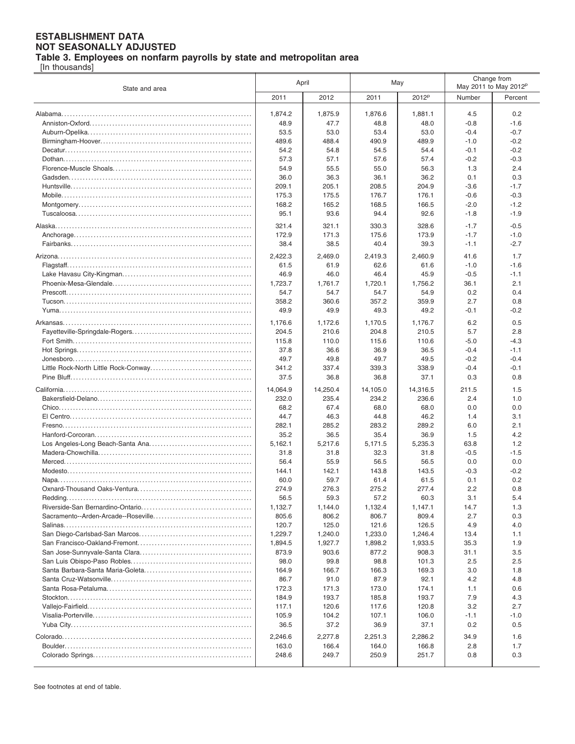**Table 3. Employees on nonfarm payrolls by state and metropolitan area**

[In thousands]

| State and area |                   | April            |                  | May               | Change from<br>May 2011 to May 2012 <sup>p</sup> |               |  |
|----------------|-------------------|------------------|------------------|-------------------|--------------------------------------------------|---------------|--|
|                | 2011              | 2012             | 2011             | 2012 <sup>p</sup> | Number                                           | Percent       |  |
|                | 1,874.2           | 1,875.9          | 1,876.6          | 1,881.1           | 4.5                                              | 0.2           |  |
|                | 48.9              | 47.7             | 48.8             | 48.0              | $-0.8$                                           | $-1.6$        |  |
|                | 53.5              | 53.0             | 53.4             | 53.0              | $-0.4$                                           | $-0.7$        |  |
|                | 489.6             | 488.4            | 490.9            | 489.9             | $-1.0$                                           | $-0.2$        |  |
|                | 54.2              | 54.8             | 54.5             | 54.4              | $-0.1$                                           | $-0.2$        |  |
|                | 57.3              | 57.1             | 57.6             | 57.4              | $-0.2$                                           | $-0.3$        |  |
|                | 54.9              | 55.5             | 55.0             | 56.3              | 1.3                                              | 2.4           |  |
|                | 36.0              | 36.3             | 36.1             | 36.2              | 0.1                                              | 0.3           |  |
|                | 209.1             | 205.1            | 208.5            | 204.9             | $-3.6$                                           | $-1.7$        |  |
|                | 175.3             | 175.5            | 176.7            | 176.1             | $-0.6$                                           | $-0.3$        |  |
|                | 168.2             | 165.2            | 168.5            | 166.5             | $-2.0$                                           | $-1.2$        |  |
|                | 95.1              | 93.6             | 94.4             | 92.6              | $-1.8$                                           | $-1.9$        |  |
|                | 321.4             | 321.1            | 330.3            | 328.6             | $-1.7$                                           | $-0.5$        |  |
|                | 172.9             | 171.3            | 175.6            | 173.9             | $-1.7$                                           | $-1.0$        |  |
|                | 38.4              | 38.5             | 40.4             | 39.3              | $-1.1$                                           | $-2.7$        |  |
|                | 2,422.3           | 2.469.0          | 2,419.3          | 2,460.9           | 41.6                                             | 1.7           |  |
|                | 61.5              | 61.9             | 62.6             | 61.6              | $-1.0$                                           | $-1.6$        |  |
|                | 46.9              | 46.0             | 46.4             | 45.9              | $-0.5$                                           | $-1.1$        |  |
|                | 1,723.7           | 1,761.7          | 1,720.1          | 1,756.2           | 36.1                                             | 2.1           |  |
|                | 54.7              | 54.7             | 54.7             | 54.9              | 0.2                                              | 0.4           |  |
|                | 358.2             | 360.6            | 357.2            | 359.9             | 2.7                                              | 0.8           |  |
|                | 49.9              | 49.9             | 49.3             | 49.2              | $-0.1$                                           | $-0.2$        |  |
|                | 1,176.6           | 1,172.6          | 1,170.5          | 1,176.7           | 6.2                                              | 0.5           |  |
|                | 204.5             | 210.6            | 204.8            | 210.5             | 5.7                                              | 2.8           |  |
|                | 115.8             | 110.0            | 115.6            | 110.6             | $-5.0$                                           | -4.3          |  |
|                | 37.8              | 36.6             | 36.9             | 36.5              | $-0.4$                                           | $-1.1$        |  |
|                | 49.7              | 49.8             | 49.7             | 49.5              | $-0.2$                                           | $-0.4$        |  |
|                | 341.2<br>37.5     | 337.4<br>36.8    | 339.3<br>36.8    | 338.9<br>37.1     | $-0.4$<br>0.3                                    | $-0.1$<br>0.8 |  |
|                |                   |                  |                  |                   |                                                  |               |  |
|                | 14,064.9<br>232.0 | 14,250.4         | 14,105.0         | 14,316.5<br>236.6 | 211.5<br>2.4                                     | 1.5           |  |
|                | 68.2              | 235.4<br>67.4    | 234.2<br>68.0    | 68.0              | 0.0                                              | 1.0<br>0.0    |  |
|                | 44.7              | 46.3             | 44.8             | 46.2              | 1.4                                              | 3.1           |  |
|                | 282.1             | 285.2            | 283.2            | 289.2             | 6.0                                              | 2.1           |  |
|                | 35.2              | 36.5             | 35.4             | 36.9              | 1.5                                              | 4.2           |  |
|                | 5,162.1           | 5,217.6          | 5.171.5          | 5,235.3           | 63.8                                             | 1.2           |  |
|                | 31.8              | 31.8             | 32.3             | 31.8              | $-0.5$                                           | $-1.5$        |  |
|                | 56.4              | 55.9             | 56.5             | 56.5              | 0.0                                              | 0.0           |  |
|                | 144.1             | 142.1            | 143.8            | 143.5             | -0.3                                             | $-0.2$        |  |
|                | 60.0              | 59.7             | 61.4             | 61.5              | 0.1                                              | 0.2           |  |
|                | 274.9             | 276.3            | 275.2            | 277.4             | 2.2                                              | 0.8           |  |
|                | 56.5              | 59.3             | 57.2             | 60.3              | 3.1                                              | 5.4           |  |
|                | 1,132.7           | 1,144.0          | 1,132.4          | 1,147.1           | 14.7                                             | 1.3           |  |
|                | 805.6             | 806.2            | 806.7            | 809.4             | 2.7                                              | 0.3           |  |
|                | 120.7             | 125.0            | 121.6            | 126.5             | 4.9                                              | 4.0           |  |
|                | 1,229.7           | 1,240.0          | 1,233.0          | 1,246.4           | 13.4                                             | 1.1           |  |
|                | 1,894.5           | 1,927.7          | 1,898.2          | 1,933.5           | 35.3                                             | 1.9           |  |
|                | 873.9             | 903.6            | 877.2            | 908.3             | 31.1                                             | 3.5           |  |
|                | 98.0              | 99.8             | 98.8             | 101.3             | 2.5                                              | 2.5           |  |
|                | 164.9             | 166.7            | 166.3            | 169.3             | 3.0                                              | 1.8           |  |
|                | 86.7              | 91.0             | 87.9             | 92.1              | 4.2                                              | 4.8           |  |
|                | 172.3             | 171.3            | 173.0            | 174.1             | 1.1                                              | 0.6           |  |
|                | 184.9             | 193.7            | 185.8            | 193.7             | 7.9<br>3.2                                       | 4.3<br>2.7    |  |
|                | 117.1<br>105.9    | 120.6<br>104.2   | 117.6<br>107.1   | 120.8<br>106.0    | $-1.1$                                           | $-1.0$        |  |
|                | 36.5              | 37.2             | 36.9             | 37.1              | 0.2                                              | 0.5           |  |
|                |                   |                  |                  |                   |                                                  |               |  |
|                | 2,246.6<br>163.0  | 2,277.8<br>166.4 | 2,251.3<br>164.0 | 2,286.2<br>166.8  | 34.9<br>2.8                                      | 1.6<br>1.7    |  |
|                | 248.6             | 249.7            | 250.9            | 251.7             | 0.8                                              | 0.3           |  |
|                |                   |                  |                  |                   |                                                  |               |  |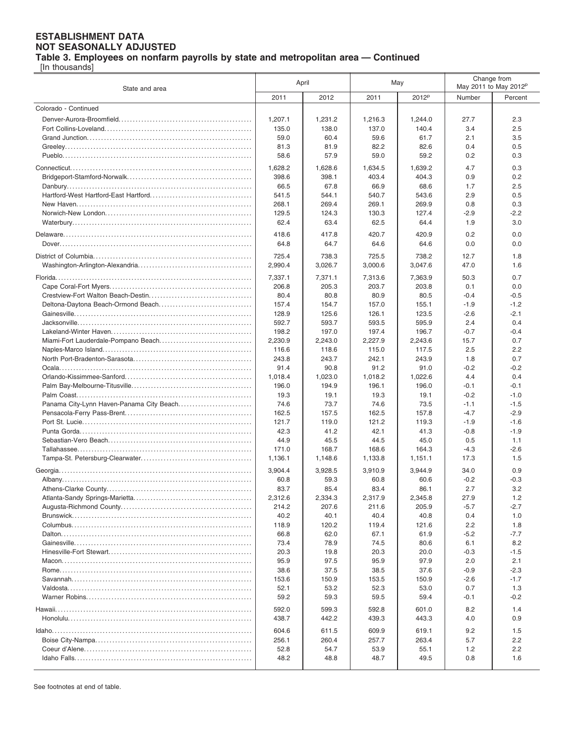**Table 3. Employees on nonfarm payrolls by state and metropolitan area — Continued**

[In thousands]

| State and area       |                 | April           |                 | May               | Change from<br>May 2011 to May 2012 <sup>P</sup> |                  |  |
|----------------------|-----------------|-----------------|-----------------|-------------------|--------------------------------------------------|------------------|--|
|                      | 2011            | 2012            | 2011            | 2012 <sup>p</sup> | Number                                           | Percent          |  |
| Colorado - Continued |                 |                 |                 |                   |                                                  |                  |  |
|                      | 1,207.1         | 1,231.2         | 1,216.3         | 1,244.0           | 27.7                                             | 2.3              |  |
|                      | 135.0           | 138.0           | 137.0           | 140.4             | 3.4                                              | 2.5              |  |
|                      | 59.0            | 60.4            | 59.6            | 61.7              | 2.1                                              | 3.5              |  |
|                      | 81.3            | 81.9            | 82.2            | 82.6              | 0.4                                              | 0.5              |  |
|                      | 58.6            | 57.9            | 59.0            | 59.2              | 0.2                                              | 0.3              |  |
|                      |                 |                 |                 |                   |                                                  |                  |  |
|                      | 1,628.2         | 1,628.6         | 1,634.5         | 1,639.2           | 4.7                                              | 0.3              |  |
|                      | 398.6           | 398.1           | 403.4           | 404.3             | 0.9                                              | 0.2              |  |
|                      | 66.5            | 67.8            | 66.9            | 68.6              | 1.7                                              | 2.5              |  |
|                      | 541.5           | 544.1           | 540.7           | 543.6             | 2.9                                              | 0.5              |  |
|                      | 268.1<br>129.5  | 269.4<br>124.3  | 269.1<br>130.3  | 269.9<br>127.4    | 0.8<br>$-2.9$                                    | 0.3<br>$-2.2$    |  |
|                      | 62.4            | 63.4            | 62.5            | 64.4              | 1.9                                              | 3.0              |  |
|                      |                 |                 |                 |                   |                                                  |                  |  |
|                      | 418.6           | 417.8           | 420.7           | 420.9             | 0.2                                              | 0.0              |  |
|                      | 64.8            | 64.7            | 64.6            | 64.6              | 0.0                                              | 0.0              |  |
|                      | 725.4           | 738.3           | 725.5           | 738.2             | 12.7                                             | 1.8              |  |
|                      | 2,990.4         | 3,026.7         | 3,000.6         | 3,047.6           | 47.0                                             | 1.6              |  |
|                      | 7,337.1         | 7,371.1         | 7,313.6         | 7,363.9           | 50.3                                             | 0.7              |  |
|                      | 206.8           | 205.3           | 203.7           | 203.8             | 0.1                                              | 0.0              |  |
|                      | 80.4            | 80.8            | 80.9            | 80.5              | $-0.4$                                           | $-0.5$           |  |
|                      | 157.4           | 154.7           | 157.0           | 155.1             | $-1.9$                                           | $-1.2$           |  |
|                      | 128.9           | 125.6           | 126.1           | 123.5             | $-2.6$                                           | $-2.1$           |  |
|                      | 592.7           | 593.7           | 593.5           | 595.9             | 2.4                                              | 0.4              |  |
|                      | 198.2           | 197.0           | 197.4           | 196.7             | $-0.7$                                           | $-0.4$           |  |
|                      | 2,230.9         | 2,243.0         | 2,227.9         | 2,243.6           | 15.7                                             | 0.7              |  |
|                      | 116.6           | 118.6           | 115.0           | 117.5             | 2.5                                              | 2.2              |  |
|                      | 243.8           | 243.7           | 242.1           | 243.9             | 1.8                                              | 0.7              |  |
|                      | 91.4            | 90.8            | 91.2            | 91.0              | $-0.2$                                           | $-0.2$           |  |
|                      | 1,018.4         | 1,023.0         | 1,018.2         | 1,022.6           | 4.4                                              | 0.4              |  |
|                      | 196.0           | 194.9           | 196.1           | 196.0             | $-0.1$                                           | $-0.1$           |  |
|                      | 19.3            | 19.1            | 19.3            | 19.1              | $-0.2$                                           | $-1.0$           |  |
|                      | 74.6            | 73.7            | 74.6            | 73.5              | $-1.1$                                           | $-1.5$           |  |
|                      | 162.5<br>121.7  | 157.5<br>119.0  | 162.5<br>121.2  | 157.8             | $-4.7$<br>$-1.9$                                 | $-2.9$<br>$-1.6$ |  |
|                      | 42.3            | 41.2            | 42.1            | 119.3<br>41.3     | $-0.8$                                           | $-1.9$           |  |
|                      | 44.9            | 45.5            | 44.5            | 45.0              | 0.5                                              | 1.1              |  |
|                      | 171.0           | 168.7           | 168.6           | 164.3             | $-4.3$                                           | $-2.6$           |  |
|                      | 1,136.1         | 1,148.6         | 1,133.8         | 1,151.1           | 17.3                                             | 1.5              |  |
|                      |                 |                 |                 |                   |                                                  |                  |  |
|                      | 3,904.4<br>60.8 | 3,928.5<br>59.3 | 3,910.9<br>60.8 | 3,944.9<br>60.6   | 34.0<br>$-0.2$                                   | 0.9<br>$-0.3$    |  |
|                      | 83.7            | 85.4            | 83.4            | 86.1              | 2.7                                              | 3.2              |  |
|                      | 2,312.6         | 2,334.3         | 2,317.9         | 2,345.8           | 27.9                                             | 1.2              |  |
|                      | 214.2           | 207.6           | 211.6           | 205.9             | $-5.7$                                           | $-2.7$           |  |
|                      | 40.2            | 40.1            | 40.4            | 40.8              | 0.4                                              | 1.0              |  |
|                      | 118.9           | 120.2           | 119.4           | 121.6             | 2.2                                              | 1.8              |  |
|                      | 66.8            | 62.0            | 67.1            | 61.9              | $-5.2$                                           | $-7.7$           |  |
|                      | 73.4            | 78.9            | 74.5            | 80.6              | 6.1                                              | 8.2              |  |
|                      | 20.3            | 19.8            | 20.3            | 20.0              | $-0.3$                                           | $-1.5$           |  |
|                      | 95.9            | 97.5            | 95.9            | 97.9              | 2.0                                              | 2.1              |  |
|                      | 38.6            | 37.5            | 38.5            | 37.6              | $-0.9$                                           | $-2.3$           |  |
|                      | 153.6           | 150.9           | 153.5           | 150.9             | $-2.6$                                           | $-1.7$           |  |
|                      | 52.1            | 53.2            | 52.3            | 53.0              | 0.7                                              | 1.3              |  |
|                      | 59.2            | 59.3            | 59.5            | 59.4              | $-0.1$                                           | $-0.2$           |  |
|                      | 592.0           | 599.3           | 592.8           | 601.0             | 8.2                                              | 1.4              |  |
|                      | 438.7           | 442.2           | 439.3           | 443.3             | 4.0                                              | 0.9              |  |
|                      | 604.6           | 611.5           | 609.9           | 619.1             | 9.2                                              | 1.5              |  |
|                      | 256.1           | 260.4           | 257.7           | 263.4             | 5.7                                              | 2.2              |  |
|                      | 52.8            | 54.7            | 53.9            | 55.1              | 1.2                                              | 2.2              |  |
|                      | 48.2            | 48.8            | 48.7            | 49.5              | 0.8                                              | 1.6              |  |
|                      |                 |                 |                 |                   |                                                  |                  |  |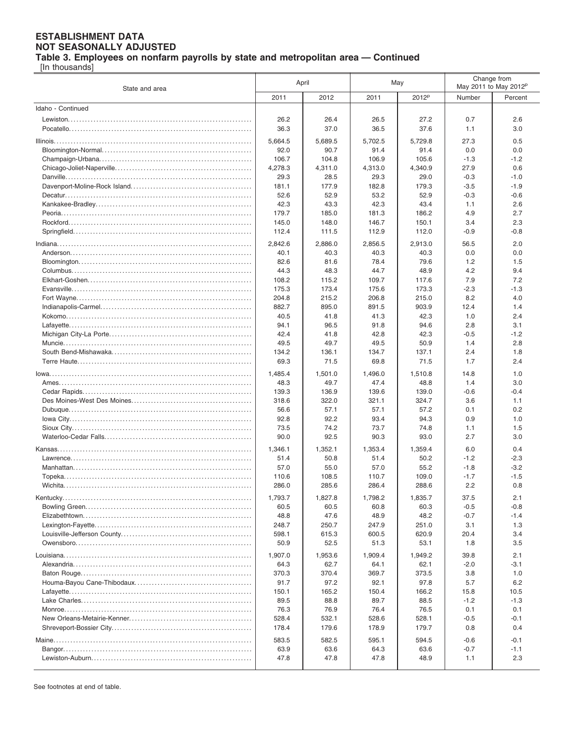**Table 3. Employees on nonfarm payrolls by state and metropolitan area — Continued**

[In thousands]

| State and area    | April           |                 | May             |                   | Change from<br>May 2011 to May 2012 <sup>p</sup> |               |
|-------------------|-----------------|-----------------|-----------------|-------------------|--------------------------------------------------|---------------|
|                   | 2011            | 2012            | 2011            | 2012 <sup>p</sup> | Number                                           | Percent       |
| Idaho - Continued |                 |                 |                 |                   |                                                  |               |
|                   | 26.2            | 26.4            | 26.5            | 27.2              | 0.7                                              | 2.6           |
|                   | 36.3            | 37.0            | 36.5            | 37.6              | 1.1                                              | 3.0           |
|                   |                 |                 |                 |                   |                                                  |               |
|                   | 5,664.5<br>92.0 | 5,689.5<br>90.7 | 5,702.5<br>91.4 | 5.729.8<br>91.4   | 27.3<br>0.0                                      | 0.5<br>0.0    |
|                   | 106.7           | 104.8           | 106.9           | 105.6             | $-1.3$                                           | $-1.2$        |
|                   | 4,278.3         | 4,311.0         | 4,313.0         | 4,340.9           | 27.9                                             | 0.6           |
|                   | 29.3            | 28.5            | 29.3            | 29.0              | $-0.3$                                           | $-1.0$        |
|                   | 181.1           | 177.9           | 182.8           | 179.3             | $-3.5$                                           | $-1.9$        |
|                   | 52.6            | 52.9            | 53.2            | 52.9              | $-0.3$                                           | $-0.6$        |
|                   | 42.3            | 43.3            | 42.3            | 43.4              | 1.1                                              | 2.6           |
|                   | 179.7           | 185.0           | 181.3           | 186.2             | 4.9                                              | 2.7           |
|                   | 145.0           | 148.0           | 146.7           | 150.1             | 3.4                                              | 2.3           |
|                   | 112.4           | 111.5           | 112.9           | 112.0             | $-0.9$                                           | $-0.8$        |
|                   | 2,842.6         | 2,886.0         | 2,856.5         | 2,913.0           | 56.5                                             | 2.0           |
|                   | 40.1            | 40.3            | 40.3            | 40.3              | 0.0                                              | 0.0           |
|                   | 82.6            | 81.6            | 78.4            | 79.6              | 1.2                                              | 1.5           |
|                   | 44.3            | 48.3            | 44.7            | 48.9              | 4.2                                              | 9.4           |
|                   | 108.2           | 115.2           | 109.7           | 117.6             | 7.9                                              | 7.2           |
|                   | 175.3           | 173.4           | 175.6           | 173.3             | $-2.3$                                           | $-1.3$        |
|                   | 204.8           | 215.2           | 206.8           | 215.0             | 8.2                                              | 4.0           |
|                   | 882.7           | 895.0           | 891.5           | 903.9             | 12.4                                             | 1.4           |
|                   | 40.5<br>94.1    | 41.8<br>96.5    | 41.3<br>91.8    | 42.3<br>94.6      | 1.0<br>2.8                                       | 2.4<br>3.1    |
|                   | 42.4            | 41.8            | 42.8            | 42.3              | $-0.5$                                           | $-1.2$        |
|                   | 49.5            | 49.7            | 49.5            | 50.9              | 1.4                                              | 2.8           |
|                   | 134.2           | 136.1           | 134.7           | 137.1             | 2.4                                              | 1.8           |
|                   | 69.3            | 71.5            | 69.8            | 71.5              | 1.7                                              | 2.4           |
|                   | 1,485.4         | 1,501.0         | 1,496.0         | 1,510.8           | 14.8                                             | 1.0           |
|                   | 48.3            | 49.7            | 47.4            | 48.8              | 1.4                                              | 3.0           |
|                   | 139.3           | 136.9           | 139.6           | 139.0             | $-0.6$                                           | $-0.4$        |
|                   | 318.6           | 322.0           | 321.1           | 324.7             | 3.6                                              | 1.1           |
|                   | 56.6            | 57.1            | 57.1            | 57.2              | 0.1                                              | 0.2           |
|                   | 92.8            | 92.2            | 93.4            | 94.3              | 0.9                                              | 1.0           |
|                   | 73.5            | 74.2            | 73.7            | 74.8              | 1.1                                              | 1.5           |
|                   | 90.0            | 92.5            | 90.3            | 93.0              | 2.7                                              | 3.0           |
|                   | 1,346.1         | 1,352.1         | 1,353.4         | 1,359.4           | 6.0                                              | 0.4           |
|                   | 51.4            | 50.8            | 51.4            | 50.2              | $-1.2$                                           | $-2.3$        |
|                   | 57.0            | 55.0            | 57.0            | 55.2              | $-1.8$                                           | $-3.2$        |
|                   | 110.6           | 108.5           | 110.7           | 109.0             | $-1.7$                                           | $-1.5$        |
|                   | 286.0           | 285.6           | 286.4           | 288.6             | 2.2                                              | 0.8           |
|                   | 1,793.7         | 1,827.8         | 1,798.2         | 1,835.7           | 37.5                                             | 2.1           |
|                   | 60.5            | 60.5            | 60.8            | 60.3              | $-0.5$                                           | $-0.8$        |
|                   | 48.8            | 47.6            | 48.9            | 48.2              | $-0.7$                                           | $-1.4$        |
|                   | 248.7           | 250.7           | 247.9           | 251.0             | 3.1                                              | 1.3           |
|                   | 598.1<br>50.9   | 615.3<br>52.5   | 600.5<br>51.3   | 620.9<br>53.1     | 20.4<br>1.8                                      | 3.4<br>3.5    |
|                   |                 |                 |                 |                   |                                                  |               |
|                   | 1,907.0         | 1,953.6         | 1,909.4         | 1,949.2           | 39.8                                             | 2.1           |
|                   | 64.3<br>370.3   | 62.7<br>370.4   | 64.1<br>369.7   | 62.1<br>373.5     | $-2.0$<br>3.8                                    | $-3.1$<br>1.0 |
|                   | 91.7            | 97.2            | 92.1            | 97.8              | 5.7                                              | 6.2           |
|                   | 150.1           | 165.2           | 150.4           | 166.2             | 15.8                                             | 10.5          |
|                   | 89.5            | 88.8            | 89.7            | 88.5              | $-1.2$                                           | $-1.3$        |
|                   | 76.3            | 76.9            | 76.4            | 76.5              | 0.1                                              | 0.1           |
|                   | 528.4           | 532.1           | 528.6           | 528.1             | $-0.5$                                           | $-0.1$        |
|                   | 178.4           | 179.6           | 178.9           | 179.7             | 0.8                                              | 0.4           |
|                   | 583.5           | 582.5           | 595.1           | 594.5             | $-0.6$                                           | $-0.1$        |
|                   | 63.9            | 63.6            | 64.3            | 63.6              | $-0.7$                                           | $-1.1$        |
|                   | 47.8            | 47.8            | 47.8            | 48.9              | 1.1                                              | 2.3           |
|                   |                 |                 |                 |                   |                                                  |               |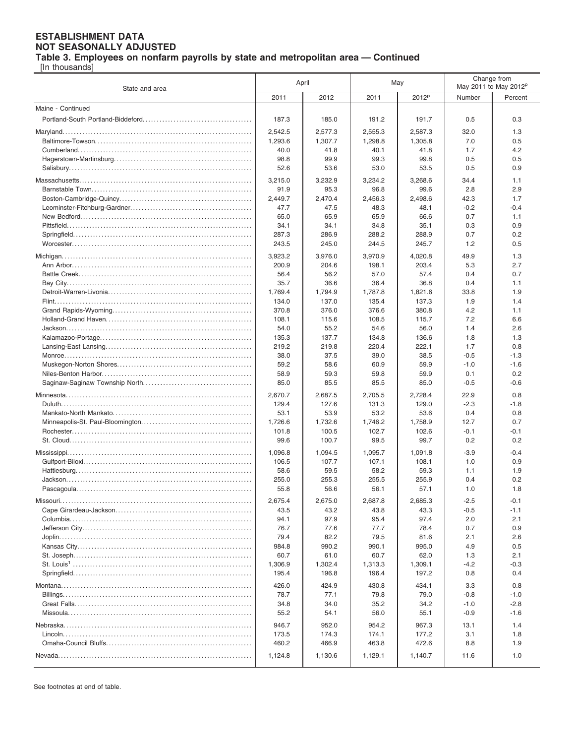#### **ESTABLISHMENT DATA NOT SEASONALLY ADJUSTED Table 3. Employees on nonfarm payrolls by state and metropolitan area — Continued**

[In thousands]

| State and area    | April   |         | May     |                   | Change from<br>May 2011 to May 2012 <sup>P</sup> |         |
|-------------------|---------|---------|---------|-------------------|--------------------------------------------------|---------|
|                   | 2011    | 2012    | 2011    | 2012 <sup>P</sup> | Number                                           | Percent |
| Maine - Continued |         |         |         |                   |                                                  |         |
|                   | 187.3   | 185.0   | 191.2   | 191.7             | 0.5                                              | 0.3     |
|                   | 2,542.5 | 2,577.3 | 2,555.3 | 2,587.3           | 32.0                                             | 1.3     |
|                   | 1,293.6 | 1,307.7 | 1,298.8 | 1,305.8           | 7.0                                              | 0.5     |
|                   | 40.0    | 41.8    | 40.1    | 41.8              | 1.7                                              | 4.2     |
|                   | 98.8    | 99.9    | 99.3    | 99.8              | 0.5                                              | 0.5     |
|                   | 52.6    | 53.6    | 53.0    | 53.5              | 0.5                                              | 0.9     |
|                   | 3,215.0 | 3,232.9 | 3,234.2 | 3,268.6           | 34.4                                             | 1.1     |
|                   | 91.9    | 95.3    | 96.8    | 99.6              | 2.8                                              | 2.9     |
|                   | 2,449.7 | 2,470.4 | 2,456.3 | 2,498.6           | 42.3                                             | 1.7     |
|                   | 47.7    | 47.5    | 48.3    | 48.1              | $-0.2$                                           | $-0.4$  |
|                   | 65.0    | 65.9    | 65.9    | 66.6              | 0.7                                              | 1.1     |
|                   | 34.1    | 34.1    | 34.8    | 35.1              | 0.3                                              | 0.9     |
|                   | 287.3   | 286.9   | 288.2   | 288.9             | 0.7                                              | 0.2     |
|                   | 243.5   | 245.0   | 244.5   | 245.7             | 1.2                                              | 0.5     |
|                   | 3,923.2 | 3,976.0 | 3,970.9 | 4,020.8           | 49.9                                             | 1.3     |
|                   | 200.9   | 204.6   | 198.1   | 203.4             | 5.3                                              | 2.7     |
|                   | 56.4    | 56.2    | 57.0    | 57.4              | 0.4                                              | 0.7     |
|                   | 35.7    | 36.6    | 36.4    | 36.8              | 0.4                                              | 1.1     |
|                   | 1.769.4 | 1,794.9 | 1.787.8 | 1,821.6           | 33.8                                             | 1.9     |
|                   | 134.0   | 137.0   | 135.4   | 137.3             | 1.9                                              | 1.4     |
|                   | 370.8   | 376.0   | 376.6   | 380.8             | 4.2                                              | 1.1     |
|                   | 108.1   | 115.6   | 108.5   | 115.7             | 7.2                                              | 6.6     |
|                   | 54.0    | 55.2    | 54.6    | 56.0              | 1.4                                              | 2.6     |
|                   | 135.3   | 137.7   | 134.8   | 136.6             | 1.8                                              | 1.3     |
|                   | 219.2   | 219.8   | 220.4   | 222.1             | 1.7                                              | 0.8     |
|                   | 38.0    | 37.5    | 39.0    | 38.5              | $-0.5$                                           | $-1.3$  |
|                   | 59.2    | 58.6    | 60.9    | 59.9              | $-1.0$                                           | $-1.6$  |
|                   | 58.9    | 59.3    | 59.8    | 59.9              | 0.1                                              | 0.2     |
|                   | 85.0    | 85.5    | 85.5    | 85.0              | $-0.5$                                           | $-0.6$  |
|                   | 2,670.7 | 2,687.5 | 2,705.5 | 2,728.4           | 22.9                                             | 0.8     |
|                   | 129.4   | 127.6   | 131.3   | 129.0             | $-2.3$                                           | $-1.8$  |
|                   | 53.1    | 53.9    | 53.2    | 53.6              | 0.4                                              | 0.8     |
|                   | 1,726.6 | 1,732.6 | 1,746.2 | 1,758.9           | 12.7                                             | 0.7     |
|                   | 101.8   | 100.5   | 102.7   | 102.6             | $-0.1$                                           | $-0.1$  |
|                   | 99.6    | 100.7   | 99.5    | 99.7              | 0.2                                              | 0.2     |
|                   | 1,096.8 | 1,094.5 | 1,095.7 | 1,091.8           | -3.9                                             | $-0.4$  |
|                   | 106.5   | 107.7   | 107.1   | 108.1             | 1.0                                              | 0.9     |
|                   | 58.6    | 59.5    | 58.2    | 59.3              | 1.1                                              | 1.9     |
|                   | 255.0   | 255.3   | 255.5   | 255.9             | 0.4                                              | 0.2     |
|                   | 55.8    | 56.6    | 56.1    | 57.1              | 1.0                                              | 1.8     |
|                   | 2,675.4 | 2,675.0 | 2,687.8 | 2,685.3           | $-2.5$                                           | $-0.1$  |
|                   | 43.5    | 43.2    | 43.8    | 43.3              | $-0.5$                                           | $-1.1$  |
|                   | 94.1    | 97.9    | 95.4    | 97.4              | 2.0                                              | 2.1     |
|                   | 76.7    | 77.6    | 77.7    | 78.4              | 0.7                                              | 0.9     |
|                   | 79.4    | 82.2    | 79.5    | 81.6              | 2.1                                              | 2.6     |
|                   | 984.8   | 990.2   | 990.1   | 995.0             | 4.9                                              | 0.5     |
|                   | 60.7    | 61.0    | 60.7    | 62.0              | 1.3                                              | 2.1     |
|                   | 1,306.9 | 1,302.4 | 1,313.3 | 1,309.1           | -4.2                                             | -0.3    |
|                   | 195.4   | 196.8   | 196.4   | 197.2             | 0.8                                              | 0.4     |
|                   | 426.0   | 424.9   | 430.8   | 434.1             | 3.3                                              | 0.8     |
|                   | 78.7    | 77.1    | 79.8    | 79.0              | $-0.8$                                           | $-1.0$  |
|                   | 34.8    | 34.0    | 35.2    | 34.2              | $-1.0$                                           | $-2.8$  |
|                   | 55.2    | 54.1    | 56.0    | 55.1              | $-0.9$                                           | $-1.6$  |
|                   | 946.7   | 952.0   | 954.2   | 967.3             | 13.1                                             | 1.4     |
|                   | 173.5   | 174.3   | 174.1   | 177.2             | 3.1                                              | 1.8     |
|                   | 460.2   | 466.9   | 463.8   | 472.6             | 8.8                                              | 1.9     |
|                   | 1,124.8 | 1,130.6 | 1,129.1 | 1,140.7           | 11.6                                             | 1.0     |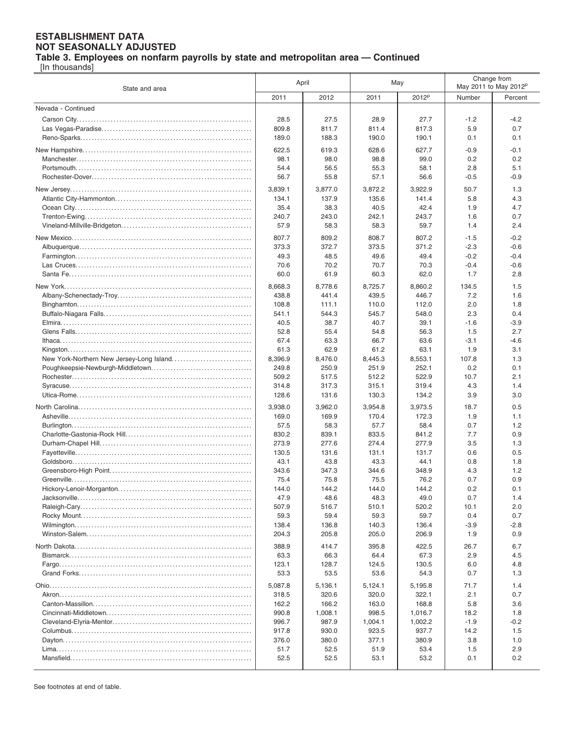**Table 3. Employees on nonfarm payrolls by state and metropolitan area — Continued**

[In thousands]

| State and area     | April            |                  | May              |                   | Change from<br>May 2011 to May 2012 <sup>P</sup> |               |
|--------------------|------------------|------------------|------------------|-------------------|--------------------------------------------------|---------------|
|                    | 2011             | 2012             | 2011             | 2012 <sup>p</sup> | Number                                           | Percent       |
| Nevada - Continued |                  |                  |                  |                   |                                                  |               |
|                    | 28.5             | 27.5             | 28.9             | 27.7              | $-1.2$                                           | $-4.2$        |
|                    | 809.8            | 811.7            | 811.4            | 817.3             | 5.9                                              | 0.7           |
|                    | 189.0            | 188.3            | 190.0            | 190.1             | 0.1                                              | 0.1           |
|                    | 622.5            |                  | 628.6            | 627.7             |                                                  | $-0.1$        |
|                    | 98.1             | 619.3<br>98.0    | 98.8             | 99.0              | $-0.9$<br>0.2                                    | 0.2           |
|                    | 54.4             | 56.5             | 55.3             | 58.1              | 2.8                                              | 5.1           |
|                    | 56.7             | 55.8             | 57.1             | 56.6              | $-0.5$                                           | $-0.9$        |
|                    |                  |                  |                  |                   |                                                  |               |
|                    | 3,839.1<br>134.1 | 3.877.0<br>137.9 | 3,872.2<br>135.6 | 3,922.9<br>141.4  | 50.7<br>5.8                                      | 1.3<br>4.3    |
|                    | 35.4             | 38.3             | 40.5             | 42.4              | 1.9                                              | 4.7           |
|                    | 240.7            | 243.0            | 242.1            | 243.7             | 1.6                                              | 0.7           |
|                    | 57.9             | 58.3             | 58.3             | 59.7              | 1.4                                              | 2.4           |
|                    | 807.7            | 809.2            | 808.7            | 807.2             | $-1.5$                                           | $-0.2$        |
|                    | 373.3            | 372.7            | 373.5            | 371.2             | -2.3                                             | $-0.6$        |
|                    | 49.3             | 48.5             | 49.6             | 49.4              | $-0.2$                                           | $-0.4$        |
|                    | 70.6             | 70.2             | 70.7             | 70.3              | $-0.4$                                           | $-0.6$        |
|                    | 60.0             | 61.9             | 60.3             | 62.0              | 1.7                                              | 2.8           |
|                    | 8,668.3          | 8,778.6          | 8,725.7          | 8,860.2           | 134.5                                            | 1.5           |
|                    | 438.8            | 441.4            | 439.5            | 446.7             | 7.2                                              | 1.6           |
|                    | 108.8            | 111.1            | 110.0            | 112.0             | 2.0                                              | 1.8           |
|                    | 541.1            | 544.3            | 545.7            | 548.0             | 2.3                                              | 0.4           |
|                    | 40.5             | 38.7             | 40.7             | 39.1              | -1.6                                             | $-3.9$        |
|                    | 52.8             | 55.4             | 54.8             | 56.3              | 1.5                                              | 2.7           |
|                    | 67.4             | 63.3             | 66.7             | 63.6              | -3.1                                             | $-4.6$        |
|                    | 61.3             | 62.9             | 61.2             | 63.1              | 1.9                                              | 3.1           |
|                    | 8,396.9          | 8,476.0          | 8,445.3          | 8,553.1           | 107.8                                            | 1.3           |
|                    | 249.8            | 250.9            | 251.9            | 252.1             | 0.2                                              | 0.1           |
|                    | 509.2            | 517.5            | 512.2            | 522.9             | 10.7                                             | 2.1           |
|                    | 314.8            | 317.3            | 315.1            | 319.4             | 4.3                                              | 1.4           |
|                    | 128.6            | 131.6            | 130.3            | 134.2             | 3.9                                              | 3.0           |
|                    | 3,938.0          | 3,962.0          | 3,954.8          | 3,973.5           | 18.7                                             | 0.5           |
|                    | 169.0            | 169.9            | 170.4            | 172.3             | 1.9                                              | 1.1           |
|                    | 57.5<br>830.2    | 58.3<br>839.1    | 57.7<br>833.5    | 58.4<br>841.2     | 0.7<br>7.7                                       | 1.2<br>0.9    |
|                    | 273.9            | 277.6            | 274.4            | 277.9             | 3.5                                              | 1.3           |
|                    | 130.5            | 131.6            | 131.1            | 131.7             | 0.6                                              | 0.5           |
|                    | 43.1             | 43.8             | 43.3             | 44.1              | 0.8                                              | 1.8           |
|                    | 343.6            | 347.3            | 344.6            | 348.9             | 4.3                                              | 1.2           |
|                    | 75.4             | 75.8             | 75.5             | 76.2              | 0.7                                              | 0.9           |
|                    | 144.0            | 144.2            | 144.0            | 144.2             | 0.2                                              | 0.1           |
|                    | 47.9             | 48.6             | 48.3             | 49.0              | 0.7                                              | 1.4           |
|                    | 507.9            | 516.7            | 510.1            | 520.2             | 10.1                                             | 2.0           |
|                    | 59.3             | 59.4             | 59.3             | 59.7              | 0.4                                              | 0.7           |
|                    | 138.4            | 136.8            | 140.3            | 136.4             | $-3.9$                                           | $-2.8$        |
|                    | 204.3            | 205.8            | 205.0            | 206.9             | 1.9                                              | 0.9           |
|                    | 388.9            | 414.7            | 395.8            | 422.5             | 26.7                                             | 6.7           |
|                    | 63.3             | 66.3             | 64.4             | 67.3              | 2.9                                              | 4.5           |
|                    | 123.1            | 128.7            | 124.5            | 130.5             | 6.0                                              | 4.8           |
|                    | 53.3             | 53.5             | 53.6             | 54.3              | 0.7                                              | 1.3           |
|                    | 5,087.8          | 5,136.1          | 5,124.1          | 5,195.8           | 71.7                                             | 1.4           |
|                    | 318.5            | 320.6            | 320.0            | 322.1             | 2.1                                              | 0.7           |
|                    | 162.2            | 166.2            | 163.0            | 168.8             | 5.8                                              | 3.6           |
|                    | 990.8            | 1,008.1          | 998.5            | 1.016.7           | 18.2                                             | 1.8           |
|                    | 996.7<br>917.8   | 987.9<br>930.0   | 1,004.1<br>923.5 | 1,002.2<br>937.7  | $-1.9$<br>14.2                                   | $-0.2$<br>1.5 |
|                    | 376.0            | 380.0            | 377.1            | 380.9             | 3.8                                              | 1.0           |
|                    | 51.7             | 52.5             | 51.9             | 53.4              | 1.5                                              | 2.9           |
|                    | 52.5             | 52.5             | 53.1             | 53.2              | 0.1                                              | 0.2           |
|                    |                  |                  |                  |                   |                                                  |               |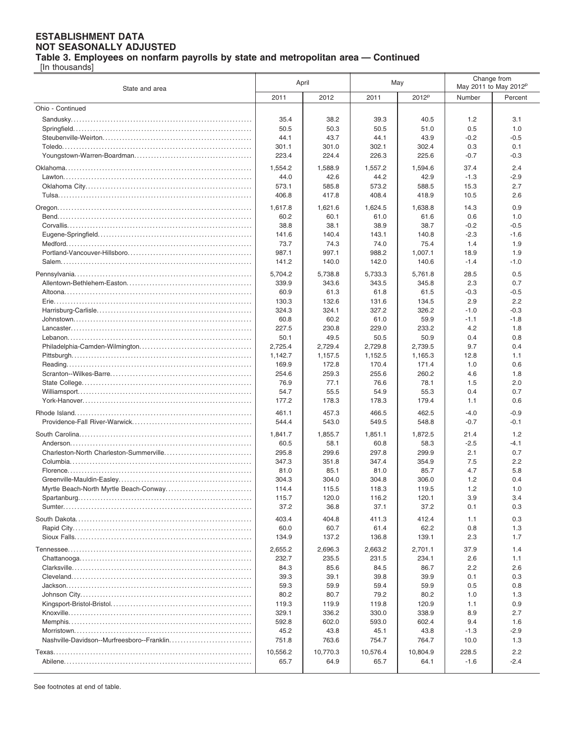**Table 3. Employees on nonfarm payrolls by state and metropolitan area — Continued**

[In thousands]

| State and area                             | April         |               | May           |                   | Change from<br>May 2011 to May 2012 <sup>P</sup> |            |
|--------------------------------------------|---------------|---------------|---------------|-------------------|--------------------------------------------------|------------|
|                                            | 2011          | 2012          | 2011          | 2012 <sup>p</sup> | Number                                           | Percent    |
| Ohio - Continued                           |               |               |               |                   |                                                  |            |
|                                            | 35.4          | 38.2          | 39.3          | 40.5              | 1.2                                              | 3.1        |
|                                            | 50.5          | 50.3          | 50.5          | 51.0              | 0.5                                              | 1.0        |
|                                            | 44.1          | 43.7          | 44.1          | 43.9              | $-0.2$                                           | $-0.5$     |
|                                            | 301.1         | 301.0         | 302.1         | 302.4             | 0.3                                              | 0.1        |
|                                            | 223.4         | 224.4         | 226.3         | 225.6             | $-0.7$                                           | $-0.3$     |
|                                            | 1,554.2       | 1,588.9       | 1,557.2       | 1,594.6           | 37.4                                             | 2.4        |
|                                            | 44.0          | 42.6          | 44.2          | 42.9              | $-1.3$                                           | $-2.9$     |
|                                            | 573.1         | 585.8         | 573.2         | 588.5             | 15.3                                             | 2.7        |
|                                            | 406.8         | 417.8         | 408.4         | 418.9             | 10.5                                             | 2.6        |
|                                            | 1,617.8       | 1,621.6       | 1,624.5       | 1,638.8           | 14.3                                             | 0.9        |
|                                            | 60.2          | 60.1          | 61.0          | 61.6              | 0.6                                              | 1.0        |
|                                            | 38.8          | 38.1          | 38.9          | 38.7              | -0.2                                             | $-0.5$     |
|                                            | 141.6         | 140.4         | 143.1         | 140.8             | $-2.3$                                           | $-1.6$     |
|                                            | 73.7          | 74.3          | 74.0          | 75.4              | 1.4                                              | 1.9        |
|                                            | 987.1         | 997.1         | 988.2         | 1,007.1           | 18.9                                             | 1.9        |
|                                            | 141.2         | 140.0         | 142.0         | 140.6             | $-1.4$                                           | $-1.0$     |
|                                            | 5,704.2       | 5,738.8       | 5,733.3       | 5,761.8           | 28.5                                             | 0.5        |
|                                            | 339.9         | 343.6         | 343.5         | 345.8             | 2.3                                              | 0.7        |
|                                            | 60.9          | 61.3          | 61.8          | 61.5              | -0.3                                             | -0.5       |
|                                            | 130.3         | 132.6         | 131.6         | 134.5             | 2.9                                              | 2.2        |
|                                            | 324.3         | 324.1         | 327.2         | 326.2             | -1.0                                             | $-0.3$     |
|                                            | 60.8          | 60.2          | 61.0          | 59.9              | -1.1                                             | $-1.8$     |
|                                            | 227.5<br>50.1 | 230.8<br>49.5 | 229.0<br>50.5 | 233.2<br>50.9     | 4.2                                              | 1.8<br>0.8 |
|                                            | 2,725.4       | 2,729.4       | 2,729.8       | 2,739.5           | 0.4<br>9.7                                       | 0.4        |
|                                            | 1,142.7       | 1,157.5       | 1,152.5       | 1,165.3           | 12.8                                             | 1.1        |
|                                            | 169.9         | 172.8         | 170.4         | 171.4             | 1.0                                              | 0.6        |
|                                            | 254.6         | 259.3         | 255.6         | 260.2             | 4.6                                              | 1.8        |
|                                            | 76.9          | 77.1          | 76.6          | 78.1              | 1.5                                              | 2.0        |
|                                            | 54.7          | 55.5          | 54.9          | 55.3              | 0.4                                              | 0.7        |
|                                            | 177.2         | 178.3         | 178.3         | 179.4             | 1.1                                              | 0.6        |
|                                            | 461.1         | 457.3         | 466.5         | 462.5             | $-4.0$                                           | $-0.9$     |
|                                            | 544.4         | 543.0         | 549.5         | 548.8             | $-0.7$                                           | $-0.1$     |
|                                            | 1,841.7       | 1,855.7       | 1,851.1       | 1,872.5           | 21.4                                             | 1.2        |
|                                            | 60.5          | 58.1          | 60.8          | 58.3              | $-2.5$                                           | $-4.1$     |
|                                            | 295.8         | 299.6         | 297.8         | 299.9             | 2.1                                              | 0.7        |
|                                            | 347.3         | 351.8         | 347.4         | 354.9             | 7.5                                              | 2.2        |
|                                            | 81.0          | 85.1          | 81.0          | 85.7              | 4.7                                              | 5.8        |
|                                            | 304.3         | 304.0         | 304.8         | 306.0             | 1.2                                              | 0.4        |
|                                            | 114.4         | 115.5         | 118.3         | 119.5             | 1.2                                              | 1.0        |
|                                            | 115.7<br>37.2 | 120.0<br>36.8 | 116.2<br>37.1 | 120.1<br>37.2     | 3.9<br>0.1                                       | 3.4<br>0.3 |
|                                            |               |               |               |                   |                                                  |            |
|                                            | 403.4         | 404.8         | 411.3         | 412.4             | 1.1                                              | 0.3        |
|                                            | 60.0          | 60.7          | 61.4          | 62.2              | 0.8                                              | 1.3<br>1.7 |
|                                            | 134.9         | 137.2         | 136.8         | 139.1             | 2.3                                              |            |
|                                            | 2,655.2       | 2,696.3       | 2,663.2       | 2,701.1           | 37.9                                             | 1.4        |
|                                            | 232.7         | 235.5         | 231.5         | 234.1             | 2.6                                              | 1.1        |
|                                            | 84.3          | 85.6          | 84.5          | 86.7              | 2.2                                              | 2.6        |
|                                            | 39.3<br>59.3  | 39.1<br>59.9  | 39.8<br>59.4  | 39.9<br>59.9      | 0.1<br>0.5                                       | 0.3<br>0.8 |
|                                            | 80.2          | 80.7          | 79.2          | 80.2              | 1.0                                              | 1.3        |
|                                            | 119.3         | 119.9         | 119.8         | 120.9             | 1.1                                              | 0.9        |
|                                            | 329.1         | 336.2         | 330.0         | 338.9             | 8.9                                              | 2.7        |
|                                            | 592.8         | 602.0         | 593.0         | 602.4             | 9.4                                              | 1.6        |
|                                            | 45.2          | 43.8          | 45.1          | 43.8              | $-1.3$                                           | $-2.9$     |
| Nashville-Davidson--Murfreesboro--Franklin | 751.8         | 763.6         | 754.7         | 764.7             | 10.0                                             | 1.3        |
|                                            | 10,556.2      | 10,770.3      | 10,576.4      | 10,804.9          | 228.5                                            | 2.2        |
|                                            | 65.7          | 64.9          | 65.7          | 64.1              | $-1.6$                                           | $-2.4$     |
|                                            |               |               |               |                   |                                                  |            |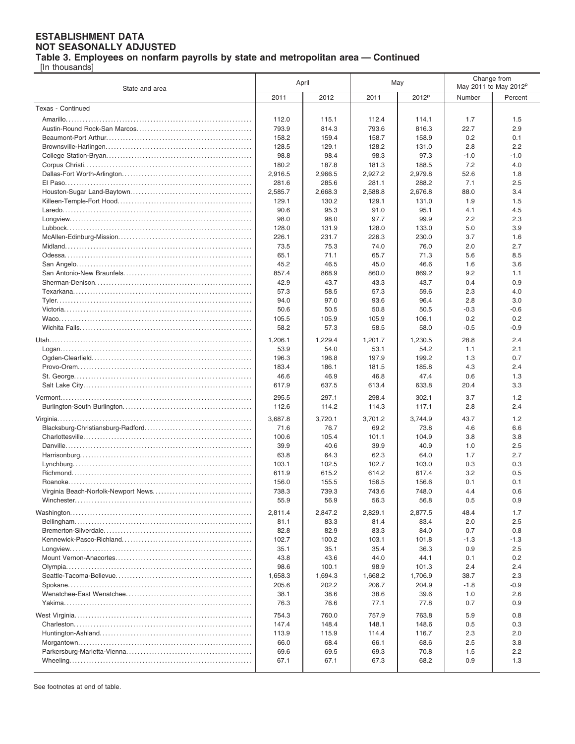#### **ESTABLISHMENT DATA NOT SEASONALLY ADJUSTED Table 3. Employees on nonfarm payrolls by state and metropolitan area — Continued**

[In thousands]

| State and area    | April         |               | May           |                   | Change from<br>May 2011 to May 2012 <sup>p</sup> |               |
|-------------------|---------------|---------------|---------------|-------------------|--------------------------------------------------|---------------|
|                   | 2011          | 2012          | 2011          | 2012 <sup>p</sup> | Number                                           | Percent       |
| Texas - Continued |               |               |               |                   |                                                  |               |
|                   | 112.0         | 115.1         | 112.4         | 114.1             | 1.7                                              | 1.5           |
|                   | 793.9         | 814.3         | 793.6         | 816.3             | 22.7                                             | 2.9           |
|                   | 158.2         | 159.4         | 158.7         | 158.9             | 0.2                                              | 0.1           |
|                   | 128.5         | 129.1         | 128.2         | 131.0             | 2.8                                              | 2.2           |
|                   | 98.8          | 98.4          | 98.3          | 97.3              | $-1.0$                                           | $-1.0$        |
|                   | 180.2         | 187.8         | 181.3         | 188.5             | 7.2                                              | 4.0           |
|                   | 2,916.5       | 2,966.5       | 2,927.2       | 2,979.8           | 52.6                                             | 1.8           |
|                   | 281.6         | 285.6         | 281.1         | 288.2             | 7.1                                              | 2.5           |
|                   | 2,585.7       | 2,668.3       | 2,588.8       | 2,676.8           | 88.0                                             | 3.4           |
|                   | 129.1         | 130.2         | 129.1         | 131.0             | 1.9                                              | 1.5           |
|                   | 90.6          | 95.3          | 91.0          | 95.1              | 4.1                                              | 4.5           |
|                   | 98.0          | 98.0          | 97.7          | 99.9              | 2.2                                              | 2.3           |
|                   | 128.0         | 131.9         | 128.0         | 133.0             | 5.0                                              | 3.9           |
|                   | 226.1         | 231.7         | 226.3         | 230.0             | 3.7                                              | 1.6           |
|                   | 73.5          | 75.3          | 74.0          | 76.0              | 2.0                                              | 2.7           |
|                   | 65.1<br>45.2  | 71.1<br>46.5  | 65.7<br>45.0  | 71.3<br>46.6      | 5.6<br>1.6                                       | 8.5<br>3.6    |
|                   | 857.4         | 868.9         | 860.0         | 869.2             | 9.2                                              | 1.1           |
|                   | 42.9          | 43.7          | 43.3          | 43.7              | 0.4                                              | 0.9           |
|                   | 57.3          | 58.5          | 57.3          | 59.6              | 2.3                                              | 4.0           |
|                   | 94.0          | 97.0          | 93.6          | 96.4              | 2.8                                              | 3.0           |
|                   | 50.6          | 50.5          | 50.8          | 50.5              | $-0.3$                                           | $-0.6$        |
|                   | 105.5         | 105.9         | 105.9         | 106.1             | 0.2                                              | 0.2           |
|                   | 58.2          | 57.3          | 58.5          | 58.0              | $-0.5$                                           | $-0.9$        |
|                   | 1,206.1       | 1,229.4       | 1,201.7       | 1,230.5           | 28.8                                             | 2.4           |
|                   | 53.9          | 54.0          | 53.1          | 54.2              | 1.1                                              | 2.1           |
|                   | 196.3         | 196.8         | 197.9         | 199.2             | 1.3                                              | 0.7           |
|                   | 183.4         | 186.1         | 181.5         | 185.8             | 4.3                                              | 2.4           |
|                   | 46.6          | 46.9          | 46.8          | 47.4              | 0.6                                              | 1.3           |
|                   | 617.9         | 637.5         | 613.4         | 633.8             | 20.4                                             | 3.3           |
|                   | 295.5         | 297.1         | 298.4         | 302.1             | 3.7                                              | 1.2           |
|                   | 112.6         | 114.2         | 114.3         | 117.1             | 2.8                                              | 2.4           |
|                   | 3,687.8       | 3,720.1       | 3,701.2       | 3,744.9           | 43.7                                             | 1.2           |
|                   | 71.6          | 76.7          | 69.2          | 73.8              | 4.6                                              | 6.6           |
|                   | 100.6         | 105.4         | 101.1         | 104.9             | 3.8                                              | 3.8           |
|                   | 39.9          | 40.6          | 39.9          | 40.9              | 1.0                                              | 2.5           |
|                   | 63.8          | 64.3          | 62.3          | 64.0              | 1.7                                              | 2.7           |
|                   | 103.1         | 102.5         | 102.7         | 103.0             | 0.3                                              | 0.3           |
|                   | 611.9         | 615.2         | 614.2         | 617.4             | 3.2                                              | 0.5           |
|                   | 156.0         | 155.5         | 156.5         | 156.6             | 0.1                                              | 0.1           |
|                   | 738.3         | 739.3         | 743.6         | 748.0             | 4.4                                              | 0.6           |
|                   | 55.9          | 56.9          | 56.3          | 56.8              | 0.5                                              | 0.9           |
|                   | 2,811.4       | 2,847.2       | 2,829.1       | 2,877.5           | 48.4                                             | 1.7           |
|                   | 81.1          | 83.3          | 81.4          | 83.4              | 2.0                                              | 2.5           |
|                   | 82.8          | 82.9          | 83.3          | 84.0              | 0.7                                              | 0.8           |
|                   | 102.7<br>35.1 | 100.2<br>35.1 | 103.1<br>35.4 | 101.8<br>36.3     | $-1.3$<br>0.9                                    | $-1.3$<br>2.5 |
|                   | 43.8          | 43.6          | 44.0          | 44.1              | 0.1                                              | 0.2           |
|                   | 98.6          | 100.1         | 98.9          | 101.3             | 2.4                                              | 2.4           |
|                   | 1,658.3       | 1,694.3       | 1,668.2       | 1,706.9           | 38.7                                             | 2.3           |
|                   | 205.6         | 202.2         | 206.7         | 204.9             | $-1.8$                                           | $-0.9$        |
|                   | 38.1          | 38.6          | 38.6          | 39.6              | 1.0                                              | 2.6           |
|                   | 76.3          | 76.6          | 77.1          | 77.8              | 0.7                                              | 0.9           |
|                   | 754.3         | 760.0         | 757.9         | 763.8             | 5.9                                              | 0.8           |
|                   | 147.4         | 148.4         | 148.1         | 148.6             | 0.5                                              | 0.3           |
|                   | 113.9         | 115.9         | 114.4         | 116.7             | 2.3                                              | 2.0           |
|                   | 66.0          | 68.4          | 66.1          | 68.6              | 2.5                                              | 3.8           |
|                   | 69.6          | 69.5          | 69.3          | 70.8              | 1.5                                              | 2.2           |
|                   | 67.1          | 67.1          | 67.3          | 68.2              | 0.9                                              | 1.3           |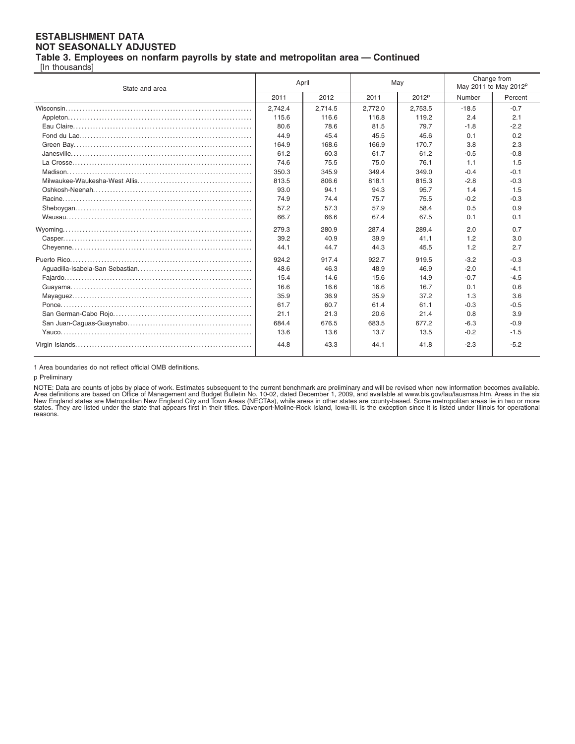#### **ESTABLISHMENT DATA NOT SEASONALLY ADJUSTED Table 3. Employees on nonfarm payrolls by state and metropolitan area — Continued**

[In thousands]

| State and area |         | April   |         | May               | Change from<br>May 2011 to May 2012 <sup>P</sup> |         |
|----------------|---------|---------|---------|-------------------|--------------------------------------------------|---------|
|                | 2011    | 2012    | 2011    | 2012 <sup>p</sup> | Number                                           | Percent |
|                | 2,742.4 | 2.714.5 | 2.772.0 | 2.753.5           | $-18.5$                                          | $-0.7$  |
|                | 115.6   | 116.6   | 116.8   | 119.2             | 2.4                                              | 2.1     |
|                | 80.6    | 78.6    | 81.5    | 79.7              | $-1.8$                                           | $-2.2$  |
|                | 44.9    | 45.4    | 45.5    | 45.6              | 0.1                                              | 0.2     |
|                | 164.9   | 168.6   | 166.9   | 170.7             | 3.8                                              | 2.3     |
|                | 61.2    | 60.3    | 61.7    | 61.2              | $-0.5$                                           | $-0.8$  |
|                | 74.6    | 75.5    | 75.0    | 76.1              | 1.1                                              | 1.5     |
|                | 350.3   | 345.9   | 349.4   | 349.0             | $-0.4$                                           | $-0.1$  |
|                | 813.5   | 806.6   | 818.1   | 815.3             | $-2.8$                                           | $-0.3$  |
|                | 93.0    | 94.1    | 94.3    | 95.7              | 1.4                                              | 1.5     |
|                | 74.9    | 74.4    | 75.7    | 75.5              | $-0.2$                                           | $-0.3$  |
|                | 57.2    | 57.3    | 57.9    | 58.4              | 0.5                                              | 0.9     |
|                | 66.7    | 66.6    | 67.4    | 67.5              | 0.1                                              | 0.1     |
|                | 279.3   | 280.9   | 287.4   | 289.4             | 2.0                                              | 0.7     |
|                | 39.2    | 40.9    | 39.9    | 41.1              | 1.2                                              | 3.0     |
|                | 44.1    | 44.7    | 44.3    | 45.5              | 1.2                                              | 2.7     |
|                | 924.2   | 917.4   | 922.7   | 919.5             | $-3.2$                                           | $-0.3$  |
|                | 48.6    | 46.3    | 48.9    | 46.9              | $-2.0$                                           | $-4.1$  |
|                | 15.4    | 14.6    | 15.6    | 14.9              | $-0.7$                                           | $-4.5$  |
|                | 16.6    | 16.6    | 16.6    | 16.7              | 0.1                                              | 0.6     |
|                | 35.9    | 36.9    | 35.9    | 37.2              | 1.3                                              | 3.6     |
|                | 61.7    | 60.7    | 61.4    | 61.1              | $-0.3$                                           | $-0.5$  |
|                | 21.1    | 21.3    | 20.6    | 21.4              | 0.8                                              | 3.9     |
|                | 684.4   | 676.5   | 683.5   | 677.2             | $-6.3$                                           | $-0.9$  |
|                | 13.6    | 13.6    | 13.7    | 13.5              | $-0.2$                                           | $-1.5$  |
|                | 44.8    | 43.3    | 44.1    | 41.8              | $-2.3$                                           | $-5.2$  |

1 Area boundaries do not reflect official OMB definitions.

p Preliminary

NOTE: Data are counts of jobs by place of work. Estimates subsequent to the current benchmark are preliminary and will be revised when new information becomes available.<br>Area definitions are based on Office of Management a reasons.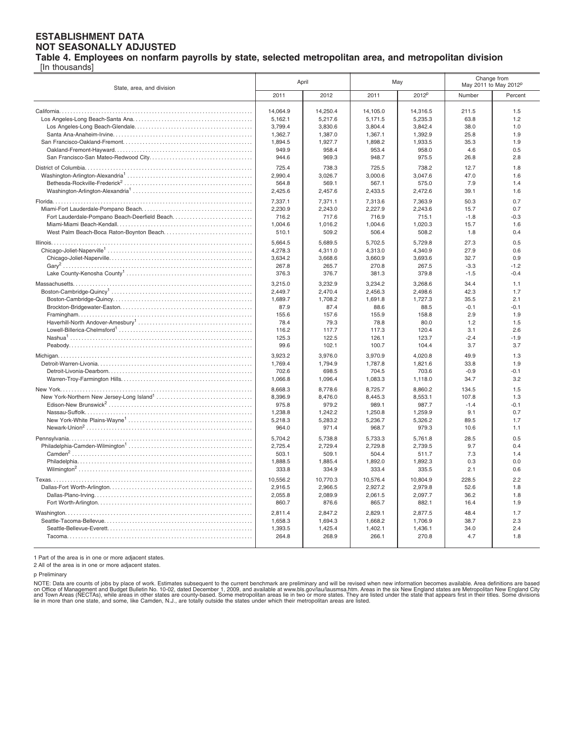#### **Table 4. Employees on nonfarm payrolls by state, selected metropolitan area, and metropolitan division**

[In thousands]

| State, area, and division                     | April            |                  | May              |                   | Change from<br>May 2011 to May 2012 <sup>p</sup> |         |
|-----------------------------------------------|------------------|------------------|------------------|-------------------|--------------------------------------------------|---------|
|                                               | 2011             | 2012             | 2011             | 2012 <sup>p</sup> | Number                                           | Percent |
|                                               | 14.064.9         | 14,250.4         | 14,105.0         | 14,316.5          | 211.5                                            | 1.5     |
|                                               |                  |                  |                  |                   | 63.8                                             | 1.2     |
|                                               | 5,162.1          | 5,217.6          | 5,171.5          | 5,235.3           |                                                  |         |
|                                               | 3,799.4          | 3,830.6          | 3,804.4          | 3,842.4           | 38.0                                             | 1.0     |
|                                               | 1,362.7          | 1,387.0          | 1,367.1          | 1,392.9           | 25.8                                             | 1.9     |
|                                               | 1,894.5          | 1,927.7          | 1,898.2          | 1,933.5           | 35.3                                             | 1.9     |
|                                               | 949.9            | 958.4            | 953.4            | 958.0             | 4.6                                              | 0.5     |
|                                               | 944.6            | 969.3            | 948.7            | 975.5             | 26.8                                             | 2.8     |
|                                               | 725.4            | 738.3            | 725.5            | 738.2             | 12.7                                             | 1.8     |
|                                               | 2,990.4          | 3,026.7          | 3,000.6          | 3,047.6           | 47.0                                             | 1.6     |
|                                               | 564.8            | 569.1            | 567.1            | 575.0             | 7.9                                              | 1.4     |
|                                               | 2,425.6          | 2,457.6          | 2,433.5          | 2,472.6           | 39.1                                             | 1.6     |
|                                               | 7,337.1          | 7.371.1          | 7.313.6          | 7.363.9           | 50.3                                             | 0.7     |
|                                               | 2,230.9          | 2,243.0          | 2,227.9          | 2,243.6           | 15.7                                             | 0.7     |
| Fort Lauderdale-Pompano Beach-Deerfield Beach | 716.2            | 717.6            | 716.9            | 715.1             | $-1.8$                                           | $-0.3$  |
|                                               | 1,004.6          | 1,016.2          | 1,004.6          | 1,020.3           | 15.7                                             | 1.6     |
| West Palm Beach-Boca Raton-Boynton Beach      | 510.1            | 509.2            | 506.4            | 508.2             | 1.8                                              | 0.4     |
|                                               | 5.664.5          | 5,689.5          | 5,702.5          | 5,729.8           | 27.3                                             | 0.5     |
|                                               | 4,278.3          | 4,311.0          | 4,313.0          | 4,340.9           | 27.9                                             | 0.6     |
|                                               | 3,634.2          | 3,668.6          | 3,660.9          | 3,693.6           | 32.7                                             | 0.9     |
|                                               | 267.8            | 265.7            | 270.8            | 267.5             | $-3.3$                                           | $-1.2$  |
|                                               | 376.3            | 376.7            | 381.3            | 379.8             | $-1.5$                                           | $-0.4$  |
|                                               | 3,215.0          | 3,232.9          | 3,234.2          | 3,268.6           | 34.4                                             | 1.1     |
|                                               | 2,449.7          | 2,470.4          | 2,456.3          | 2,498.6           | 42.3                                             | 1.7     |
|                                               | 1,689.7          | 1,708.2          | 1,691.8          | 1,727.3           | 35.5                                             | 2.1     |
|                                               | 87.9             | 87.4             | 88.6             | 88.5              | $-0.1$                                           | $-0.1$  |
|                                               | 155.6            | 157.6            | 155.9            | 158.8             | 2.9                                              | 1.9     |
|                                               | 78.4             | 79.3             | 78.8             | 80.0              | 1.2                                              | 1.5     |
|                                               | 116.2            | 117.7            | 117.3            | 120.4             | 3.1                                              | 2.6     |
|                                               | 125.3            | 122.5            | 126.1            | 123.7             | $-2.4$                                           | $-1.9$  |
|                                               | 99.6             | 102.1            | 100.7            | 104.4             | 3.7                                              | 3.7     |
|                                               | 3,923.2          | 3,976.0          | 3,970.9          | 4,020.8           | 49.9                                             | 1.3     |
|                                               | 1,769.4          | 1,794.9          | 1,787.8          | 1,821.6           | 33.8                                             | 1.9     |
|                                               | 702.6            | 698.5            | 704.5            | 703.6             | $-0.9$                                           | $-0.1$  |
|                                               | 1,066.8          | 1,096.4          | 1,083.3          | 1,118.0           | 34.7                                             | 3.2     |
|                                               | 8,668.3          | 8,778.6          | 8,725.7          | 8,860.2           | 134.5                                            | 1.5     |
|                                               | 8,396.9          | 8,476.0          | 8,445.3          | 8,553.1           | 107.8                                            | 1.3     |
|                                               | 975.8            | 979.2            | 989.1            | 987.7             | $-1.4$                                           | $-0.1$  |
|                                               | 1,238.8          |                  |                  | 1,259.9           | 9.1                                              | 0.7     |
|                                               |                  | 1,242.2          | 1,250.8          |                   | 89.5                                             | 1.7     |
|                                               | 5,218.3<br>964.0 | 5,283.2<br>971.4 | 5,236.7<br>968.7 | 5,326.2<br>979.3  | 10.6                                             | 1.1     |
|                                               |                  |                  |                  |                   |                                                  |         |
|                                               | 5,704.2          | 5,738.8          | 5,733.3          | 5,761.8           | 28.5                                             | 0.5     |
|                                               | 2,725.4          | 2,729.4          | 2,729.8          | 2,739.5           | 9.7                                              | 0.4     |
|                                               | 503.1            | 509.1            | 504.4            | 511.7             | 7.3                                              | 1.4     |
|                                               | 1,888.5          | 1,885.4          | 1,892.0          | 1,892.3           | 0.3                                              | 0.0     |
|                                               | 333.8            | 334.9            | 333.4            | 335.5             | 2.1                                              | 0.6     |
|                                               | 10,556.2         | 10,770.3         | 10,576.4         | 10,804.9          | 228.5                                            | 2.2     |
|                                               | 2,916.5          | 2,966.5          | 2,927.2          | 2,979.8           | 52.6                                             | 1.8     |
|                                               | 2,055.8          | 2,089.9          | 2,061.5          | 2,097.7           | 36.2                                             | 1.8     |
|                                               | 860.7            | 876.6            | 865.7            | 882.1             | 16.4                                             | 1.9     |
|                                               | 2.811.4          | 2,847.2          | 2.829.1          | 2,877.5           | 48.4                                             | 1.7     |
|                                               | 1,658.3          | 1,694.3          | 1,668.2          | 1,706.9           | 38.7                                             | 2.3     |
|                                               | 1,393.5          | 1,425.4          | 1,402.1          | 1,436.1           | 34.0                                             | 2.4     |
|                                               | 264.8            | 268.9            | 266.1            | 270.8             | 4.7                                              | 1.8     |

1 Part of the area is in one or more adjacent states.

2 All of the area is in one or more adjacent states.

p Preliminary

NOTE: Data are counts of jobs by place of work. Estimates subsequent to the current benchmark are preliminary and will be revised when new information becomes available. Area definitions are based<br>on Office of Management a